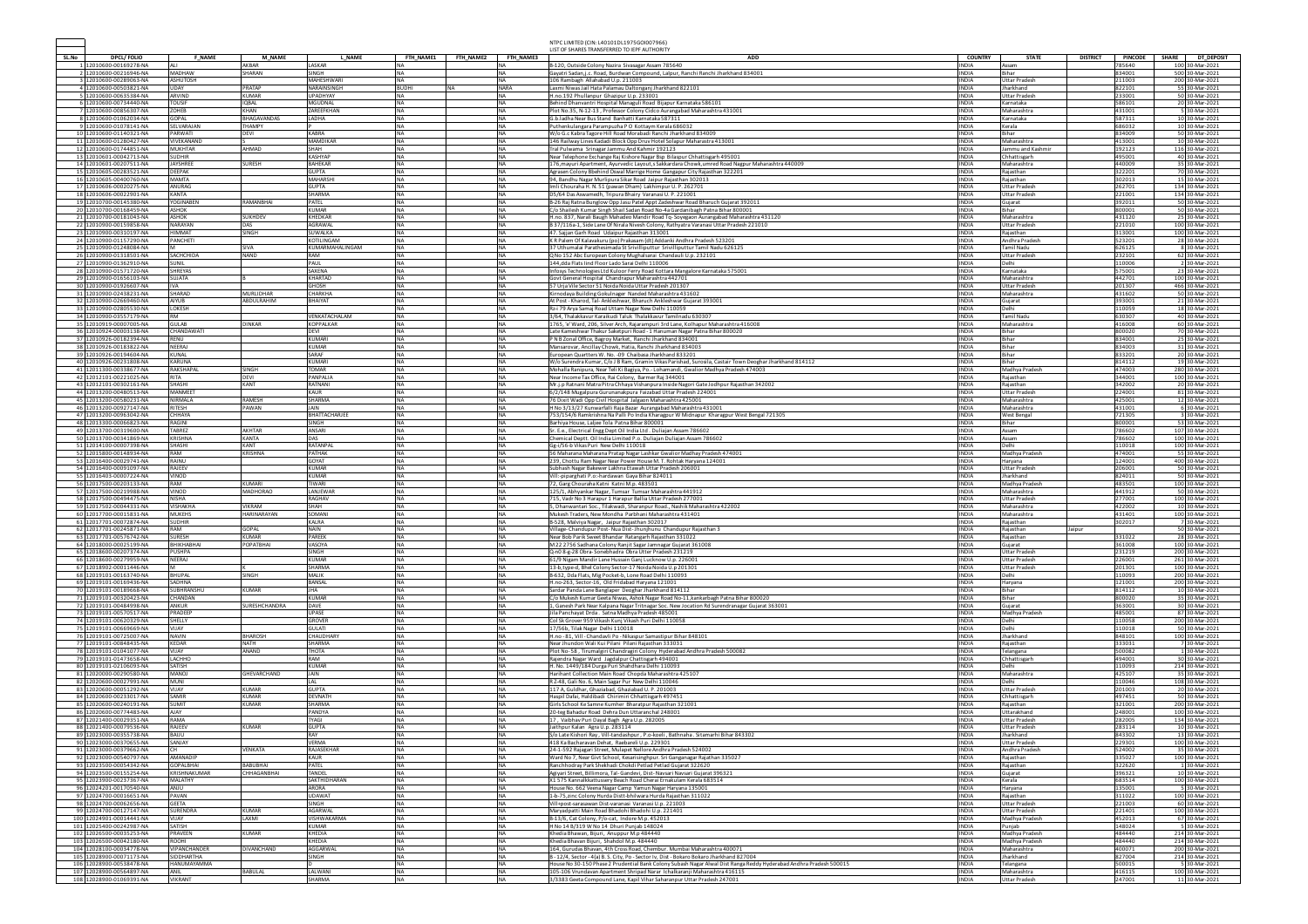|       |                                                      |                                   |                             |                                |                        |           |                        | NTPC LIMITED (CIN: L40101DL1975GOI007966<br>LIST OF SHARES TRANSFERRED TO IEPF AUTHORITY                                                                                                        |                              |                                    |                 |                  |              |                                    |
|-------|------------------------------------------------------|-----------------------------------|-----------------------------|--------------------------------|------------------------|-----------|------------------------|-------------------------------------------------------------------------------------------------------------------------------------------------------------------------------------------------|------------------------------|------------------------------------|-----------------|------------------|--------------|------------------------------------|
| SL.No | <b>DPCL/FOLIO</b>                                    | <b>F NAME</b>                     | <b>M NAME</b>               | L NAME                         | FTH NAME1              | FTH NAME2 | FTH_NAME3              | <b>ADD</b>                                                                                                                                                                                      | <b>COUNTRY</b>               | <b>STATE</b>                       | <b>DISTRICT</b> | <b>PINCODE</b>   | <b>SHARE</b> | DT_DEPOSIT                         |
|       | 1 12010600-00169278-NA<br>2 12010600-00216946-NA     | <b>MADHAW</b>                     | <b>AKRAR</b><br>SHARAN      | <b>LASKAR</b><br>SINGH         | NA                     |           | <b>NA</b>              | B-120, Outside Colony Nazira Sivasagar Assam 785640<br>Gayatri Sadan, j.c. Road, Burdwan Compound, Lalpur, Ranchi Ranchi Jharkhand 834001                                                       | <b>INDIA</b><br><b>INDIA</b> | Assam<br>Bihar                     |                 | 785640<br>834001 |              | 100 30-Mar-2021<br>500 30-Mar-2021 |
|       | 3 12010600-00289063-NA                               | ASHUTOSH                          |                             | MAHESHWARI                     | <b>NA</b>              |           | <b>NA</b>              | 106 Rambagh Allahabad U.p. 211003                                                                                                                                                               | <b>INDIA</b>                 | <b>Uttar Pradesh</b>               |                 | 211003           |              | 200 30-Mar-2021                    |
|       | 4 12010600-00503821-NA                               | UDAY                              | PRATAP                      | NARAINSINGH                    | <b>BUDHI</b>           |           | <b>NARA</b>            | Laxmi Niwas Jail Hata Palamau Daltonganj Jharkhand 822101                                                                                                                                       | <b>INDIA</b>                 | Jharkhand                          |                 | 822101           |              | 55 30-Mar-2021                     |
|       | 5 12010600-00635384-NA                               | ARVIND                            | KUMAR                       | LIPADHYAY                      | <b>NA</b>              |           | <b>NA</b>              | H.no.192 Phullanpur Ghazipur U.p. 233001                                                                                                                                                        | <b>INDIA</b>                 | <b>Uttar Pradesh</b>               |                 | 233001           |              | 50 30-Mar-2021                     |
|       | 6 12010600-00734440-NA<br>7 12010600-00856307-NA     | <b>OUSIF</b><br>ZOHEB             | <b>IQBAL</b><br><b>KHAN</b> | MGUDNAL<br>ZAREEFKHAN          | <b>NA</b><br>NA        |           | <b>NA</b><br><b>NA</b> | Behind Dhanvantri Hospital Managuli Road Bijapur Karnataka 586101<br>Plot No.35, N-12-13, Professor Colony Cidco Aurangabad Maharashtra 431001                                                  | <b>INDIA</b><br><b>INDIA</b> | Karnataka<br>Maharashtra           |                 | 586101<br>431001 |              | 20 30-Mar-2021<br>5 30-Mar-2021    |
|       | 8 12010600-01062034-NA                               | GOPAL                             | <b>BHAGAVANDAS</b>          | LADHA                          | NA.                    |           | <b>NA</b>              | G.b.ladha Near Bus Stand Banhatti Karnataka 587311                                                                                                                                              | <b>INDIA</b>                 | Karnataka                          |                 | 587311           |              | 10 30-Mar-2021                     |
|       | 9 12010600-01078141-NA                               | SELVARAJAN                        | THAMPY                      |                                | <b>NA</b>              |           | <b>NA</b>              | Puthenkulangara Parampuzha PO Kottaym Kerala 686032                                                                                                                                             | <b>INDIA</b>                 | Kerala                             |                 | 686032           |              | 10 30-Mar-2021                     |
|       | 10 12010600-01140321-NA<br>11 12010600-01280427-NA   | ARWATI<br><b>ITVEKANAND</b>       | DEVI                        | <b>KABRA</b><br>MAMDIKAR       | <b>NA</b><br>NA        |           | <b>NA</b><br>NA        | W/o G.c Kabra Tagore Hill Road Morabadi Ranchi Jharkhand 834009<br>146 Railway Lines Kadadi Block Opp Druy Hotel Solapur Maharastra 413001                                                      | <b>INDIA</b><br><b>INDIA</b> | Bihar<br>Maharashtra               |                 | 834009<br>413001 |              | 50 30-Mar-2021<br>10 30-Mar-2021   |
|       | 12 12010600-01744851-NA                              | <b>MUKHTAR</b>                    | <b>AHMAD</b>                | SHAH                           | <b>NA</b>              |           | <b>NA</b>              | Tral Pulwama Srinagar Jammu And Kahmir 192123                                                                                                                                                   | <b>INDIA</b>                 | Jammu and Kashm                    |                 | 192123           |              | 116 30-Mar-2021                    |
|       | 13 12010601-00042713-NA                              | <b>SUDHIR</b>                     |                             | KASHYAP                        | <b>NA</b>              |           | <b>NA</b>              | Near Telephone Exchange Raj Kishore Nagar Bsp Bilaspur Chhattisgarh 495001                                                                                                                      | <b>INDIA</b>                 | Chhattisgarh                       |                 | 495001           |              | 40 30-Mar-2021                     |
|       | 14 12010601-00207511-NA                              | AYSHREE<br>DEEPAK                 | <b>SURESH</b>               | <b>BAHEKAR</b><br><b>GUPTA</b> | <b>NA</b><br><b>NA</b> |           | <b>NA</b><br><b>NA</b> | 176, mayuri Apartment, Ayurvedic Layout, s Sakkardara Chowk, umred Road Nagpur Maharashtra 440009                                                                                               | <b>INDIA</b><br><b>INDIA</b> | Maharashtra                        |                 | 440009<br>322201 |              | 35 30-Mar-2021<br>70 30-Mar-2021   |
|       | 15 12010605-00283521-NA<br>16 12010605-00400760-NA   | <b>MAMTA</b>                      |                             | MAHARSHI                       | <b>NA</b>              |           | <b>NA</b>              | Agrasen Colony Bbehind Oswal Marrige Home Gangapur City Rajasthan 322201<br>94, Bandhu Nagar Murlipura Sikar Road Jaipur Rajasthan 302013                                                       | <b>INDIA</b>                 | Rajasthan<br>Rajasthan             |                 | 302013           |              | 15 30-Mar-2021                     |
|       | 17 12010606-00020275-NA                              | ANURAG                            |                             | <b>GUPTA</b>                   | <b>NA</b>              |           | <b>NA</b>              | Imli Chouraha H. N. 51 (pawan Dham) Lakhimpur U. P. 262701                                                                                                                                      | INDIA                        | <b>Uttar Pradesi</b>               |                 | 262701           |              | 134 30-Mar-2021                    |
|       | 18 12010606-00022901-NA                              | KANTA                             |                             | SHARMA                         | <b>NA</b>              |           | <b>NA</b>              | D5/64 Das Aswamedh, Tripura Bhairy Varanasi U. P. 221001                                                                                                                                        | <b>INDIA</b>                 | <b>Uttar Pradesh</b>               |                 | 221001           |              | 134 30-Mar-2021                    |
|       | 19 12010700-00145380-NA<br>20 12010700-00168459-NA   | YOGINABEN<br>ASHOK                | RAMANBHAI                   | PATEL<br>KUMAR                 | NA.<br><b>NA</b>       |           | <b>NA</b><br><b>NA</b> | B-26 Raj Ratna Bunglow Opp Jasu Patel Appt Zadeshwar Road Bharuch Gujarat 392011<br>C/o Shailesh Kumar Singh Shail Sadan Road No-4a Gardanibagh Patna Bihar 800001                              | <b>INDIA</b><br><b>INDIA</b> | Guiarat<br><b>Rihar</b>            |                 | 392011<br>800001 |              | 50 30-Mar-2021<br>50 30-Mar-2021   |
|       | 21 12010700-00181043-NA                              | <b>SHOK</b>                       | <b>SUKHDEV</b>              | KHEDKAR                        | <b>NA</b>              |           | <b>NA</b>              | H.no. 837, Narali Baugh Mahadeo Mandir Road Tq-Soyegaon Aurangabad Maharashtra 431120                                                                                                           | <b>INDIA</b>                 | Maharashtra                        |                 | 431120           |              | 25 30-Mar-2021                     |
|       | 22 12010900-00159858-NA                              | NARAYAN                           | DAS                         | <b>AGRAWA</b>                  | <b>NA</b>              |           | <b>NA</b>              | B 37/116a-1, Side Lane Of Nirala Nivesh Colony, Rathyatra Varanasi Uttar Pradesh 221010                                                                                                         | <b>INDIA</b>                 | <b>Uttar Pradesi</b>               |                 | 221010           |              | 100 30-Mar-2021                    |
|       | 23 12010900-00310197-NA<br>24 12010900-01157290-NA   | HIMMAT<br>PANCHET                 | SINGH                       | <b>SUWALKA</b><br>KOTILINGAM   | <b>NA</b><br><b>NA</b> |           | <b>NA</b><br><b>NA</b> | 47. Saijan Garh Road Udaipur Rajasthan 313001<br>K R Palem Of Kalavakuru (po) Prakasam (dt) Addanki Andhra Pradesh 523201                                                                       | <b>INDIA</b><br><b>INDIA</b> | Raiasthan<br>Andhra Pradesh        |                 | 313001<br>523201 |              | 100 30-Mar-2021<br>28 30-Mar-2021  |
|       | 25 12010900-01248084-NA                              |                                   | SIVA                        | KUMARMAHALINGAM                | <b>NA</b>              |           | <b>NA</b>              | 37 Uthumalai Parathesimada St Srivilliputtur Srivilliputtur Tamil Nadu 626125                                                                                                                   | INDIA                        | <b>Tamil Nadu</b>                  |                 | 626125           | 8            | 30-Mar-2021                        |
|       | 26 12010900-01318501-NA                              | SACHCHIDA                         | NAND                        | RAM                            | NA                     |           | <b>NA</b>              | Q No 152 Abc European Colony Mughalsarai Chandauli U.p. 232101                                                                                                                                  | <b>INDIA</b>                 | <b>Uttar Pradesh</b>               |                 | 232101           |              | 62 30-Mar-2021                     |
|       | 27 12010900-01362910-NA                              | SUNIL                             |                             | PALIL                          | <b>NA</b>              |           | <b>NA</b>              | 144,dda Flats lind Floor Lado Sarai Delhi 110006                                                                                                                                                | <b>INDIA</b>                 | Delhi                              |                 | 110006           |              | 2 30-Mar-2021                      |
|       | 28 12010900-01571720-NA<br>29 12010900-01656103-NA   | SHREYAS<br>SUJATA                 |                             | SAXENA<br>KHARTAD              | <b>NA</b><br><b>NA</b> |           | <b>NA</b><br><b>NA</b> | Infosys Technologies Ltd Kuloor Ferry Road Kottara Mangalore Karnataka 575001<br>Govt General Hospital Chandrapur Maharashtra 442701                                                            | <b>INDIA</b><br><b>INDIA</b> | Karnataka<br>Maharashtra           |                 | 575001<br>442701 |              | 23 30-Mar-2021<br>100 30-Mar-2021  |
|       | 30 12010900-01926607-NA                              | VA                                |                             | GHOSH                          | NA                     |           | <b>NA</b>              | 57 Uria Vile Sector 51 Noida Noida Uttar Pradesh 201307                                                                                                                                         | <b>INDIA</b>                 | <b>Uttar Pradesh</b>               |                 | 201307           |              | 466 30-Mar-2021                    |
|       | 31 12010900-02438231-NA                              | SHARAD                            | <b>MURLIDHAR</b>            | CHARKHA                        | <b>NA</b>              |           | <b>NA</b>              | Kirnodaya Building Gokulnager Nanded Maharashtra 431602                                                                                                                                         | <b>INDIA</b>                 | Maharashtra                        |                 | 431602           |              | 50 30-Mar-2021                     |
|       | 32 12010900-02669460-NA<br>33 12010900-02805530-NA   | <b>AIYUB</b><br>LOKESH            | ABDULRAHIM                  | BHAIYAT                        | <b>NA</b><br><b>NA</b> |           | <b>NA</b><br><b>NA</b> | At Post - Kharod, Tal- Ankleshwar, Bharuch Ankleshwar Gujarat 393001<br>Rz-i 79 Arya Samaj Road Uttam Nagar New Delhi 110059                                                                    | <b>INDIA</b><br><b>INDIA</b> | Gujarat<br>Delhi                   |                 | 393001<br>110059 |              | 21 30-Mar-2021<br>18 30-Mar-2021   |
|       | 34 12010900-03557179-NA                              | RM                                |                             | VENKATACHALAM                  | <b>NA</b>              |           | <b>NA</b>              | 3/64. Thalakkayur Karaikudi Taluk Thalakkayur Tamilnadu 63030]                                                                                                                                  | <b>INDIA</b>                 | <b>Tamil Nadu</b>                  |                 | 630307           |              | 40 30-Mar-2021                     |
|       | 35 12010919-00007005-NA                              | <b>GUI AR</b>                     | <b>DINKAR</b>               | <b>KOPPALKAR</b>               | <b>NA</b>              |           | <b>NA</b>              | 1765, 'e' Ward, 206, Silver Arch, Rajarampuri 3rd Lane, Kolhapur Maharashtra 416008                                                                                                             | <b>INDIA</b>                 | Maharashtra                        |                 | 416008           |              | 60 30-Mar-2021                     |
|       | 36 12010924-00003138-NA<br>37 12010926-00182394-NA   | HANDAWATI<br>RENU                 |                             | DEVI<br><b>KUMAR</b>           | NA<br><b>NA</b>        |           | <b>NA</b><br><b>NA</b> | Late Kameshwar Thakur Saketpuri Road - 1 Hanuman Nagar Patna Bihar 800020<br>P N B Zonal Office, Bagroy Market, Ranchi Jharkhand 834001                                                         | <b>INDIA</b><br><b>INDIA</b> | Bihar<br>Bihar                     |                 | 800020<br>834001 |              | 70 30-Mar-2021<br>25 30-Mar-2021   |
|       | 38 12010926-00183822-NA                              | NEERAI                            |                             | <b>UMAR</b>                    | NA.                    |           | <b>NA</b>              | Mansarovar, Ancillay Chowk, Hatia, Ranchi Jharkhand 834003                                                                                                                                      | <b>INDIA</b>                 | Bihar                              |                 | 834003           |              | 31 30-Mar-2021                     |
|       | 39 12010926-00194604-NA                              | KUNAL                             |                             | SARAF                          | <b>NA</b>              |           | <b>NA</b>              | European Quartters W. No. - 09 Chaibasa Jharkhand 833201                                                                                                                                        | <b>INDIA</b>                 | Bihar                              |                 | 833201           |              | 20 30-Mar-2021                     |
|       | 40 12010926-00231808-NA                              | KARUNA                            |                             | <b>KUMARI</b>                  | <b>NA</b>              |           | <b>NA</b>              | W/o Surendra Kumar, C/o J B Ram, Gramin Vikas Parishad, Surosila, Castair Town Deoghar Jharkhand 814112                                                                                         | <b>INDIA</b>                 | Bihar                              |                 | 814112           |              | 19 30-Mar-2021                     |
|       | 41 12011300-00338677-NA<br>42 12012101-00221025-NA   | RAKSHAPA<br>RITA                  | SINGH<br><b>DEVI</b>        | <b>TOMAR</b><br>PANPALIA       | <b>NA</b><br><b>NA</b> |           | <b>NA</b><br><b>NA</b> | Mohalla Ranipura, Near Teli Ki Bagiya, Po.-Lohamandi, Gwalior Madhya Pradesh 474003<br>Near Income Tax Office, Rai Colony, Barmer Raj 344001                                                    | <b>INDIA</b><br><b>INDIA</b> | Madhya Pradesh<br>Rajasthan        |                 | 474003<br>344001 |              | 280 30-Mar-2021<br>100 30-Mar-2021 |
|       | 43 12012101-00302161-NA                              | SHASHI                            | KANT                        | RATNANI                        | NA.                    |           | <b>NA</b>              | Mr.j.p Ratnani Matra Pitra Chhaya Vishanpura Inside Nagori Gate Jodhpur Rajasthan 342002                                                                                                        | <b>INDIA</b>                 | Rajasthan                          |                 | 342002           |              | 20 30-Mar-2021                     |
|       | 44 12013200-00480513-NA                              | MANMEET                           |                             | KAUR                           | <b>NA</b>              |           | <b>NA</b>              | 6/2/148 Mugalpura Gurunanakpura Faizabad Uttar Pradesh 224001                                                                                                                                   | <b>INDIA</b>                 | <b>Uttar Pradesi</b>               |                 | 224001           |              | 81 30-Mar-2021                     |
|       | 45 12013200-00580231-NA<br>46 12013200-00927147-NA   | NIRMALA<br><b>RITESH</b>          | RAMESH<br>PAWAN             | <b>SHARMA</b><br><b>JAIN</b>   | <b>NA</b><br><b>NA</b> |           | <b>NA</b><br><b>NA</b> | 76 Dixit Wadi Opp Civil Hospital Jalgaon Maharashtra 425001                                                                                                                                     | <b>INDIA</b><br><b>INDIA</b> | Maharashtra<br>Maharashtra         |                 | 425001<br>431001 |              | 12 30-Mar-2021<br>6 30-Mar-2021    |
|       | 47 12013200-00963042-NA                              | HHAYA                             |                             | BHATTACHARJEI                  | <b>NA</b>              |           | <b>NA</b>              | H No 3/13/27 Kunwarfalli Raja Bazar Aurangabad Maharashtra 431001<br>753/154/6 Ramkrishna Na Palli Po India Kharagpur W Midnapur Kharagpur West Bengal 721305                                   | <b>INDIA</b>                 | West Bengal                        |                 | 721305           |              | 30-Mar-2021                        |
|       | 48 12013300-00066823-NA                              | RAGINI                            |                             | SINGH                          | NA                     |           | <b>NA</b>              | Barhiya House, Laljee Tola Patna Bihar 800001                                                                                                                                                   | <b>INDIA</b>                 | Bihar                              |                 | 800001           |              | 53 30-Mar-2021                     |
|       | 49 12013700-00319600-NA<br>50 12013700-00341869-NA   | ABREZ<br>KRISHNA                  | <b>AKHTAR</b><br>KANTA      | ANSARI<br>DAS                  | NA.<br><b>NA</b>       |           | <b>NA</b><br><b>NA</b> | Sr. E.e., Electrical Engg Dept Oil India Ltd . Duliajan Assam 786602                                                                                                                            | <b>INDIA</b><br><b>INDIA</b> | Assam<br>Assam                     |                 | 786602<br>786602 |              | 107 30-Mar-2021                    |
|       | 51 12014100-00007398-NA                              | SHASHI                            | KANT                        | RATANPAL                       | <b>NA</b>              |           | <b>NA</b>              | Chemical Deptt. Oil India Limited P.o. Duliajan Duliajan Assam 786602<br>Gg-i/56-b Vikas Puri New Delhi 110018                                                                                  | <b>INDIA</b>                 | Delhi                              |                 | 110018           |              | 100 30-Mar-2021<br>100 30-Mar-2021 |
|       | 52 12015800-00148934-NA                              | RAM                               | KRISHNA                     | PATHAK                         | NA                     |           | <b>NA</b>              | 56 Maharana Maharana Pratap Nagar Lashkar Gwalior Madhay Pradesh 474001                                                                                                                         | <b>INDIA</b>                 | Madhya Pradesh                     |                 | 474001           |              | 55 30-Mar-2021                     |
|       | 53 12016400-00029741-NA                              | RAINU                             |                             | GOYAT<br>KUMAR                 | <b>NA</b>              |           | <b>NA</b>              | 239, Chottu Ram Nagar Near Power House M. T. Rohtak Harvana 124001                                                                                                                              | <b>INDIA</b>                 | Harvana                            |                 | 124001           |              | 400 30-Mar-2021                    |
|       | 54 12016400-00091097-NA<br>55 12016403-00007224-NA   | <b>RAJEEV</b><br><b>UNIV</b>      |                             | <b>KUMAR</b>                   | <b>NA</b><br><b>NA</b> |           | <b>NA</b><br><b>NA</b> | Subhash Nagar Bakewer Lakhna Etawah Uttar Pradesh 206001<br>Vill:-piparghati P.o:-hardawan Gaya Bihar 824011                                                                                    | <b>INDIA</b><br><b>INDIA</b> | <b>Uttar Pradesh</b><br>Jharkhand  |                 | 206001<br>824011 |              | 50 30-Mar-2021<br>50 30-Mar-2021   |
|       | 56 12017500-00203133-NA                              | RAM                               | <b>KUMARI</b>               | <b>TIWARI</b>                  | <b>NA</b>              |           | <b>NA</b>              | 72, Garg Chouraha Katni Katni M.p. 483501                                                                                                                                                       | <b>INDIA</b>                 | Madhya Pradesh                     |                 | 483501           |              | 100 30-Mar-2021                    |
|       | 57 12017500-00219988-NA                              | VINOD                             | <b>MADHORAO</b>             | <b>I ANIFWAR</b>               | <b>NA</b>              |           | <b>NA</b>              | 125/1, Abhyankar Nagar, Tumsar Tumsar Maharashtra 441912                                                                                                                                        | <b>INDIA</b>                 | Maharashtra                        |                 | 441912           |              | 50 30-Mar-2021                     |
|       | 58 12017500-00494475-NA<br>59 12017502-00044331-NA   | <b>ISHA</b><br>VISHAKHA           | <b>VIKRAM</b>               | RAGHAV<br>SHAH                 | <b>NA</b>              |           | <b>NA</b><br><b>NA</b> | 715, Vadr No 3 Harapur 1 Harapur Ballia Uttar Pradesh 277001<br>5, Dhanwantari Soc., Tilakwadi, Sharanpur Road., Nashik Maharashtra 422002                                                      | <b>INDIA</b><br><b>INDIA</b> | <b>Uttar Prades</b><br>Maharashtra |                 | 277001<br>422002 |              | 100 30-Mar-2021<br>10 30-Mar-2021  |
|       | 60 12017700-00015831-NA                              | <b>MUKEHS</b>                     | <b>HARINARAYAN</b>          | SOMANI                         | NA.                    |           | <b>NA</b>              | Mukesh Traders, New Mondha Parbhani Maharashtra 431401                                                                                                                                          | <b>INDIA</b>                 | Maharashtra                        |                 | 431401           |              | 100 30-Mar-2021                    |
|       | 61 12017701-00072874-NA                              | <b>SUDHIR</b>                     |                             | KALRA                          | <b>NA</b>              |           | <b>NA</b>              | B-528, Malviya Nagar, Jaipur Rajasthan 302017                                                                                                                                                   | <b>INDIA</b>                 | Raiasthan                          |                 | 302017           |              | 7 30-Mar-2021                      |
|       | 62 12017701-00245871-NA                              | RAM                               | <b>GOPAL</b>                | NAIN                           | <b>NA</b>              |           | <b>NA</b>              | Village-Chandupur Post-Nua Dist-Jhunjhunu Chandupur Rajasthan 3                                                                                                                                 | <b>INDIA</b>                 | Rajasthan                          | Jaipur          |                  |              | 50 30-Mar-2021                     |
|       | 63 12017701-00576742-NA<br>64 12018000-00025199-NA   | URESH<br><b>SHIKHABHA</b>         | <b>KUMAR</b><br>POPATBHAI   | PAREEK<br>VASOYA               | <b>NA</b><br><b>NA</b> |           | <b>NA</b><br><b>NA</b> | Near Bob Parik Sweet Bhandar Ratangarh Rajasthan 331022<br>M 22 2756 Sadhana Colony Ranjit Sagar Jamnagar Gujarat 361008                                                                        | <b>INDIA</b><br><b>INDIA</b> | Rajasthan<br>Guiarat               |                 | 331022<br>361008 |              | 28 30-Mar-2021<br>100 30-Mar-2021  |
|       | 65 12018600-00207374-NA                              | PUSHPA                            |                             | SINGH                          | NA                     |           | <b>NA</b>              | Q-n0 8-g-28 Obra- Sonebhadra Obra Utter Pradesh 231219                                                                                                                                          | <b>INDIA</b>                 | <b>Uttar Pradesi</b>               |                 | 231219           |              | 200 30-Mar-2021                    |
|       | 66 12018600-00279959-NA                              | <b>JEERAJ</b>                     |                             | <b>KUMAR</b>                   | <b>NA</b>              |           | <b>NA</b>              | 61/9 Nigam Mandir Lane Hussain Ganj Lucknow U.p. 226001                                                                                                                                         | <b>INDIA</b>                 | <b>Uttar Pradesi</b>               |                 | 226001           |              | 261 30-Mar-2021                    |
|       | 67 12018902-00011446-NA<br>68 12019101-00163740-NA   | BHUPAL                            | SINGH                       | SHARMA<br>MALIK                | <b>NA</b><br><b>NA</b> |           | <b>NA</b><br><b>NA</b> | 13-b, type-d, Bhel Colony Sector-17 Noida Noida U.p 201301<br>B-632, Dda Flats, Mig Pocket-b, Lone Road Delhi 110093                                                                            | <b>INDIA</b><br><b>INDIA</b> | <b>Uttar Pradesh</b><br>Delhi      |                 | 201301<br>110093 |              | 100 30-Mar-2021<br>200 30-Mar-2021 |
|       | 69 12019101-00169436-NA                              | SADHNA                            |                             | <b>BANSAL</b>                  | <b>NA</b>              |           | <b>NA</b>              | H.no-263, Sector-16, Old Fridabad Haryana 121001                                                                                                                                                | <b>INDIA</b>                 | Haryana                            |                 | 121001           |              | 200 30-Mar-2021                    |
|       | 70 12019101-00189668-NA                              | SUBHRANSHL                        | <b>KUMAR</b>                | <b>JHA</b>                     | <b>NA</b>              |           | <b>NA</b>              | Sardar Panda Lane Banglaper Deoghar Jharkhand 814112                                                                                                                                            | <b>INDIA</b>                 | Bihar                              |                 | 814112           |              | 10 30-Mar-2021                     |
|       | 71 12019101-00320423-NA                              | <b>HANDAN</b>                     |                             | <b>KUMAR</b>                   | <b>NA</b>              |           | <b>NA</b>              | C/o Mukesh Kumar Geeta Niwas, Ashok Nagar Road No-11, kankarbagh Patna Bihar 800020                                                                                                             | <b>INDIA</b>                 | Bihar                              |                 | 800020           |              | 35 30-Mar-2021                     |
|       | 72 12019101-00484998-NA<br>73 12019101-00570517-NA   | <b>ANKUR</b><br>PRADEEP           | SURESHCHANDRA               | DAVE<br>UPASE                  | <b>NA</b><br>NΑ        |           | <b>NA</b><br><b>NA</b> | L, Ganesh Park Near Kalpana Nagar Tritnagar Soc. New Jocation Rd Surendranagar Gujarat 363001<br>Jila Panchayat Drda. Satna Madhya Pradesh 485001                                               | <b>INDIA</b><br><b>INDIA</b> | Gujarat<br>Madhya Pradesh          |                 | 363001<br>485001 |              | 30 30-Mar-2021<br>87 30-Mar-2021   |
|       | 74 12019101-00620329-NA                              | SHELLY                            |                             | <b>GROVER</b>                  | <b>NA</b>              |           | <b>NA</b>              | Col Sk Grover 959 Vikash Kunj Vikash Puri Delhi 110058                                                                                                                                          | <b>INDIA</b>                 | Delhi                              |                 | 110058           |              | 200 30-Mar-2021                    |
|       | 75 12019101-00669669-NA                              | YIJAY<br>NAVIN                    | <b>BHAROSH</b>              | <b>GULATI</b><br>CHAUDHARY     | <b>NA</b><br><b>NA</b> |           | <b>NA</b><br><b>NA</b> | 17/56b, Tilak Nagar Delhi 110018                                                                                                                                                                | <b>INDIA</b><br><b>INDIA</b> | Delhi<br>Jharkhand                 |                 | 110018<br>848101 |              | 50 30-Mar-2021                     |
|       | 76 12019101-00725007-NA<br>77 12019101-00848435-NA   | KEDAR                             | <b>NATH</b>                 | <b>SHARMA</b>                  | <b>NA</b>              |           | <b>NA</b>              | H.no - 81, Vill - Chandavli Po - Nikaspur Samastipur Bihar 848101<br>Near Jhundon Wali Kui Pilani Pilani Rajasthan 333031                                                                       | <b>INDIA</b>                 | Rajasthan                          |                 | 333031           |              | 100 30-Mar-2021<br>0-Mar-2021      |
|       | 78 12019101-01041077-NA                              | VIJAY                             | ANAND                       | THOTA                          | <b>NA</b>              |           | <b>NA</b>              | Plot No-58, Tirumalgiri Chandragiri Colony Hyderabad Andhra Pradesh 500082                                                                                                                      | <b>INDIA</b>                 | Telangana                          |                 | 500082           |              | 1 30-Mar-2021                      |
|       | 79 12019101-01473658-NA                              | LACHHO                            |                             | RAM                            | NA.                    |           | <b>NA</b>              | Rajendra Nagar Ward Jagdalpur Chattisgarh 494001                                                                                                                                                | <b>INDIA</b>                 | Chhattisgarh                       |                 | 494001           |              | 30 30-Mar-2021                     |
|       | 80 12019101-02106093-NA<br>81 12020000-00290580-NA   | SATISH<br>MANOJ                   | GHEVARCHAND                 | <b>KUMAR</b><br>JAIN           | <b>NA</b><br><b>NA</b> |           | <b>NA</b><br><b>NA</b> | H. No. 1449/184 Durga Puri Shahdhara Delhi 110093<br>Harihant Collection Main Road Chopda Maharashtra 425107                                                                                    | <b>INDIA</b><br><b>INDIA</b> | Delhi<br>Maharashtra               |                 | 110093<br>425107 |              | 214 30-Mar-2021<br>35 30-Mar-2021  |
|       | 82 12020600-00027991-NA                              | MUNI                              |                             | LAL                            | <b>NA</b>              |           | NA                     | R Z-48, Gali No. 6, Main Sagar Pur New Delhi 110046                                                                                                                                             | <b>INDIA</b>                 | Delhi                              |                 | 110046           |              | 108 30-Mar-2021                    |
|       | 83 12020600-00051292-NA                              | VIJAY                             | <b>KUMAR</b>                | <b>GUPTA</b>                   | <b>NA</b>              |           | <b>NA</b>              | 117 A Guldhar, Ghaziahad, Ghaziahad U. P. 201003                                                                                                                                                | <b>INDIA</b>                 | <b>Uttar Pradesh</b>               |                 | 201003           |              | 20 30-Mar-2021                     |
|       | 84 12020600-00233017-NA<br>85 12020600-00240191-NA   | SAMIR<br><b>UMIT</b>              | KUMAR<br><b>UMAR</b>        | DEVNATH<br><b>HARMA</b>        | NA<br><b>NA</b>        |           | <b>NA</b><br><b>NA</b> | Haspil Dafai, Haldibadi Chirimiri Chhattisgarh 497451<br>Girls School Ke Samne Kumher Bharatour Raiasthan 321001                                                                                | <b>INDIA</b><br><b>INDIA</b> | Chhattisgarh                       |                 | 497451           |              | 50 30-Mar-2021<br>200 30-Mar-2021  |
|       | 86 12020600-00774483-NA                              | AJAY                              |                             | PANDYA                         | NA.                    |           | <b>NA</b>              | 20-teg Bahadur Road Dehra Dun Uttaranchal 248001                                                                                                                                                | <b>INDIA</b>                 | Rajasthan<br>Uttarakhand           |                 | 321001<br>248001 |              | 100 30-Mar-2021                    |
|       | 87 12021400-00029351-NA                              | RAMA                              |                             | <b>TYAGI</b>                   | NA                     |           | NA                     | 17, Vaibhav Puri Dayal Bagh Agra U.p. 282005                                                                                                                                                    | <b>INDIA</b>                 | <b>Uttar Pradesh</b>               |                 | 282005           |              | 134 30-Mar-2021                    |
|       | 88 12021400-00079536-NA                              | RAJEEV                            | KUMAR                       | <b>GUPTA</b>                   | NA                     |           | <b>NA</b>              | Jaithpur Kalan Agra U.p. 283114                                                                                                                                                                 | INDIA                        | <b>Uttar Pradesh</b>               |                 | 283114           |              | 10 30-Mar-2021                     |
|       | 89 12023<br>90 12023000-00370655-NA                  | SANJAY                            |                             | VERMA                          | <b>NA</b>              |           | <b>NA</b>              | S/o Late Kishori Rav . Vill-tandashou<br>peli . Bathnaha . Sitamarhi Bihar 8433<br>418 Ka Bacharavan Dehat, Raebareli U.p. 229301                                                               | <b>INDIA</b><br><b>INDIA</b> | Iharkha<br><b>Uttar Pradesh</b>    |                 | 843302<br>229301 |              | 13 30-Mar-202<br>100 30-Mar-2021   |
|       | 91 12023000-00379662-NA                              |                                   | <b>VENKATA</b>              | RAJASEKHAR                     | <b>NA</b>              |           | <b>NA</b>              | 24-1-592 Rajagari Street, Mulapet Nellore Andhra Pradesh 524002                                                                                                                                 | <b>INDIA</b>                 | Andhra Pradesh                     |                 | 524002           |              | 35 30-Mar-2021                     |
|       | 92 12023000-00540797-NA                              | AMANADIP                          |                             | KAUR                           | <b>NA</b>              |           | <b>NA</b>              | Ward No 7, Near Givt School, Kesarisinghpur. Sri Ganganagar Rajathan 335027                                                                                                                     | <b>INDIA</b>                 | Rajasthan                          |                 | 335027           |              | 100 30-Mar-2021                    |
|       | 93 12023500-00054342-NA<br>94 12023500-00155254-NA   | OPALBHAI<br>KRISHNAKUMAR          | BABUBHAI<br>CHHAGANBHAI     | PATEL<br>TANDEL                | NA<br><b>NA</b>        |           | <b>NA</b><br><b>NA</b> | Ranchhodray Park Shekhadi Chokdi Petlad Petlad Gujarat 322620<br>Agiyari Street, Billimora, Tal- Gandevi, Dist-Navsari Navsari Gujarat 396321                                                   | <b>INDIA</b><br><b>INDIA</b> | Rajasthan<br>Gujarat               |                 | 322620<br>396321 |              | 1 30-Mar-2021<br>10 30-Mar-2021    |
|       | 95 12023900-00237367-NA                              | MALATHY                           |                             | SAKTHIDHARAN                   | <b>NA</b>              |           | <b>NA</b>              | X1 575 Kannalkkattussery Beach Road Cherai Ernakulam Kerala 683514                                                                                                                              | <b>INDIA</b>                 | Kerala                             |                 | 683514           |              | 100 30-Mar-2021                    |
|       | 96 12024201-00170540-NA                              | ANJU                              |                             | ARORA                          | <b>NA</b>              |           | <b>NA</b>              | House No. 662 Veena Nagar Camp Yamun Nagar Haryana 135001                                                                                                                                       | <b>INDIA</b>                 | Haryana                            |                 | 135001           |              | 5 30-Mar-2021                      |
|       | 97 12024700-00016651-NA<br>98 12024700-00062656-NA   | PAVAN<br>GEETA                    |                             | <b>UDAWAT</b><br>SINGH         | NA<br>NA.              |           | <b>NA</b><br><b>NA</b> | 1-b-75, zinc Colony Hurda Distt-bhilwara Hurda Rajasthan 311022<br>Villenost-sarasawan Dist-varanasi Varanasi II n. 221003                                                                      | <b>INDIA</b><br><b>INDIA</b> | Rajasthan<br><b>Uttar Pradesh</b>  |                 | 311022<br>221003 |              | 100 30-Mar-2021<br>60 30-Mar-2021  |
|       | 99 12024700-00127147-NA                              | SURENDRA                          | <b>KUMAR</b>                | AGARWAL                        | <b>NA</b>              |           | <b>NA</b>              | Maryadpatti Main Road Bhadohi Bhadohi U.p. 221401                                                                                                                                               | <b>INDIA</b>                 | <b>Uttar Pradesi</b>               |                 | 221401           |              | 100 30-Mar-2021                    |
|       | 100 12024901-00014441-NA                             | YALIV                             | LAXMI                       | <b>VISHWAKARMA</b>             | <b>NA</b>              |           | NA                     | B-13/6, Cat Colony, P/o-cat, Indore M.p. 452013                                                                                                                                                 | <b>INDIA</b>                 | Madhya Pradesh                     |                 | 452013           |              | 67 30-Mar-2021                     |
|       | 101 12025400-00242987-NA<br>102 12026500-00035253-NA | SATISH<br>PRAVEEN                 | KUMAR                       | <b>KUMAR</b><br>KHEDIA         | NA.<br><b>NA</b>       |           | <b>NA</b><br><b>NA</b> | H No 14 B/319 W No 14 Dhuri Puniah 148024<br>Khedia Bhawan, Bijuri, Anuppur M.p 484440                                                                                                          | <b>INDIA</b><br><b>INDIA</b> | Puniab                             |                 | 148024<br>484440 |              | 5 30-Mar-2021<br>214 30-Mar-2021   |
|       | 103 12026500-00042180-NA                             | ROOHI                             |                             | KHEDIA                         | <b>NA</b>              |           | <b>NA</b>              | Khedia Bhavan Bijuri, Shahdol M.p. 484440                                                                                                                                                       | <b>INDIA</b>                 | Madhya Pradesh<br>Madhya Pradesh   |                 | 484440           |              | 214 30-Mar-2021                    |
|       | 104 12028100-00034778-NA                             | VIPANCHANDER                      | DIVANCHAND                  | AGGARWAL                       | <b>NA</b>              |           | <b>NA</b>              | 164, Gurudas Bhavan, 4th Cross Road, Chembur. Mumbai Maharashtra 400071                                                                                                                         | <b>INDIA</b>                 | Maharashtra                        |                 | 400071           |              | 200 30-Mar-2021                    |
|       | 105 12028900-00071173-NA                             | SIDDHARTHA                        |                             | SINGH                          | <b>NA</b>              |           | <b>NA</b>              | B-12/4, Sector-4(a) B, S, City, Po-Sector Iv, Dist-Bokaro Bokaro Jharkhand 827004                                                                                                               | <b>INDIA</b>                 | Jharkhand                          |                 | 827004           |              | 214 30-Mar-2021                    |
|       | 106 12028900-00538478-NA<br>107 12028900-00564897-NA | <b>HANUMAYAMMA</b><br><b>ANIL</b> | BABULAL                     | LALWANI                        | <b>NA</b><br><b>NA</b> |           | <b>NA</b><br><b>NA</b> | House No 30-150 Phase 2 Prudential Bank Colony Subash Nagar Alwal Dist Ranga Reddy Hyderabad Andhra Pradesh 500015<br>105-106 Vrundavan Apartment Shripad Narar Ichalkaranji Maharashtra 416115 | <b>INDIA</b><br><b>INDIA</b> | Telangana<br>Maharashtra           |                 | 500015<br>416115 |              | 5 30-Mar-2021<br>100 30-Mar-2021   |
|       | 108 12028900-01069391-NA                             | VIKRANT                           |                             | SHARMA                         | <b>NA</b>              |           | <b>NA</b>              | 3/3383 Geeta Compound Lane, Kapil Vihar Saharanpur Uttar Pradesh 247001                                                                                                                         | <b>INDIA</b>                 | <b>Uttar Pradesh</b>               |                 | 247001           |              | 11 30-Mar-2021                     |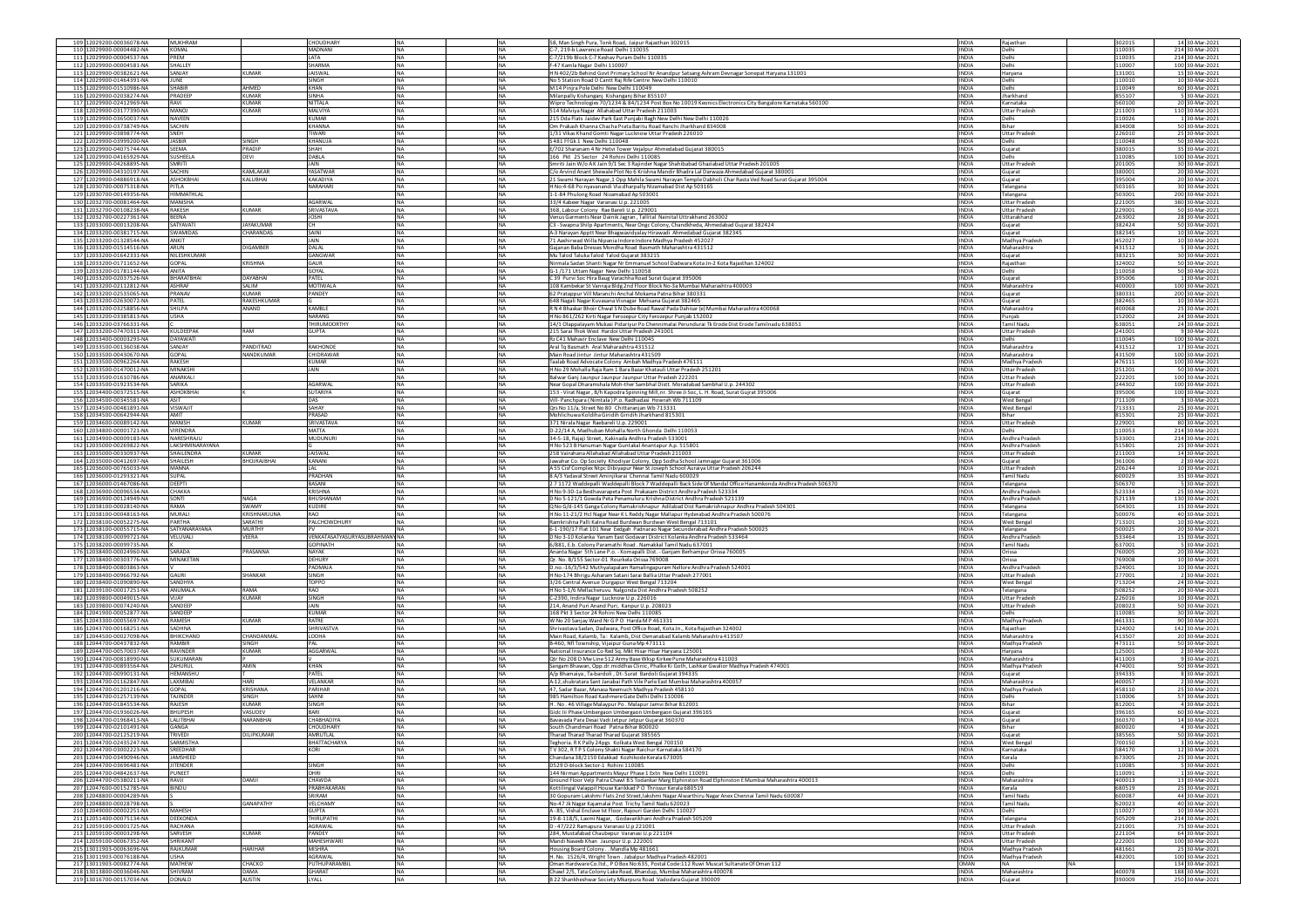| 109 12029200-00036078-NA                                                         | <b>MUKHRAM</b>                     |                      | CHOUDHARY                      | <b>INA</b>              | <b>NA</b>              | 58, Man Singh Pura, Tonk Road, Jaipur Rajasthan 302015                                                                                                                              | <b>INDIA</b>                 | Rajasthan                                   | 302015           | 14 30-Mar-2021                     |
|----------------------------------------------------------------------------------|------------------------------------|----------------------|--------------------------------|-------------------------|------------------------|-------------------------------------------------------------------------------------------------------------------------------------------------------------------------------------|------------------------------|---------------------------------------------|------------------|------------------------------------|
| 110 12029900-00004482-NA                                                         | <b>KOMAL</b>                       |                      | MADNANI                        | <b>NA</b>               | <b>NA</b>              | C-7, 219-b Lawrence Road Delhi 110035                                                                                                                                               | <b>INDIA</b>                 | Delhi                                       | 110035           | 214 30-Mar-2021                    |
| 111 12029900-00004537-NA<br>112 12029900-00004581-NA                             | PREM<br>SHALLEY                    |                      | LATA<br><b>SHARMA</b>          | <b>NA</b><br>NA         | NA<br>NA               | C-7/219b Block C-7 Keshav Puram Delhi 110035<br>F-47 Kamla Nagar Delhi 110007                                                                                                       | INDIA<br><b>INDIA</b>        | Delhi                                       | 110035<br>10007  | 214 30-Mar-2021<br>100 30-Mar-2021 |
| 113 12029900-00382621-NA                                                         | SANJAY                             | KUMAR                | <b>JAISWAL</b>                 | <b>NA</b>               | <b>NA</b>              | H N 402/2b Behind Govt Primary School Nr Anandpur Satsang Ashram Devnagar Sonepat Haryana 131001                                                                                    | <b>INDIA</b>                 | Jelhi<br>Haryana                            | 131001           | 15 30-Mar-2021                     |
| 114 12029900-01464391-NA                                                         | JUNE                               |                      | SINGH                          | NA.                     | <b>NA</b>              | No 5 Station Road D Cantt Raj Rife Centre New Delhi 110010                                                                                                                          | <b>INDIA</b>                 | Delhi                                       | 110010           | 10 30-Mar-2021                     |
| 115 12029900-01510986-NA                                                         | <b>SHABIR</b>                      | AHMED                | KHAN                           | NA                      | <b>NA</b>              | M 14 Pinira Pole Delhi New Delhi 110049                                                                                                                                             | INDIA                        | Delhi                                       | 10049            | 60 30-Mar-2021                     |
| 116 12029900-02038274-NA                                                         | PRADEEP                            | KUMAR                | SINHA                          | NA                      | <b>NA</b>              | Milanpally Kishanganj Kishanganj Bihar 855107                                                                                                                                       | <b>INDIA</b>                 | Jharkhand                                   | 855107           | 5 30-Mar-2021                      |
| 117 12029900-02412969-NA<br>118 12029900-03177390-NA                             | RAVI<br>MANO1                      | KUMAR<br>KUMAR       | <b>NITTALA</b><br>MALVIYA      | <b>NA</b><br><b>NA</b>  | <b>NA</b><br><b>NA</b> | Wipro Technologies 70/1234 & 84/1234 Post Box No 10019 Keonics Electronics City Bangalore Karnataka 560100                                                                          | <b>INDIA</b><br><b>INDIA</b> | Karnataka<br><b>Uttar Prades</b>            | 560100<br>211003 | 20 30-Mar-2021<br>110 30-Mar-2021  |
| 119 12029900-03650037-NA                                                         | NAVEEN                             |                      | <b>KUMAR</b>                   | NA                      | <b>NA</b>              | 514 Malviya Nagar Allahabad Uttar Pradesh 211003<br>215 Dda Flats Jaidev Park East Punjabi Bagh New Delhi New Delhi 110026                                                          | INDIA                        | Delhi                                       | 110026           | 1 30-Mar-2021                      |
| 120 12029900-03738749-NA                                                         | SACHIN                             |                      | <b>KHANNA</b>                  | <b>NA</b>               | <b>NA</b>              | 0m Prakash Khanna Chacha Prata Baritu Road Ranchi Jharkhand 834008                                                                                                                  | INDIA                        | Bihar                                       | 834008           | 50 30-Mar-2021                     |
| 121 12029900-03898774-NA                                                         | SNEH                               |                      | <b>TIWARI</b>                  | <b>NA</b>               | <b>NA</b>              | 1/31 Vikas Khand Gomti Nagar Lucknow Uttar Pradesh 226010                                                                                                                           | <b>INDIA</b>                 | <b>Uttar Pradesh</b>                        | 226010           | 25 30-Mar-2021                     |
| 122 12029900-03999200-NA                                                         | <b>JASBIR</b>                      | SINGH                | KHANUJA                        | NA.                     | <b>NA</b>              | S 481 Ff Gk 1 New Delhi 110048                                                                                                                                                      | <b>INDIA</b>                 | Delhi                                       | 110048           | 50 30-Mar-2021                     |
| 123 12029900-04075744-NA                                                         | <b>SEEMA</b>                       | PRADIP<br>DEVI       | SHAH<br>DABLA                  | <b>NA</b><br><b>NA</b>  | NA<br><b>NA</b>        | E/702 Sharanam 4 Nr Hetvi Tower Vejalpur Ahmedabad Gujarat 380015                                                                                                                   | <b>INDIA</b><br><b>INDIA</b> | Gujarat                                     | 380015           | 35 30-Mar-2021                     |
| 124 12029900-04165929-NA<br>125 12029900-04268895-NA                             | <b>SUSHEELA</b><br>SMRITI          |                      | <b>JAIN</b>                    | <b>NA</b>               | <b>NA</b>              | 166 Pkt 25 Sector 24 Rohini Delhi 110085<br>Smriti Jain W/o AK Jain 9/1 Sec 3 Rajinder Nagar Shahibabad Ghaziabad Uttar Pradesh 201005                                              | <b>INDIA</b>                 | Delhi<br><b>Uttar Pradesh</b>               | 110085<br>201005 | 100 30-Mar-2021<br>30 30-Mar-2021  |
| 126 12029900-04310197-NA                                                         | SACHIN                             | <b>CAMLAKAR</b>      | YASATWAR                       | <b>NA</b>               | NA                     | : C/o Arvind Anant Shewale Plot No 6 Krishna Mandir Bhadra Lal Darwaza Ahmedabad Gujarat 38000                                                                                      | INDIA                        | Gujarat                                     | 380001           | 20 30-Mar-2021                     |
| 127 12029900-04886918-NA                                                         | ASHOKBHA                           | KALUBHAI             | KAKADIYA                       | NA                      | NA                     | 21 Swami Narayan Nagar,1 Opp Mahila Swami Narayan Temple Dabholi Char Rasta Ved Road Surat Gujarat 395004                                                                           | <b>INDIA</b>                 | Gujarat                                     | 395004           | 20 30-Mar-2021                     |
| 128 12030700-00075318-NA                                                         | PITLA                              |                      | NARAHARI                       | <b>NA</b>               | <b>NA</b>              | HNo:4-68 Po:nyavanandi Via:dharpally Nizamabad Dist Ap 503165                                                                                                                       | <b>INDIA</b>                 | <b>Telangana</b>                            | 503165           | 30 30-Mar-2021                     |
| 129 12030700-00149356-NA                                                         | HIMMATHI AI<br>MANISHA             |                      |                                | <b>INA</b>              | <b>NA</b>              | 1-1-84 Phulong Road Nizamabad Ap 503001                                                                                                                                             | <b>INDIA</b>                 | Telangana                                   | 503001           | 200 30-Mar-2021                    |
| 130 12032700-00081464-NA<br>131 12032700-00108238-NA                             | RAKESH                             | UMAR                 | <b>AGARWAL</b><br>SRIVASTAVA   | NA<br>NA                | <b>NA</b><br><b>NA</b> | 33/4 Kabeer Nagar Varanasi U.p. 221005<br>368, Labour Colony Rae Bareli U.p. 229001                                                                                                 | INDIA<br>INDIA               | <b>Uttar Prades</b><br><b>Uttar Pradesh</b> | 221005<br>229001 | 380 30-Mar-2021<br>50 30-Mar-2021  |
| 132 12032700-00227361-NA                                                         | <b>BEENA</b>                       |                      | <b>JOSHI</b>                   | <b>NA</b>               | <b>NA</b>              | Venus Garments Near Dainik Jagran, Tallital Nainital Uttrakhand 263002                                                                                                              | <b>INDIA</b>                 | Uttarakhand                                 | 263002           | 28 30-Mar-2021                     |
| 133 12033000-00013208-NA                                                         | SATYAVATI                          | <b>JAYAKLIMAR</b>    |                                | <b>NA</b>               | <b>NA</b>              | C3 - Swapna Shilp Apartments, Near Ongc Colony, Chandkheda, Ahmedabad Gujarat 382424                                                                                                | <b>INDIA</b>                 | Gujarat                                     | 382424           | 50 30-Mar-2021                     |
| 134 12033200-00381715-NA                                                         | <b>SWAMIDAS</b>                    | <b>HARANDAS</b>      | SAINI                          | NA                      | <b>NA</b>              | A-3 Narayan Apptt Near Bhagwavidyalay Hirawadi Ahmedabad Gujarat 382345                                                                                                             | INDIA                        | Gujarat                                     | 382345           | 10 30-Mar-2021                     |
| 135 12033200-01328544-NA                                                         | ANKIT                              | <b>DIGAMBER</b>      | JAIN<br>DALAL                  | <b>NA</b><br><b>NA</b>  | <b>NA</b><br><b>NA</b> | 71 Aashirwad Willa Nipania Indore Indore Madhya Pradesh 452027<br>Sajanan Baha Dresses Mondha Road, Basmath Maharashtra 431512                                                      | <b>INDIA</b>                 | Madhya Pradesh                              | 452027           | 10 30-Mar-2021<br>5 30-Mar-2021    |
| 136 12033200-01514516-NA<br>137 12033200-01642331-NA                             | ARUN<br>NILESHKUMAR                |                      | GANGWAR                        | <b>NA</b>               | <b>NA</b>              | Mu Talod Taluka Talod Talod Gujarat 383215                                                                                                                                          | <b>INDIA</b><br><b>INDIA</b> | Maharashtra<br>Gujarat                      | 431512<br>383215 | 30 30-Mar-2021                     |
| 138 12033200-01711652-NA                                                         | <b>GOPAL</b>                       | KRISHNA              | GAUR                           | <b>NA</b>               | NA                     | Nirmala Sadan Shanti Nagar Nr Emmanuel School Dadwara Kota Jn-2 Kota Rajasthan 324002                                                                                               | <b>INDIA</b>                 | Rajasthan                                   | 324002           | 50 30-Mar-2021                     |
| 139 12033200-01781144-NA                                                         | <b>ANITA</b>                       |                      | GOYAL                          | <b>NA</b>               | <b>NA</b>              | G-1 /171 Uttam Nagar New Delhi 110058                                                                                                                                               | <b>INDIA</b>                 | Jelhi                                       | 110058           | 50 30-Mar-2021                     |
| 140 12033200-02037526-NA                                                         | <b>BHARATBHA</b>                   | DAYARHAI             | PATEL                          | <b>NA</b>               | NA                     | C 39 Purvi Soc Hira Baug Varachha Road Surat Gujarat 395006                                                                                                                         | <b>INDIA</b>                 | Gujarat                                     | 395006           | 1 30-Mar-2021                      |
| 141 12033200-02112812-NA                                                         | <b>ASHRAF</b><br>PRANAV            | SALIM<br>KUMAR       | <b>MOTIWALA</b>                | NA                      | NA                     | 108 Kambekar St Vanraja Bldg 2nd Floor Block No-3a Mumbai Maharashtra 400003                                                                                                        | INDIA                        | Maharashtra                                 | 400003           | 100 30-Mar-2021                    |
| 142 12033200-02535065-NA<br>143 12033200-02630072-NA                             | PATEL                              | RAKESHKUMAR          | PANDEY                         | <b>NA</b><br><b>NA</b>  | <b>NA</b><br><b>NA</b> | 62 Pratappur Vill Maranchi Anchal Mokama Patna Bihar 380331<br>648 Nagali Nagar Kuvasana Visnagar Mehsana Gujarat 382465                                                            | INDIA<br><b>INDIA</b>        | Gujarat<br>Guiarat                          | 380331<br>382465 | 200 30-Mar-2021<br>10 30-Mar-2021  |
| 144 12033200-03258856-NA                                                         | SHILPA                             | ANAND                | KAMRI F                        | <b>NA</b>               | <b>NA</b>              | R N 4 Bhaskar Bhoir Chwal S N Dube Road Rawal Pada Dahisar (e) Mumbai Maharashtra 400068                                                                                            | <b>INDIA</b>                 | Maharashtra                                 | 820004           | 25 30-Mar-2021                     |
| 145<br>2033200-03385813-NA                                                       | <b>USHA</b>                        |                      | NARANG                         | NA                      | <b>NA</b>              | H No 861/262 Kirti Nagar Ferozepur City Ferozepur Punjab 152002                                                                                                                     | INDIA                        | Punjab                                      | 152002           | 24 30-Mar-2021                     |
| 146 12033200-03766331-NA                                                         |                                    |                      | THIRUMOORTH                    | <b>NA</b>               | <b>NA</b>              | 14/1 Olappalayam Mukasi Pidariyur Po Chennimalai Perundurai Tk Erode Dist Erode Tamilnadu 638051                                                                                    | <b>INDIA</b>                 | <b>Tamil Nadu</b>                           | 638051           | 24 30-Mar-2021                     |
| 147 12033200-07470311-NA                                                         | <b>KULDEEPAK</b>                   | RAM                  | <b>GUPTA</b>                   | <b>NA</b>               | <b>NA</b>              | 215 Sarai Thok West Hardoi Uttar Pradesh 241001                                                                                                                                     | INDIA                        | Uttar Pradesh                               | 241001           | 9 30-Mar-2021                      |
| 148 12033400-00003293-NA<br>149 12033500-00136038-NA                             | <b>DAYAWATI</b><br>SANJAY          | <b>ANDITRAO</b>      | RAKHONDE                       | <b>NA</b><br>NA         | <b>NA</b><br><b>NA</b> | Rz C41 Mahavir Enclave New Delhi 110045<br>Aral Tq Basmath Aral Maharashtra 431512                                                                                                  | <b>INDIA</b><br><b>INDIA</b> | <b>Delhi</b><br>Maharashtra                 | 110045<br>431512 | 100 30-Mar-2021<br>17 30-Mar-2021  |
| 150 12033500-00430670-NA                                                         | GOPAL                              | VANDKUMAR            | CHIDRAWAR                      | <b>NA</b>               | <b>NA</b>              | Main Road Jintur Jintur Maharashtra 431509                                                                                                                                          | <b>INDIA</b>                 | Maharashtra                                 | 431509           | 100 30-Mar-2021                    |
| 151 12033500-00962264-NA                                                         | <b>RAKESH</b>                      |                      | <b>KUMAR</b>                   | <b>NA</b>               | <b>NA</b>              | Taalab Road Advocate Colony Ambah Madhya Pradesh 476111                                                                                                                             | <b>INDIA</b>                 | Madhya Pradesi                              | 476111           | 100 30-Mar-2021                    |
| 152 12033500-01470012-NA                                                         | MINAKSHI                           |                      | JAIN                           | NA                      | NA                     | H No 29 Mohalla Raja Ram 1 Bara Bazar Khatauli Uttar Pradesh 251201                                                                                                                 | INDIA                        | <b>Uttar Pradesh</b>                        | 251201           | 50 30-Mar-2021                     |
| 153 12033500-01610786-NA                                                         | ANARKALI                           |                      |                                | <b>NA</b>               | NA                     | Balwar Ganj Jaunpur Jaunpur Jaunpur Uttar Pradesh 222201                                                                                                                            | INDIA                        | <b>Uttar Pradesh</b>                        | 222201           | 100 30-Mar-2021                    |
| 154 12033500-01923534-NA                                                         | SARIKA                             |                      | <b>AGARWAL</b>                 | <b>INA</b>              | <b>NA</b>              | Near Gopal Dharamshala Moh-ther Sambhal Distt. Moradabad Sambhal U.p. 244302                                                                                                        | <b>INDIA</b>                 | Uttar Pradesh                               | 244302           | 100 30-Mar-2021                    |
| 155 12034400-00372515-NA<br>156 12034500-00345581-NA                             | <b>ASHOKBHAI</b>                   |                      | SUTARIYA                       | <b>NA</b><br>NA         | <b>NA</b><br><b>NA</b> | 153 - Virat Nagar, B/h Kapodra Spinning Mill, nr. Shree Ji Soc, L. H. Road, Surat Gujrat 395006<br>Vill-Panchpara (Nimtala) P.o. Radhadasi Howrah Wb 711109                         | <b>INDIA</b><br>INDIA        | Gujarat<br>West Benga                       | 395006<br>711109 | 100 30-Mar-2021<br>3 30-Mar-2021   |
| 157 12034500-00481891-NA                                                         | VISWAJIT                           |                      | SAHAY                          | <b>NA</b>               | <b>NA</b>              | Ors No 11/a, Street No 80 Chittaranjan Wb 713331                                                                                                                                    | <b>INDIA</b>                 | West Bengal                                 | 713331           | 25 30-Mar-2021                     |
| 158 12034500-00642944-NA                                                         | AMIT                               |                      | PRASAD                         | <b>NA</b>               | <b>NA</b>              | Mohlichuwa Koldiha Giridih Giridih Jharkhand 815301                                                                                                                                 | <b>INDIA</b>                 | Bihar                                       | 815301           | 25 30-Mar-2021                     |
| 159 12034600-00089142-NA                                                         | MANISH                             | KUMAR                | SRIVASTAVA                     | <b>NA</b>               | <b>NA</b>              | 371 Nirala Nagar Raebareli U.p. 229001                                                                                                                                              | <b>INDIA</b>                 | <b>Uttar Pradesh</b>                        | 229001           | 80 30-Mar-2021                     |
| 160 12034800-00001721-NA                                                         | VIRENDRA                           |                      | MATTA                          | NA                      | <b>NA</b>              | D-22/14 A, Madhuban Mohalla North Ghonda Delhi 110053                                                                                                                               | INDIA                        | Delhi                                       | 110053           | 214 30-Mar-2021                    |
| 161 12034900-00009183-NA                                                         | NARESHRAJL<br>LAKSHMINARAYANA      |                      | <b>MUDUNUR</b>                 | <b>NA</b><br><b>NA</b>  | <b>NA</b><br><b>NA</b> | 34-5-18, Rajaji Street, Kakinada Andhra Pradesh 533001                                                                                                                              | <b>INDIA</b><br><b>INDIA</b> | Andhra Pradesh                              | 33001<br>515801  | 214 30-Mar-2021<br>25 30-Mar-2021  |
| 162 12035000-00269822-NA<br>163 12035000-00330937-NA                             | SHAILENDRA                         | KUMAR                | <b>JAISWAL</b>                 | <b>NA</b>               | <b>NA</b>              | H No 523 B Hanuman Nagar Guntakal Anantapur A.p. 51580:<br>258 Vairahana Allahabad Allahabad Uttar Pradesh 211003                                                                   | <b>INDIA</b>                 | Andhra Pradesh<br><b>Uttar Pradesh</b>      | 211003           | 14 30-Mar-2021                     |
| 164 12035000-00412697-NA                                                         | SHAILESH                           |                      |                                |                         |                        |                                                                                                                                                                                     |                              |                                             |                  | 2 30-Mar-2021                      |
|                                                                                  |                                    |                      |                                |                         |                        |                                                                                                                                                                                     |                              |                                             |                  |                                    |
| 165 12036000-00765033-NA                                                         | <b>MANNA</b>                       | <b>HOJRAJBHAI</b>    | KANANI<br>LAL                  | <b>NA</b><br><b>NA</b>  | <b>NA</b><br><b>NA</b> | Jawahar Co. Op Society Khodiyar Colony, Opp Sodha School Jamnagar Gujarat 361006<br>A 55 Cisf Complex Ntpc Dibiyapur Near St Joseph School Auraiya Uttar Pradesh 206244             | INDIA<br><b>INDIA</b>        | Gujarat<br><b>Uttar Pradesh</b>             | 361006<br>206244 | 10 30-Mar-2021                     |
| 166 12036000-01293321-NA                                                         | SUPAL                              |                      | PRADHAN                        | <b>NA</b>               | <b>NA</b>              | 8 A/3 Yadaval Street Aminjikarai Chennai Tamil Nadu 600029                                                                                                                          | <b>INDIA</b>                 | Tamil Nadu                                  | 600029           | 35 30-Mar-2021                     |
| 167 12036000-01467086-NA                                                         | DEEPTI                             |                      | BASANI                         | <b>NA</b>               | NA                     | 2 7 1172 Waddepalli Waddepalli Block 7 Waddepalli Back Side Of Mandal Office Hanamkonda Andhra Pradesh 506370                                                                       | INDIA                        | Telangana                                   | 506370           | 5 30-Mar-2021                      |
| 168 12036900-00096534-NA                                                         | CHAKKA                             |                      | KRISHNA                        | <b>NA</b>               | NA                     | H No 9-30-1a Besthavarapeta Post Prakasam District Andhra Pradesh 523334                                                                                                            | <b>INDIA</b>                 | Andhra Pradesh                              | 523334           | 25 30-Mar-2021                     |
| 169 12036900-00124949-NA                                                         | SONTI<br>RAMA                      | NAGA<br><b>SWAMY</b> | BHUSHANAM                      | <b>NA</b>               | <b>NA</b>              | D No 5-121/1 Gowda Peta Penamuluru Krishna District Andhra Pradesh 521139                                                                                                           | <b>INDIA</b>                 | Andhra Pradesh                              | 521139           | 130 30-Mar-2021                    |
| 170 12038100-00028140-NA<br>171 12038100-00048163-NA                             | <b>MURALI</b>                      | KRISHNARJUNA         | <b>KUDIRE</b><br>RAO           | <b>NA</b><br><b>NA</b>  | <b>NA</b><br><b>NA</b> | Q No G/d-145 Ganga Colony Ramakrishnapur Adilabad Dist Ramakrishnapur Andhra Pradesh 504301<br>H No 11-21/2 Hcl Nagar Near K L Reddy Nagar Mallapur Hyderabad Andhra Pradesh 500076 | <b>INDIA</b><br>INDIA        | Telangana<br>Telangana                      | 504301<br>500076 | 15 30-Mar-2021<br>40 30-Mar-2021   |
| 172 12038100-00052275-NA                                                         | PARTHA                             | SARATHI              | PALCHOWDHURY                   | <b>NA</b>               | <b>NA</b>              | Ramkrishna Palli Kalna Road Burdwan Burdwan West Bengal 713101                                                                                                                      | INDIA                        | <b>West Bengal</b>                          | 713101           | 10 30-Mar-2021                     |
| 173 12038100-00055715-NA                                                         | SATYANARAYANA                      | <b>MURTHY</b>        |                                | <b>NA</b>               | <b>NA</b>              | 6-1-190/17 Flat 101 Near Eedgah Padnarao Nagar Secunderabad Andhra Pradesh 500025                                                                                                   | <b>INDIA</b>                 | Telangana                                   | 500025           | 20 30-Mar-2021                     |
| 174 12038100-00099721-NA                                                         | VELUVALI                           | VEERA                | VENKATASATYASURYASUBRAHMANYINA |                         | <b>NA</b>              | D No 3-10 Kolanka Yanam East Godavari District Kolanka Andhra Pradesh 533464                                                                                                        | <b>INDIA</b>                 | Andhra Pradesh                              | 533464           | 15 30-Mar-2021                     |
| 175 12038200-00099735-NA                                                         |                                    |                      | SOPINATH<br><b>NAYAK</b>       | NA                      | <b>NA</b>              | 6/881, E.b. Colony Paramathi Road . Namakkal Tamil Nadu 637001                                                                                                                      | INDIA<br><b>INDIA</b>        | <b>Tamil Nadu</b>                           | 37001            | 5 30-Mar-2021                      |
| 176 12038400-00024960-NA<br>177 12038400-00303776-NA                             | SARADA<br>MINAKETAN                | PRASANNA             | <b>DEHURY</b>                  | <b>NA</b><br><b>NA</b>  | <b>NA</b><br><b>NA</b> | Ananta Nagar 5th Lane P.o. - Komapalli Dist. - Ganjam Berhampur Orissa 760005<br>Or. No. B/155 Sector-01 Rourkela Orissa 769008                                                     | <b>INDIA</b>                 | Orissa<br>Orissa                            | 760005<br>769008 | 20 30-Mar-2021<br>10 30-Mar-2021   |
| 178 12038400-00803863-NA                                                         |                                    |                      | PADMAIA                        | <b>NA</b>               | <b>NA</b>              | D.no.-16/3/542 Muthyalapalam Ramalingapuram Nellore Andhra Pradesh 524001                                                                                                           | <b>INDIA</b>                 | Andhra Pradesh                              | 524001           | 10 30-Mar-2021                     |
| 179 12038400-00966792-NA                                                         | <b>GAURI</b>                       | SHANKAR              | SINGH                          | NA                      | <b>NA</b>              | H No-174 Bhrigu Asharam Satani Sarai Ballia Uttar Pradesh 277001                                                                                                                    | INDIA                        | <b>Uttar Pradesh</b>                        | 277001           | 2 30-Mar-2021                      |
| 180 12038400-01090890-NA                                                         | SANDHYA<br>ANUMALA                 | RAMA                 | TOPPO<br>RAO                   | NA<br><b>NA</b>         | <b>NA</b>              | 3/26 Central Avenue Durgapur West Bengal 713204                                                                                                                                     | INDIA<br><b>INDIA</b>        | West Bengal                                 | 713204           | 24 30-Mar-2021                     |
| 181 12039100-00017251-NA<br>182 12039800-00049015-NA                             | VIJAY                              | <b>UMAR</b>          | SINGH                          | NA                      | <b>NA</b><br>NA        | H No 5-1/6 Mellacheruvu Nalgonda Dist Andhra Pradesh 508252                                                                                                                         | INDIA                        | Telangana<br><b>Uttar Prades</b>            | 508252<br>226016 | 20 30-Mar-2021<br>10 30-Mar-2021   |
| 183 12039800-00074240-NA                                                         | SANDEEP                            |                      | JAIN                           | <b>NA</b>               | NA                     | C-2390, Indira Nagar Lucknow U.p. 226016<br>14, Anand Puri Anand Puri, Kanpur U.p. 208023                                                                                           | INDIA                        | <b>Jttar Pradesh</b>                        | 208023           | 50 30-Mar-2021                     |
| 184 12041900-00052877-NA                                                         | SANDEEP                            |                      | <b>KUMAR</b>                   | <b>NA</b>               | <b>NA</b>              | 168 Pkt 3 Sector 24 Rohini New Delhi 110085                                                                                                                                         | <b>INDIA</b>                 | Delhi                                       | 110085           | 30 30-Mar-2021                     |
| 185 12043300-00055697-NA                                                         | <b>RAMESH</b>                      | KUMAR                | <b>RATRE</b>                   | NA.                     | <b>NA</b>              | W No 20 Sanjay Ward Nr G P O Harda M P 461331                                                                                                                                       | <b>INDIA</b>                 | Madhya Pradesh                              | 461331           | 90 30-Mar-2021                     |
| 186 12043700-00168251-NA                                                         | SADHNA                             | <b>HANDANMAL</b>     | SHRIVASTVA                     | <b>NA</b>               | <b>NA</b>              | Shrivastava Sadan, Dadwara, Post Office Road, Kota Jn., Kota Rajasthan 324002                                                                                                       | INDIA<br><b>INDIA</b>        | Rajasthan<br>Maharashtra                    | 324002           | 142 30-Mar-2021                    |
| 187 12044500-00027098-NA<br>188 12044700-00437832-NA                             | BHIKCHAND<br>RAMBIR                | SINGH                | LODHA                          | NA<br><b>NA</b>         | <b>NA</b><br><b>NA</b> | Main Road, Kalamb, Ta: Kalamb, Dist Osmanabad Kalamb Maharashtra 413507<br>B-460, Nfl Township, Viiaipur Guna Mp 473111                                                             | <b>INDIA</b>                 | Madhya Pradesh                              | 413507<br>473111 | 20 30-Mar-2021<br>50 30-Mar-2021   |
| 189 12044700-00570037-NA                                                         | <b>RAVINDER</b>                    | KUMAR                | AGGARWAL                       | <b>NA</b>               | <b>NA</b>              | National Insurance Co Red Sq. Mkt Hisar Hisar Haryana 125001                                                                                                                        | <b>INDIA</b>                 | Haryana                                     | 125001           | 2 30-Mar-2021                      |
| 190 12044700-00818990-NA                                                         | SUKUMARAM                          |                      |                                | NA                      | <b>NA</b>              | Qtr No 208 D Mw Line 512 Army Base Wksp Kirkee Pune Maharashtra 411003                                                                                                              | INDIA                        | Maharashtra                                 | 411003           | 9 30-Mar-2021                      |
| 191 12044700-00893564-NA                                                         | ZAHURUL                            | AMIN                 | KHAN                           | <b>NA</b>               | <b>NA</b>              | Sangam Bhawan, Opp.dr.middhas Clinic, Phalke Ki Goth, Lashkar Gwalior Madhya Pradesh 474001                                                                                         | INDIA                        | Madhya Pradesh                              | 474001           | 50 30-Mar-2021                     |
| 192 12044700-00990131-NA                                                         | <b>HEMANSHL</b><br><b>LAXMIRAL</b> | HARI                 | PATEL<br><b>VFI ANKAR</b>      | <b>NA</b><br><b>NA</b>  | <b>NA</b><br><b>NA</b> | A/p Bhamaiya, Ta-bardoli, Dt-Surat Bardoli Guiarat 394335<br>A-12, shukratara Sant Janabai Path Vile Parle East Mumbai Maharashtra 400057                                           | <b>INDIA</b><br><b>INDIA</b> | Guiarat<br>Maharashtra                      | 394335<br>400057 | 8 30-Mar-2021<br>2 30-Mar-2021     |
| 193 12044700-01162847-NA<br>194<br>12044700-01201216-NA                          | <b>GOPAL</b>                       | <b>CRISHANA</b>      | PARIHAR                        | NA                      | <b>NA</b>              | 47, Sadar Bazar, Manasa Neemuch Madhya Pradesh 458110                                                                                                                               | INDIA                        | Madhya Prades                               | 458110           | 25 30-Mar-2021                     |
| 195 12044700-01257139-NA                                                         | <b>TAJINDER</b>                    | SINGH                | SAHNI                          | <b>NA</b>               | <b>NA</b>              | 985 Hamilton Road Kashmere Gate Delhi Delhi 110006                                                                                                                                  | <b>INDIA</b>                 | Delhi                                       | 110006           | 57 30-Mar-2021                     |
| 196 12044700-01845534-NA                                                         | RAJESH                             | KUMAR                | SINGH                          | <b>NA</b>               | NA                     | H. No. 46 Village Malaypur Po. Malapur Jamvi Bihar 81200                                                                                                                            | INDIA                        | Bihar                                       | 812001           | 4 30-Mar-2021                      |
| 197 12044700-01936026-NA                                                         | <b>BHUPESH</b>                     | <b>ASUDEV</b>        | BARI                           | NA                      | NA                     | Gidc Iii Phase Umbergaon Umbergaon Umbergaon Gujarat 396165                                                                                                                         | INDIA                        | Sujarat                                     | 396165           | 60 30-Mar-2021                     |
| 198 12044700-01968413-NA                                                         | LALITBHA<br>GANGA                  | NARANBHAI            | <b>CHABHADIYA</b><br>CHOUDHARY | <b>INA</b><br><b>NA</b> | NA<br><b>NA</b>        | Bayayada Para Desai Vadi Jetour Jetour Guiarat 360370<br>South Chandmari Road Patna Bihar 800020                                                                                    | <b>INDIA</b><br><b>INDIA</b> | Gujarat<br>Bihar                            | 360370<br>800020 | 14 30-Mar-2021<br>4 30-Mar-2021    |
| 199 12044700-02101491-NA                                                         |                                    |                      |                                |                         |                        |                                                                                                                                                                                     |                              |                                             |                  |                                    |
| 201 12044700-02435247-NA                                                         | SARMISTHA                          |                      | BHATTACHARYA                   | NA                      | <b>NA</b>              | Teghoria. R K Pally 24pgs Kolkata West Bengal 700150                                                                                                                                | INDIA                        | <b>West Bengal</b>                          | 700150           | 3 30-Mar-2021                      |
| 202 12044700-03002223-NA                                                         | SREEDHAR                           |                      | KORI                           | NA                      | <b>NA</b>              | TV 302, RTP S Colony Shakti Nagar Raichur Karnataka 584170                                                                                                                          | <b>INDIA</b>                 | Karnataka                                   | 584170           | 12 30-Mar-2021                     |
| 203 12044700-03490946-NA                                                         | JAMSHEED                           |                      |                                | <b>NA</b>               | <b>NA</b>              | Chandana 38/2150 Edakkad Kozhikode Kerala 673005                                                                                                                                    | <b>INDIA</b>                 | Kerala                                      | 673005           | 25 30-Mar-2021                     |
| 204 12044700-03696481-NA                                                         | <b>IITENDER</b><br>PUNEET          |                      | SINGH<br>OHRI                  | <b>NA</b><br>NA         | <b>NA</b>              | D529 D-block Sector-1 Rohini 110085                                                                                                                                                 | <b>INDIA</b><br>INDIA        | Delhi<br>Delhi                              | 110085<br>10091  | 5 30-Mar-2021                      |
| 205 12044700-04842637-NA<br>206 12044700-05380211-NA                             | RAVJI                              | DAMJI                | CHAWDA                         | <b>NA</b>               | <b>NA</b><br><b>NA</b> | 144 Nirman Appartments Mayur Phase 1 Extn New Delhi 110091<br>Ground Floor Velji Patra Chawl B S Todankar Marg Elphinston Road Elphinston E Mumbai Maharashtra 400013               | <b>INDIA</b>                 |                                             | 400013           | 1 30-Mar-2021<br>13 30-Mar-2021    |
| 207 12047600-00152785-NA                                                         | <b>BINDU</b>                       |                      | PRABHAKARAN                    | <b>NA</b>               | <b>NA</b>              | Kottilingal Valappil House Karikkad P O Thrissur Kerala 680519                                                                                                                      | <b>INDIA</b>                 | Maharashtra<br>Kerala                       | 680519           | 25 30-Mar-2021                     |
| 208 12048800-00004289-NA                                                         |                                    |                      | SRIRAM                         | <b>NA</b>               | <b>NA</b>              | 30 Gopuram Lakshmi Flats 2nd Street, lakshmi Nagar Alwarthiru Nagar Anex Chennai Tamil Nadu 600087                                                                                  | <b>INDIA</b>                 | Tamil Nadu                                  | 600087           | 44 30-Mar-2021                     |
| 209 12048800-00028798-NA                                                         |                                    | GANAPATHY            | VELCHAMY                       | NA                      | <b>NA</b>              | No-47 Jk Nagar Kajamalai Post Trichy Tamil Nadu 620023                                                                                                                              | INDIA                        | <b>Tamil Nadu</b>                           | 620023           | 40 30-Mar-2021                     |
| 210 12049000-00002251-NA                                                         | <b>MAHESH</b>                      |                      | <b>GUPTA</b>                   | <b>NA</b>               | <b>NA</b>              | A - 85, Vishal Enclave Ist Floor, Rajouri Garden Delhi 110027                                                                                                                       | <b>INDIA</b>                 | Delhi                                       | 110027           | 10 30-Mar-2021                     |
| 211 12051400-00075134-NA                                                         | DEEKONDA<br>RACHANA                |                      | <b>THIRUPATHI</b><br>AGRAWAL   | <b>NA</b><br><b>NA</b>  | <b>NA</b><br><b>NA</b> | 19-8-118/5, Laxmi Nagar, . Godavarikhani Andhra Pradesh 505209                                                                                                                      | <b>INDIA</b><br><b>INDIA</b> | Telangana<br><b>Uttar Pradesh</b>           | 505209<br>221001 | 214 30-Mar-2021<br>75 30-Mar-2021  |
| 212 12059100-00001725-NA<br>213 12059100-00003298-NA                             | SARVESH                            | UMAR                 | PANDEY                         | NA                      | NA                     | D-47/222 Ramapura Varanasi U.p 221001<br>284, Mustafabad Chaubepur Varanasi U.p 221104                                                                                              | <b>INDIA</b>                 | <b>Uttar Pradesh</b>                        | 221104           | 64 30-Mar-2021                     |
| 214 12059100-00067352-NA                                                         | SHRIKANT                           |                      | <b>MAHESHWARI</b>              | <b>NA</b>               | <b>NA</b>              | Mandi Naseeb Khan Jaunpur U.p. 222001                                                                                                                                               | <b>INDIA</b>                 | Uttar Pradesh                               | 222001           | 100 30-Mar-2021                    |
| 215 13011903-00063696-NA                                                         | <b>RAJKUMAR</b>                    | HARIHAR              | <b>MISHRA</b>                  | <b>NA</b>               | <b>NA</b>              | Housing Board Colony Mandla Mp 481661                                                                                                                                               | <b>INDIA</b>                 | Madhya Pradesh                              | 481661           | 25 30-Mar-2021                     |
| 216 13011903-00076188-NA                                                         | <b>USHA</b>                        |                      | <b>AGRAWAL</b>                 | NA                      | <b>NA</b>              | H. No. 1526/4. Wright Town . Jabalpur Madhya Pradesh 482001                                                                                                                         | INDIA                        | Madhya Pradesh                              | 482001           | 100 30-Mar-2021                    |
| 217 13011903-00082774-NA<br>218 13013800-00036046-NA<br>219 13016700-00157034-NA | <b>MATHEW</b><br>SHIVRAM           | CHACKO<br>DAMA       | PUTHUPARAMBIL<br>GHARAT        | <b>NA</b><br><b>NA</b>  | <b>NA</b><br><b>NA</b> | Oman Hardware Co.ltd., P O Box No:635, Postal Code:112 Ruwi Muscat Sultanate Of Oman 112<br>Chawl 2/5, Tata Colony Lake Road, Bhandup, Mumbai Maharashtra 400078                    | OMAN<br><b>INDIA</b>         | <b>NA</b><br>Maharashtra                    | 400078           | 134 30-Mar-2021<br>188 30-Mar-2021 |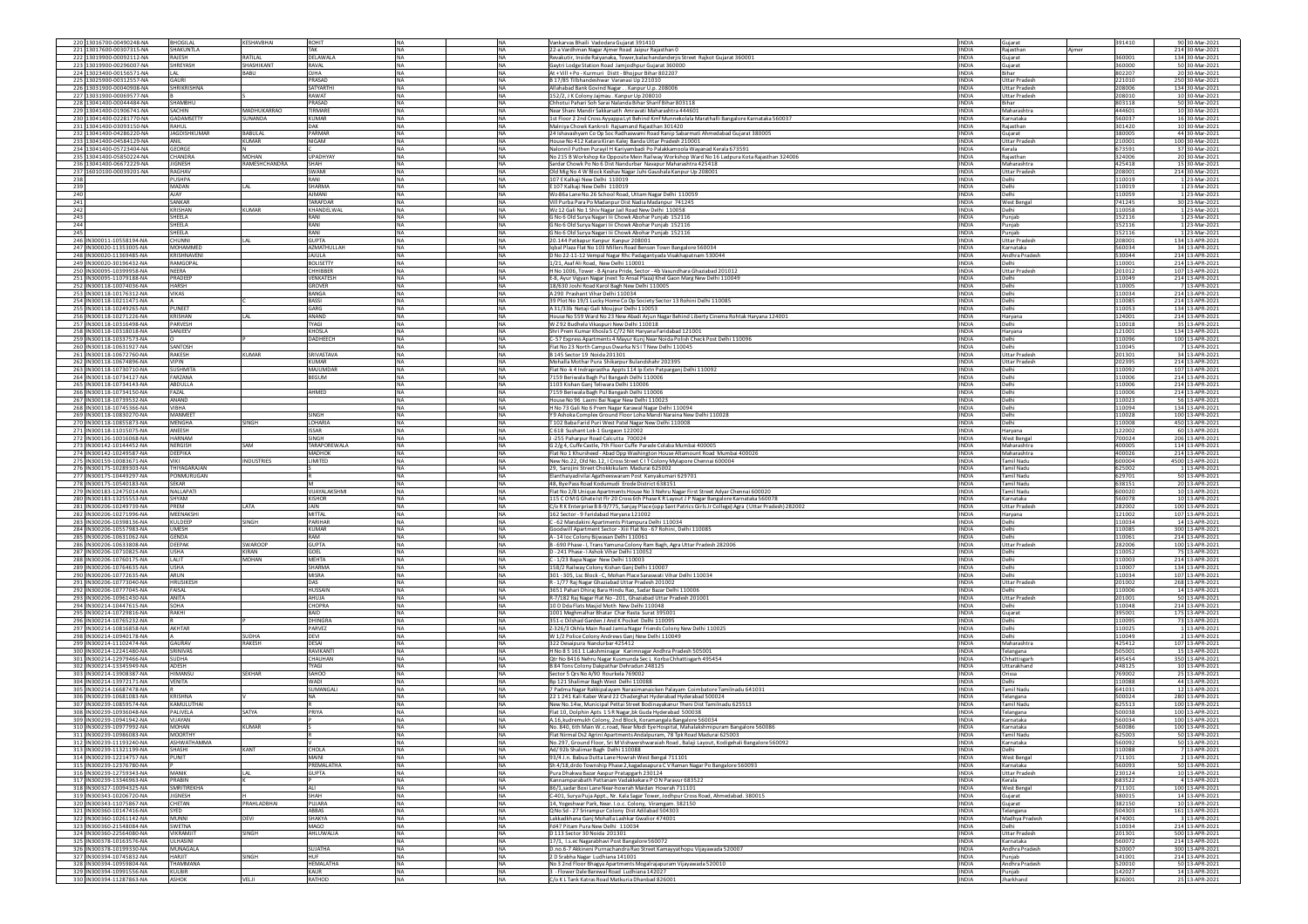|            | 220 13016700-00490248-NA                             | BHOGILAL                                   | KESHAVBHAI              | ROHIT                               | <b>INA</b>                  | <b>NA</b>              | Vankarvas Bhaili Vadodara Gujarat 391410                                                                                                                              | <b>INDIA</b>                 | Gujarat                                      | 391410           | 90 30-Mar-2021                      |
|------------|------------------------------------------------------|--------------------------------------------|-------------------------|-------------------------------------|-----------------------------|------------------------|-----------------------------------------------------------------------------------------------------------------------------------------------------------------------|------------------------------|----------------------------------------------|------------------|-------------------------------------|
|            | 221 13017600-00307315-NA<br>222 13019900-00092112-NA | SHAKUNTLA<br>RAJESH                        | RATILAL                 | DELAWALA                            | NA<br><b>INA</b>            | <b>NA</b><br>NA        | 22-a Vardhman Nagar Ajmer Road Jaipur Rajasthan C                                                                                                                     | <b>INDIA</b><br><b>INDIA</b> | Rajasthan<br>ljmer                           | 360001           | 214 30-Mar-2021<br>134 30-Mar-2021  |
|            | 223 13019900-00296007-NA                             | SHREYASH                                   | SHASHIKANT              | RAVAL                               | <b>NA</b>                   | <b>NA</b>              | Revakutir, Inside Raiyanaka, Tower, balachandanderjis Street Rajkot Gujarat 360001<br>Gaytri Lodge Station Road Jamjodhpur Gujarat 360000                             | <b>INDIA</b>                 | Gujarat<br>Gujarat                           | 360000           | 50 30-Mar-2021                      |
|            | 224 13023400-00156571-NA                             |                                            | BABU                    | OIHA                                | <b>NA</b>                   | <b>NA</b>              | At + Vill + Po - Kurmuri Distt - Bhojpur Bihar 802207                                                                                                                 | <b>INDIA</b>                 | Rihar                                        | 802207           | 20 30-Mar-2021                      |
|            | 225 13025900-00312557-NA                             | GAURI                                      |                         | PRASAD                              | NA                          | <b>NA</b>              | B 17/85 Tilbhandeshwar Varanasi Up 221010                                                                                                                             | <b>INDIA</b>                 | <b>Uttar Prades</b>                          | 221010           | 250 30-Mar-2021                     |
|            | 226 13031900-00040908-NA<br>227 13031900-00069577-NA | SHRIKRISHNA                                |                         | SATYARTHI<br>RAWAT                  | <b>NA</b><br><b>NA</b>      | <b>NA</b><br><b>NA</b> | Allahabad Bank Govind NagarKanpur U.p. 208006<br>152/2, J K Colony Jajmau . Kanpur Up 208010                                                                          | <b>INDIA</b><br><b>INDIA</b> | <b>Uttar Pradesh</b><br><b>Uttar Pradesh</b> | 208006<br>208010 | 134 30-Mar-2021<br>10 30-Mar-2021   |
|            | 228 13041400-00044484-NA                             | SHAMBHU                                    |                         | PRASAD                              | <b>NA</b>                   | <b>NA</b>              | Chhotui Pahari Soh Sarai Nalanda Bihar Sharif Bihar 803118                                                                                                            | <b>INDIA</b>                 | <b>Rihar</b>                                 | 803118           | 50 30-Mar-2021                      |
|            | 229 13041400-01906741-NA                             | ACHIN                                      | MADHUKARRAC             | TIRMARE                             | NA                          | <b>NA</b>              | Near Shani Mandir Sakkarsath Amravati Maharashtra 44460:                                                                                                              | INDIA                        | Maharashtra                                  | 444601           | 10 30-Mar-2021                      |
|            | 230 13041400-02281770-NA                             | GADAMSETTY                                 | SUNANDA                 | <b>KUMAR</b>                        | <b>INA</b>                  | <b>NA</b>              | 1st Floor 2 2nd Cross Ayyappa Lyt Behind Kmf Munnekolala Marathalli Bangalore Karnataka 560037                                                                        | <b>INDIA</b>                 | Karnataka                                    | 560037           | 16 30-Mar-2021                      |
|            | 231 13041400-03093150-NA<br>232 13041400-04286220-NA | RAHUL                                      | <b>BABULAL</b>          | <b>DAK</b><br>PARMAR                | <b>NA</b><br><b>NA</b>      | <b>NA</b><br><b>NA</b> | Malniya Chowk Kankroli Raisamand Raiasthan 301420                                                                                                                     | <b>INDIA</b><br><b>INDIA</b> | Raiasthan                                    | 301420<br>380005 | 10 30-Mar-2021                      |
|            | 233 13041400-04584129-NA                             | <b>JAGDISHKUMAR</b><br>ANIL                | KUMAR                   | NIGAM                               | NA                          | <b>NA</b>              | 24 Ishavashyam Co Op Soc Radhaswami Road Ranip Sabarmati Ahmedabad Gujarat 380005<br>House No 412 Katara Kiran Kalej Banda Uttar Pradesh 210001                       | <b>INDIA</b>                 | Gujarat<br><b>Uttar Pradesh</b>              | 210001           | 44 30-Mar-2021<br>100 30-Mar-2021   |
|            | 234 13041400-05723404-NA                             | GEORGE                                     |                         |                                     | <b>INA</b>                  | <b>NA</b>              | Nalonnil Puthen Purayil H Kariyambadi Po Palakkamoola Wayanad Kerala 673591                                                                                           | <b>INDIA</b>                 | Kerala                                       | 673591           | 37 30-Mar-2021                      |
|            | 235 13041400-05850224-NA                             | CHANDRA                                    | MOHAN                   | LIPADHYAY                           | <b>NA</b>                   | <b>NA</b>              | No 215 B Workshop Ke Opposite Mein Railway Workshop Ward No 16 Ladpura Kota Rajasthan 324006                                                                          | <b>INDIA</b>                 | Rajasthan                                    | 324006           | 20 30-Mar-2021                      |
|            | 236 13041400-06672229-NA                             | <b>IIGNESH</b>                             | RAMESHCHANDRA           | SHAH                                |                             | <b>NA</b>              | Sardar Chowk Po No 6 Dist Nandurbar Navapur Maharashtra 425418                                                                                                        | <b>INDIA</b>                 | Maharashtra                                  | 425418           | 15 30-Mar-2021                      |
| 238        | 237 16010100-00039201-NA                             | RAGHAV<br><b>PUSHPA</b>                    |                         | SWAMI<br>RANI                       | NA<br><b>NA</b>             | NA<br><b>NA</b>        | Old Mig No 4 W Block Keshav Nagar Juhi Gaushala Kanpur Up 208001<br>107 E Kalkaii New Delhi 110019                                                                    | INDIA<br><b>INDIA</b>        | <b>Jttar Pradesh</b><br>Delhi                | 208001<br>110019 | 214 30-Mar-2021<br>1 23-Mar-2021    |
| 239        |                                                      | <b>MADAN</b>                               | LAL                     | <b>SHARMA</b>                       | <b>NA</b>                   | <b>NA</b>              | E 107 Kalkaji New Delhi 110019                                                                                                                                        | <b>INDIA</b>                 | Delhi                                        | 110019           | 1 23-Mar-2021                       |
| 240        |                                                      | AJAY                                       |                         | <b>AIMANI</b>                       | NA                          | <b>NA</b>              | Wz-86a Lane No.26 School Road, Uttam Nagar Delhi 110059                                                                                                               | INDIA                        | Delhi                                        | 10059            | 1 23-Mar-2021                       |
| 241        |                                                      | SANKAR                                     |                         | TARAFDAR                            | <b>NA</b>                   | <b>NA</b>              | Vill Purba Para Po Madanpur Dist Nadia Madanpur 741245                                                                                                                | <b>INDIA</b>                 | <b>West Benga</b>                            | 741245           | 30 23-Mar-2021                      |
| 242<br>243 |                                                      | KRISHAN<br>SHEELA                          | <b>KUMAR</b>            | KHANDELWAL<br>RANI                  | <b>INA</b><br><b>INA</b>    | <b>NA</b><br><b>NA</b> | Wz 12 Gali No 1 Shiv Nagar Jail Road New Delhi 110058                                                                                                                 | <b>INDIA</b><br><b>INDIA</b> | Delhi<br>Punjab                              | 110058           | 1 23-Mar-2021<br>1 23-Mar-2021      |
| 244        |                                                      | SHEELA                                     |                         | RANI                                | NA                          | <b>NA</b>              | G No 6 Old Surya Nagari Iii Chowk Abohar Punjab 152116<br>G No 6 Old Surya Nagari Iii Chowk Abohar Punjab 152116                                                      | <b>INDIA</b>                 | Punjab                                       | 152116<br>152116 | 1 23-Mar-2021                       |
| 245        |                                                      | SHEELA                                     |                         | RANI                                | <b>NA</b>                   | <b>NA</b>              | 3 No 6 Old Surya Nagari Iii Chowk Abohar Punjab 152116                                                                                                                | <b>INDIA</b>                 | Punjab                                       | 152116           | 1 23-Mar-2021                       |
|            | 246 IN300011-10558194-NA                             | CHUNNI                                     | LAL                     | <b>GUPTA</b>                        | <b>NA</b>                   | <b>NA</b>              | 20.144 Patkapur Kanpur Kanpur 208001                                                                                                                                  | <b>INDIA</b>                 | <b>Uttar Pradesh</b>                         | 208001           | 134 13-APR-2021                     |
|            | 247 IN300020-11353005-NA<br>248 IN300020-11369485-NA | <b>MOHAMMED</b><br><b><i>RISHNAVEN</i></b> |                         | <b>AZMATHULLAH</b><br><b>JAJULA</b> | <b>NA</b><br>NA             | <b>NA</b><br><b>NA</b> | Iqbal Plaza Flat No 103 Millers Road Benson Town Bangalore 560034                                                                                                     | <b>INDIA</b><br>INDIA        | Karnataka<br>Andhra Pradesi                  | 560034<br>30044  | 34 13-APR-2021<br>214 13-APR-2021   |
|            | 249 IN300020-30196432-NA                             | <b>RAMGOPAI</b>                            |                         | <b>BOLISETTY</b>                    | <b>NA</b>                   | <b>NA</b>              | D No 22-11-12 Vempal Nagar Rhc Padagantyada Visakhapatnam 530044<br>1/21, Asaf Ali Road, New Delhi 110001                                                             | <b>INDIA</b>                 | Delhi                                        | 110001           | 214 13-APR-2021                     |
|            | 250 IN300095-10399958-NA                             | NEERA                                      |                         | CHHIBBER                            | <b>NA</b>                   | <b>NA</b>              | H No 1006, Tower - B Ajnara Pride, Sector - 4b Vasundhara Ghaziabad 201012                                                                                            | <b>INDIA</b>                 | Uttar Pradesh                                | 201012           | 107 13-APR-2021                     |
|            | 251 IN300095-11079188-NA                             | PRADEEP                                    |                         | VENKATESH                           | NA                          | NA                     | E-8, Ayur Vigyan Nagar (next To Ansal Plaza) Khel Gaon Marg New Delhi 110049                                                                                          | <b>INDIA</b>                 | delhi                                        | 10049            | 214 13-APR-2021                     |
|            | 252 IN300118-10074036-NA                             | <b>HARSH</b><br>VIKAS                      |                         | <b>GROVER</b><br>BANGA              | NA.<br><b>NA</b>            | NA<br><b>NA</b>        | 18/630 Joshi Road Karol Bagh New Delhi 110005                                                                                                                         | <b>INDIA</b><br><b>INDIA</b> | Delhi<br>Delhi                               | 110005           | 7 13-APR-2021<br>214 13-APR-2021    |
|            | 253 IN300118-10176312-NA<br>254 IN300118-10211471-NA |                                            |                         | <b>BASSI</b>                        | <b>NA</b>                   | <b>NA</b>              | A 290 Prashant Vihar Delhi 110034<br>39 Plot No 19/1 Lucky Home Co Op Society Sector 13 Rohini Delhi 110085                                                           | <b>INDIA</b>                 | Delhi                                        | 110034<br>110085 | 214 13-APR-2021                     |
|            | 255 IN300118-10249265-NA                             | PUNEET                                     |                         | GARG                                | NA                          | <b>NA</b>              | A 31/33b Netaji Gali Moujpur Delhi 110053                                                                                                                             | <b>INDIA</b>                 | Delhi                                        | 10053            | 134 13-APR-2021                     |
|            | 256 IN300118-10271226-NA                             | KRISHAN                                    | LAL                     | ANAND                               | NA                          | <b>NA</b>              | House No 559 Ward No 23 New Abadi Arjun Nagar Behind Liberty Cinema Rohtak Haryana 124001                                                                             | <b>INDIA</b>                 | Haryana                                      | 124001           | 214 13-APR-2021                     |
|            | 257 IN300118-10316498-NA                             | PARVESH                                    |                         | <b>TYAG1</b><br><b>KHOSLA</b>       | <b>NA</b><br><b>NA</b>      | <b>NA</b><br><b>NA</b> | W Z92 Budhela Vikaspuri New Delhi 110018                                                                                                                              | <b>INDIA</b><br><b>INDIA</b> | Delhi                                        | 110018           | 35 13-APR-2021                      |
|            | 258 IN300118-10318018-NA<br>259 IN300118-10337573-NA | SANJEEV                                    |                         | DADHEECH                            | NA                          | <b>NA</b>              | Shri Prem Kumar Khosla 5 C/72 Nit Haryana Faridabad 121001<br>- 57 Express Apartments 4 Mayur Kunj Near Noida Polish Check Post Delhi 110096                          | INDIA                        | Haryana<br>Delhi                             | 121001<br>10096  | 134 13-APR-2021<br>100 13-APR-2021  |
|            | 260 IN300118-10631927-NA                             | SANTOSH                                    |                         |                                     | <b>NA</b>                   | <b>NA</b>              | Flat No 23 North Campus Dwarka N S I T New Delhi 110045                                                                                                               | <b>INDIA</b>                 | Delhi                                        | 110045           | 7 13-APR-2021                       |
|            | 261 IN300118-10672760-NA                             | RAKESH                                     | <b>KUMAR</b>            | SRIVASTAVA                          | <b>INA</b>                  | <b>NA</b>              | B 145 Sector 19 Noida 201301                                                                                                                                          | <b>INDIA</b>                 | <b>Uttar Pradesh</b>                         | 201301           | 34 13-APR-2021                      |
|            | 262 IN300118-10674896-NA                             | VIPIN                                      |                         | KUMAR                               | <b>NA</b>                   | <b>NA</b>              | Mohalla Mothar Pura Shikarpur Bulandshahr 202395                                                                                                                      | <b>INDIA</b>                 | <b>Uttar Pradesh</b>                         | 202395           | 214 13-APR-2021                     |
|            | 263 IN300118-10730710-NA<br>264 IN300118-10734127-NA | SUSHMITA<br>FARZANA                        |                         | MAJUMDAR<br><b>BEGUM</b>            | NA<br><b>INA</b>            | <b>NA</b><br><b>NA</b> | Flat No -k 4 Indraprastha Appts 114 Ip Extn Patparganj Delhi 110092<br>7159 Beriwala Bagh Pul Bangash Delhi 110006                                                    | <b>INDIA</b><br><b>INDIA</b> | Delhi<br>Jelhi                               | 110092<br>110006 | 107 13-APR-2021<br>214 13-APR-2021  |
|            | 265 IN300118-10734143-NA                             | ABDULLA                                    |                         |                                     | <b>NA</b>                   | <b>NA</b>              | 1103 Kishan Ganj Teliwara Delhi 110006                                                                                                                                | <b>INDIA</b>                 | Delhi                                        | 10006            | 214 13-APR-2021                     |
|            | 266 IN300118-10734150-NA                             | FAZAL                                      |                         | AHMED                               | NA                          | <b>NA</b>              | 7159 Beriwala Bagh Pul Bangash Delhi 110006                                                                                                                           | <b>INDIA</b>                 | Delhi                                        | 10006            | 214 13-APR-2021                     |
|            | 267 IN300118-10739532-NA                             | ANAND                                      |                         |                                     | <b>NA</b>                   | <b>NA</b>              | House No 96 Laxmi Bai Nagar New Delhi 110023                                                                                                                          | <b>INDIA</b>                 | Delhi                                        | 110023           | 56 13-APR-2021                      |
|            | 268 IN300118-10745366-NA                             | VIBHA<br><b>MANMEET</b>                    |                         | SINGH                               | <b>NA</b><br><b>NA</b>      | <b>NA</b><br><b>NA</b> | H No 73 Gali No 6 Prem Nagar Karawal Nagar Delhi 110094                                                                                                               | <b>INDIA</b><br><b>INDIA</b> | Delhi                                        | 110094<br>110028 | 134 13-APR-2021                     |
|            | 269 IN300118-10830270-NA<br>270 IN300118-10855873-NA | <b>MENGHA</b>                              | <b>SINGH</b>            | LOHARIA                             | NA                          | <b>NA</b>              | Y 9 Ashoka Complex Ground Floor Loha Mandi Naraina New Delhi 110028<br>T102 Baba Farid Puri West Patel Nagar New Delhi 110008                                         | INDIA                        | Delhi<br>Delhi                               | 10008            | 100 13-APR-2021<br>450 13-APR-2021  |
|            | 271 IN300118-11015075-NA                             | ANEESH                                     |                         | <b>ISSAR</b>                        | <b>NA</b>                   | <b>NA</b>              | C 618 Sushant Lok-1 Gurgaon 122002                                                                                                                                    | <b>INDIA</b>                 | Haryana                                      | 122002           | 60 13-APR-2021                      |
|            | 272 IN300126-10016068-NA                             | HARNAM                                     |                         | SINGH                               | <b>NA</b>                   | <b>NA</b>              | J-255 Paharpur Road Calcutta 700024                                                                                                                                   | <b>INDIA</b>                 | <b>West Bengal</b>                           | 700024           | 206 13-APR-2021                     |
|            | 273 IN300142-10144452-NA                             | NERGISH                                    | <b>NA2</b>              | <b>TARAPOREWALA</b>                 | <b>NA</b>                   | <b>NA</b>              | G 2/g 4, Cuffe Castle, 7th Floor Cuffe Parade Colaba Mumbai 400005                                                                                                    | <b>INDIA</b>                 | Maharashtra                                  | 400005           | 114 13-APR-2021                     |
|            | 274 IN300142-10249587-NA<br>275 IN300159-10083671-NA | DEEPIKA<br><b>VIKI</b>                     | NDUSTRIES               | MADHOK<br>LIMITED                   | NA<br><b>NA</b>             | <b>NA</b><br><b>NA</b> | Flat No 1 Khursheed - Abad Opp Washington House Altamount Road Mumbai 400026<br>New No.22, Old No.12, I Cross Street C I T Colony Mylapore Chennai 600004             | <b>INDIA</b><br><b>INDIA</b> | Maharashtra<br>Tamil Nadu                    | 400026<br>600004 | 214 13-APR-2021<br>4500 13-APR-2021 |
|            | 276 IN300175-10289303-NA                             |                                            |                         |                                     |                             |                        |                                                                                                                                                                       |                              |                                              |                  |                                     |
|            |                                                      | THIYAGARAJAN                               |                         |                                     | <b>NA</b>                   | <b>NA</b>              | 29. Sarojini Street Chokkikulam Madurai 625002                                                                                                                        | <b>INDIA</b>                 | Tamil Nadu                                   | 625002           | 1 13-APR-2021                       |
|            | 277 IN300175-10449297-NA                             | PONMURUGAN                                 |                         |                                     | NA                          | <b>NA</b>              |                                                                                                                                                                       | <b>INDIA</b>                 | <b>Tamil Nadu</b>                            | 629701           |                                     |
|            | 278 IN300175-10540183-NA                             | <b>SEKAR</b>                               |                         |                                     | NA                          | NA                     | Elanthaiyadivilai Agatheeswaram Post Kanyakumari 629701<br>48, Bye Pass Road Kodumudi Erode District 638151                                                           | INDIA                        | <b>Tamil Nadu</b>                            | 638151           | 50 13-APR-2021<br>20 13-APR-2021    |
|            | 279 IN300183-12475014-NA                             | <b>NALLAPATI</b>                           |                         | VIJAYALAKSHMI                       | <b>NA</b>                   | <b>NA</b>              | Flat No 2/8 Unique Apartments House No 3 Nehru Nagar First Street Adyar Chennai 600020                                                                                | <b>INDIA</b>                 | Tamil Nadu                                   | 600020           | 10 13-APR-2021                      |
|            | 280 IN300183-13255553-NA                             | SHYAM                                      |                         | KISHOR                              | <b>NA</b>                   | <b>NA</b>              | 115 COM G Ghate Ist FIr 20 Cross 6th Phase K R Layout J P Nagar Bangalore Karnataka 560078                                                                            | <b>INDIA</b>                 | Karnataka                                    | 560078           | 10 13-APR-2021                      |
|            | 281 IN300206-10249739-NA                             | PREM<br>MEENAKSH                           | LATA                    | <b>JAIN</b><br><b>MITTAL</b>        | NA                          | <b>NA</b>              | C/o R K Enterprise B 8-9/775, Sanjay Place (opp Sant Patrics Girls Jr College) Agra (Uttar Pradesh) 282002<br>162 Sector - 9 Faridabad Haryana 121002                 | <b>INDIA</b>                 | <b>Uttar Pradesh</b><br>Haryana              | 282002           | 100 13-APR-2021                     |
|            | 282 IN300206-10271996-NA<br>283 IN300206-10398136-NA | KULDEEP                                    | SINGH                   | PARIHAR                             | <b>NA</b><br><b>INA</b>     | <b>NA</b><br><b>NA</b> | C - 62 Mandakini Apartments Pitampura Delhi 110034                                                                                                                    | <b>INDIA</b><br><b>INDIA</b> | Delhi                                        | 121002<br>10034  | 107 13-APR-2021<br>14 13-APR-2021   |
|            | 284 IN300206-10557983-NA                             | <b>UMESH</b>                               |                         | KUMAR                               | <b>INA</b>                  | <b>NA</b>              | Goodwill Apartment Sector - Xiii Flat No - 67 Rohini, Delhi 110085                                                                                                    | <b>INDIA</b>                 | Delhi                                        | 110085           | 300 13-APR-2021                     |
|            | 285 IN300206-10631062-NA                             | GENDA                                      |                         | RAM                                 | NA                          | <b>NA</b>              | A-14 loc Colony Bijwasan Delhi 110061                                                                                                                                 | <b>INDIA</b>                 | Delhi                                        | 10061            | 214 13-APR-2021                     |
|            | 286 IN300206-10633808-NA<br>287 IN300206-10710825-NA | DEEPAK<br>USHA                             | <b>SWAROOP</b><br>KIRAN | <b>GUPTA</b><br>GOEL                | N <sub>A</sub><br><b>NA</b> | <b>NA</b><br><b>NA</b> | 8 - 690 Phase - I, Trans Yamuna Colony Ram Bagh, Agra Uttar Pradesh 282006<br>D - 241 Phase - I Ashok Vihar Delhi 110052                                              | <b>INDIA</b><br><b>INDIA</b> | <b>Uttar Pradesh</b><br>Delhi                | 282006<br>110052 | 100 13-APR-2021<br>75 13-APR-2021   |
|            | 288 IN300206-10760175-NA                             | LALIT                                      | <b>MOHAN</b>            | <b>MEHTA</b>                        | <b>NA</b>                   | <b>NA</b>              | C - 1/23 Bapa Nagar New Delhi 110003                                                                                                                                  | <b>INDIA</b>                 | Delhi                                        | 110003           | 214 13-APR-2021                     |
|            | 289 IN300206-10764635-NA                             | USHA                                       |                         | <b>SHARMA</b>                       | NA                          | <b>NA</b>              | 158/2 Railway Colony Kishan Ganj Delhi 110007                                                                                                                         | INDIA                        | Delhi                                        | 10007            | 134 13-APR-2021                     |
|            | 290 IN300206-10772635-NA                             | ARUN<br><b>HRUSIKESH</b>                   |                         | MISRA<br>DAS                        | <b>NA</b><br><b>INA</b>     | <b>NA</b><br><b>NA</b> | 301 - 305, Lsc Block - C, Mohan Place Saraswati Vihar Delhi 110034                                                                                                    | <b>INDIA</b><br><b>INDIA</b> | Delhi<br><b>Uttar Pradesh</b>                | 110034<br>201002 | 107 13-APR-2021                     |
|            | 291 IN300206-10773040-NA<br>292 IN300206-10777045-NA | FAISAL                                     |                         | HUSSAIN                             | NA                          | NA                     | R - 1/77 Raj Nagar Ghaziabad Uttar Pradesh 201002                                                                                                                     | INDIA                        |                                              | 10006            | 268 13-APR-2021<br>14 13-APR-2021   |
|            | 293 IN300206-10961430-NA                             | ANITA                                      |                         | AHUJA                               | <b>INA</b>                  | NA                     | 3651 Pahari Dhiraj Bara Hindu Rao, Sadar Bazar Delhi 110006<br>R-7/182 Raj Nagar Flat No - 201, Ghaziabad Uttar Pradesh 201001                                        | <b>INDIA</b>                 | <b>Uttar Pradesh</b>                         | 201001           | 50 13-APR-2021                      |
|            | 294 IN300214-10447615-NA                             | SOHA                                       |                         | CHOPRA                              | <b>NA</b>                   | <b>NA</b>              | 10 D Dda Flats Masjid Moth New Delhi 110048                                                                                                                           | <b>INDIA</b>                 | Jelhi                                        | 10048            | 214 13-APR-2021                     |
|            | 295 IN300214-10729816-NA                             | RAKHI                                      |                         | <b>BAID</b><br>DHINGRA              | <b>NA</b>                   | <b>NA</b>              | 1001 Meghmalhar Bhatar Char Rasta Surat 395001                                                                                                                        | <b>INDIA</b>                 | Gujarat                                      | 395001           | 175 13-APR-2021                     |
|            | 296 IN300214-10765232-NA<br>297 IN300214-10816858-NA | AKHTAR                                     |                         | PARVEZ                              | NA<br>NA                    | <b>NA</b><br><b>NA</b> | 351-c Dilshad Garden J And K Pocket Delhi 110095<br>Z-326/3 Okhla Main Road Jamia Nagar Friends Colony New Delhi 110025                                               | <b>INDIA</b><br><b>INDIA</b> | Delhi<br>Delhi                               | 110095<br>10025  | 73 13-APR-2021<br>1 13-APR-2021     |
|            | 298 IN300214-10940178-NA                             |                                            | <b>SUDHA</b>            | DEVI                                | <b>NA</b>                   | <b>NA</b>              | W 1/2 Police Colony Andrews Gani New Delhi 110049                                                                                                                     | <b>INDIA</b>                 | Delhi                                        | 110049           | 2 13-APR-2021                       |
|            | 299 IN300214-11102474-NA                             | GALIRAV                                    | RAKESH                  | DESAI                               | <b>INA</b>                  | <b>NA</b>              | 322 Desaipura Nandurbar 425412                                                                                                                                        | <b>INDIA</b>                 | Maharashtra                                  | 425412           | 107 13-APR-2021                     |
|            | 300 IN300214-12241480-NA<br>301 IN300214-12979466-NA | RINIVAS<br>SUDHA                           |                         | RAVIKANTI                           | NA<br><b>NA</b>             | <b>NA</b>              | H No 8 5 161 1 Lakshminagar Karimnagar Andhra Pradesh 505001<br>Qtr No B416 Nehru Nagar Kusmunda Sec L Korba Chhattisgarh 495454                                      | <b>INDIA</b><br><b>INDIA</b> | Telangana                                    | 605001<br>495454 | 15 13-APR-2021                      |
|            | 302 IN300214-13345949-NA                             | ADESH                                      |                         | CHAUHAN<br><b>TYAGI</b>             | <b>NA</b>                   | <b>NA</b><br><b>NA</b> | B.84 Tons Colony Dakoathar Debradun 248125                                                                                                                            | <b>INDIA</b>                 | Chhattisgarh<br>Uttarakhand                  | 248125           | 350 13-APR-2021<br>10 13-APR-2021   |
|            | 303 IN300214-13908387-NA                             | <b>HIMANSU</b>                             | <b>SEKHAR</b>           | SAHOO                               | <b>NA</b>                   | <b>NA</b>              | Sector 5 Qrs No A/90 Rourkela 769002                                                                                                                                  | <b>INDIA</b>                 | Orissa                                       | 769002           | 25 13-APR-2021                      |
|            | 304 IN300214-13972171-NA                             | VENITA                                     |                         | WADI                                | NA                          | <b>NA</b>              | Bp 121 Shalimar Bagh West Delhi 110088                                                                                                                                | <b>INDIA</b>                 |                                              | 110088           | 44 13-APR-2021                      |
|            | 305 IN300214-16687478-NA                             |                                            |                         | <b>JUMANGALI</b>                    | NA                          | <b>NA</b>              | 7 Padma Nagar Rakkipalayam Narasimanaicken Palayam Coimbatore Tamilnadu 641031                                                                                        | <b>INDIA</b>                 | amil Nadu                                    | 641031           | 12 13-APR-2021                      |
|            | 306 IN300239-10681083-NA<br>307 IN300239-10859574-NA | KRISHNA<br>KAMULUTHA                       |                         |                                     | <b>NA</b>                   | <b>NA</b>              | 22 1 241 Kali Kaber Ward 22 Chaderghat Hyderabad Hyderabad 500024                                                                                                     | <b>INDIA</b><br><b>INDIA</b> | <b>Telangana</b><br><b>Tamil Nadu</b>        | 500024<br>625513 | 280 13-APR-2021                     |
|            | 308 IN300239-10936048-NA                             | PALIVELA                                   | SATYA                   | PRIYA                               | <b>NA</b>                   | NA<br>NA               | New No.14w, Municipal Pettai Street Bodinayakanur Theni Dist Tamilnadu 625513<br>Flat 10, Dolphin Apts 1 SR Nagar, bk Guda Hyderabad 500038                           | <b>INDIA</b>                 | lelangana                                    | 500038           | 100 13-APR-2021<br>100 13-APR-2021  |
|            | 309 IN300239-10941942-NA                             | VIJAYAN                                    |                         |                                     | <b>NA</b>                   | <b>NA</b>              | A.16, kudremukh Colony, 2nd Block, Koramangala Bangalore 560034                                                                                                       | <b>INDIA</b>                 | Karnataka                                    | 560034           | 100 13-APR-2021                     |
|            | 310 IN300239-10977992-NA                             | MOHAN                                      | KUMAR                   |                                     | <b>NA</b>                   | <b>NA</b>              | No. 840, 6th Main W.c.road, Near Modi Eye Hospital, Mahalakshmipuram Bangalore 560086                                                                                 | <b>INDIA</b>                 | Karnataka                                    | 560086           | 100 13-APR-2021                     |
|            |                                                      | <b>ASHWATHAMMA</b>                         |                         |                                     |                             |                        | ai Usz Agri                                                                                                                                                           |                              | Karnataka                                    |                  |                                     |
|            | 312 IN300239-11193240-NA<br>313 IN300239-11321199-NA | SHASHI                                     | KANT                    | CHOLA                               | <b>NA</b><br><b>NA</b>      | <b>NA</b><br><b>NA</b> | No.297, Ground Floor, Sri M Vishwershwaraiah Road, Balaji Layout, Kodigehali Bangalore 560092<br>Ad/ 92b Shalimar Bagh Delhi 110088                                   | <b>INDIA</b><br><b>INDIA</b> | Delhi                                        | 560092<br>10088  | 50 13-APR-2021<br>7 13-APR-2021     |
|            | 314 IN300239-12214757-NA                             | PUNIT                                      |                         | MAINI                               | <b>NA</b>                   | <b>NA</b>              | 93/4 J.n. Babua Dutta Lane Howrah West Bengal 711101                                                                                                                  | <b>INDIA</b>                 | <b>West Bengal</b>                           | 711101           | 2 13-APR-2021                       |
|            | 315 IN300239-12376780-NA                             |                                            |                         | PREMALATHA                          | NA                          | <b>NA</b>              | Sh 4/18, drdo Township Phase 2, kagadasapura C V Raman Nagar Po Bangalore 560093                                                                                      | <b>INDIA</b>                 | Karnataka                                    | 560093           | 50 13-APR-2021                      |
|            | 316 IN300239-12759343-NA<br>317 IN300239-13346963-NA | MANIK<br>PRABIN                            | LAL                     | <b>GUPTA</b>                        | <b>NA</b><br><b>NA</b>      | <b>NA</b><br><b>NA</b> | Pura Dhakwa Bazar Aaspur Pratapearh 230124<br>Kannamparabath Pattanam Vadakkekara P O N Paravur 683522                                                                | <b>INDIA</b><br><b>INDIA</b> | <b>Uttar Pradesh</b><br>Kerala               | 230124<br>683522 | 10 13-APR-2021<br>4 13-APR-2021     |
|            | 318 IN300327-10094325-NA                             | SMRITIREKHA                                |                         | ALI                                 | <b>NA</b>                   | <b>NA</b>              | 86/1.sadar Boxi Lane Near-howrah Maidan Howrah 711101                                                                                                                 | <b>INDIA</b>                 | <b>West Bengal</b>                           | 711101           | 100 13-APR-2021                     |
|            | 319 IN300343-10206720-NA                             | <b>IIGNESH</b>                             |                         | SHAH                                | NA                          | <b>NA</b>              | C-401, Surya Puja Appt., Nr. Kala Sagar Tower, Jodhpur Cross Road, Ahmedabad. 380015                                                                                  | INDIA                        | Gujarat                                      | 380015           | 14 13-APR-2021                      |
|            | 320 IN300343-11075867-NA                             | CHETAN                                     | PRAHLADBHAI             | PUJARA                              | <b>NA</b>                   | <b>NA</b>              | 14, Yogeshwar Park, Near. I.o.c. Colony, Viramgam. 382150                                                                                                             | <b>INDIA</b>                 | Gujarat                                      | 382150           | 10 13-APR-2021                      |
|            | 321 IN300360-10147416-NA                             | SYED                                       |                         | ABBAS                               | <b>NA</b>                   | <b>NA</b>              | Q No Sd - 27 Srirampur Colony Dist Adilabad 504303                                                                                                                    | <b>INDIA</b>                 | Telangana                                    | 504303           | 161 13-APR-2021                     |
|            | 322 IN300360-10261142-NA<br>323 IN300360-21548084-NA | MUNNI<br>SWETNA                            | DEVI                    | SHAKYA<br>MAGO                      | <b>NA</b><br><b>NA</b>      | <b>NA</b><br><b>NA</b> | Lakkadkhana Ganj Mohalla Lashkar Gwalior 474001<br>Fd47 Pitam Pura New Delhi 110034                                                                                   | <b>INDIA</b><br><b>INDIA</b> | Madhya Pradesh<br>Delhi                      | 474001<br>110034 | 3 13-APR-2021<br>214 13-APR-2021    |
|            | 324 IN300360-22564080-NA                             | VIKRAMJIT                                  | SINGH                   | AHLUWALIA                           | <b>NA</b>                   | <b>NA</b>              | D 113 Sector 30 Noida 201301                                                                                                                                          | <b>INDIA</b>                 | <b>Uttar Pradesh</b>                         | 201301           | 500 13-APR-2021                     |
|            | 325 IN300378-10163576-NA                             | UI HASINI                                  |                         |                                     | <b>NA</b>                   | <b>NA</b>              | 17/1, I.s.ec Nagarabhavi Post Bangalore 560072                                                                                                                        | <b>INDIA</b>                 | Karnataka                                    | 560072           | 214 13-APR-2021                     |
|            | 326 IN300378-10199330-NA                             | MUNAGALA                                   |                         | SUJATHA                             | NA                          | <b>NA</b>              | D.no.6-7 Akkineni Purnachandra Rao Street Kamayyathopu Vijayawada 520007                                                                                              | <b>INDIA</b>                 | Andhra Pradesh                               | 520007           | 300 13-APR-2021                     |
|            | 327 IN300394-10745832-NA<br>328 IN300394-10959804-NA | HARJIT<br><b>THAMMANA</b>                  | SINGH                   |                                     | NA<br><b>NA</b>             | NA<br><b>NA</b>        | 2 D Srabha Nagar Ludhiana 141001                                                                                                                                      | <b>INDIA</b><br><b>INDIA</b> | Punjab<br>Andhra Pradesh                     | 141001<br>520010 | 214 13-APR-2021<br>50 13-APR-2021   |
|            | 329 IN300394-10991556-NA<br>330 IN300394-11287863-NA | KULBIR<br><b>ASHOK</b>                     | VELJI                   | <b>HEMALATHA</b><br>KAUR<br>RATHOD  | <b>NA</b><br>NA             | <b>NA</b><br><b>NA</b> | No 3 2nd Floor Bhagya Apartments Mogalrajapuram Vijayawada 520010<br>3 - Flower Dale Barewal Road Ludhiana 142027<br>C/o K L Tank Katras Road Matkuria Dhanbad 826001 | <b>INDIA</b><br><b>INDIA</b> | Punjab<br>Jharkhand                          | 142027<br>826001 | 14 13-APR-2021<br>25 13-APR-2021    |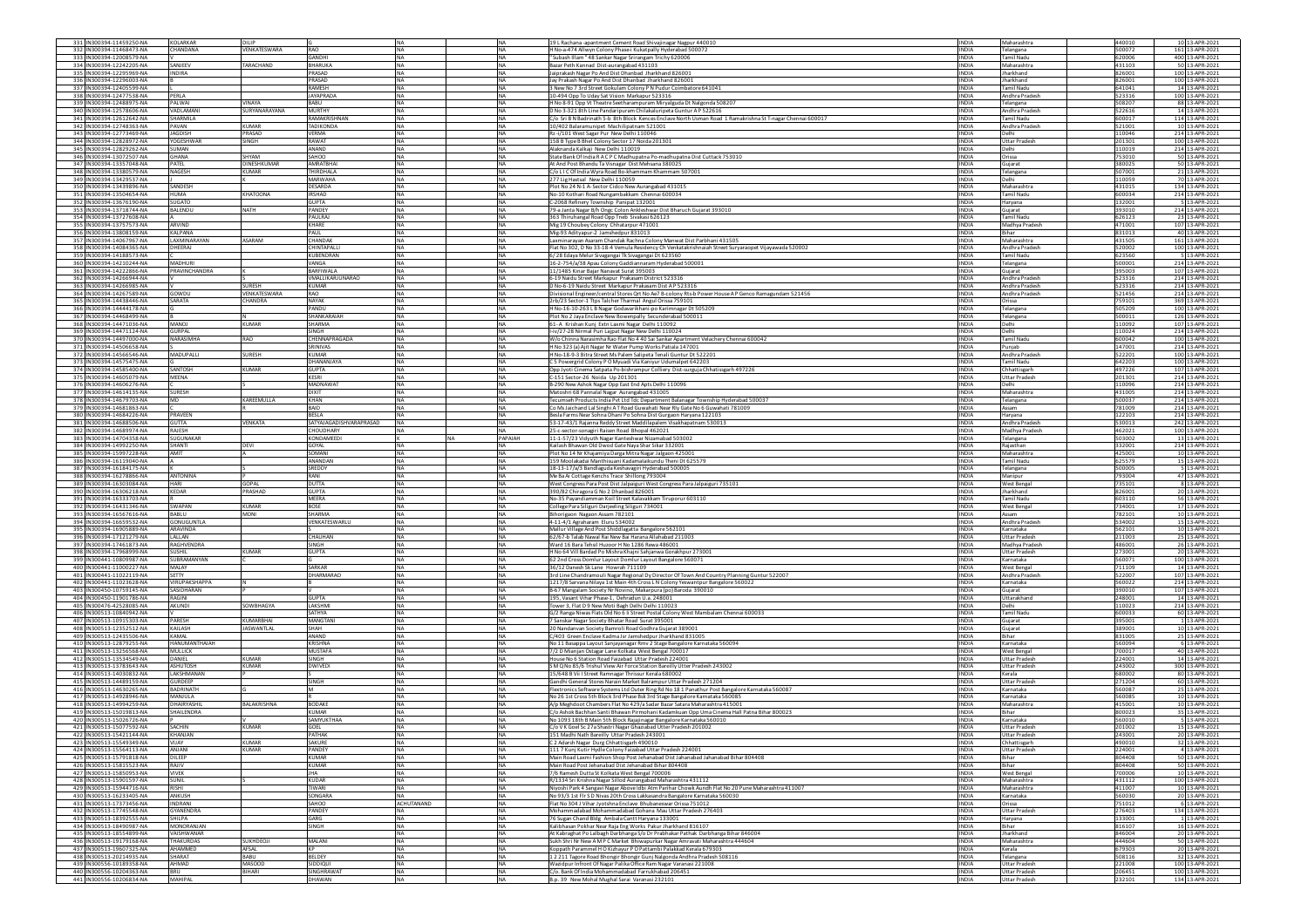| 331 IN300394-11459250-NA                             | KOLARKAR                        | DILIP               |                             | <b>NA</b>              | <b>NA</b>              | 19 L Rachana -apantment Cement Road Shivajinagar Nagpur 440010                                                                                   | <b>INDIA</b>                 | Maharashtra                          | 440010           | 10 13-APR-2021                     |
|------------------------------------------------------|---------------------------------|---------------------|-----------------------------|------------------------|------------------------|--------------------------------------------------------------------------------------------------------------------------------------------------|------------------------------|--------------------------------------|------------------|------------------------------------|
| 332 IN300394-11468473-NA                             | CHANDANA                        | <b>VENKATESWARA</b> | RAO                         | <b>NA</b>              | <b>NA</b>              | H No-a-474 Allwyn Colony Phase-i Kukatpally Hyderabad 500072                                                                                     | <b>INDIA</b>                 | Telangana                            | 500072           | 161 13-APR-2021                    |
| 333 IN300394-12008579-NA                             |                                 |                     | GANDHI                      | <b>NA</b>              | <b>NA</b>              | "Subash Illam "48 Sankar Nagar Srirangam Trichy 620006                                                                                           | <b>INDIA</b>                 | Tamil Nadu                           | 620006           | 400 13-APR-2021                    |
| 334 IN300394-12242205-NA                             | SANJEEV                         | ARACHAND            | BHARUKA                     | <b>NA</b>              | <b>NA</b>              | Bazar Peth Kannad Dist-aurangabad 431103                                                                                                         | <b>INDIA</b>                 | Maharashtra                          | 431103           | 50 13-APR-2021                     |
| 335 IN300394-12295969-NA<br>336 IN300394-12296003-NA | <b>INDIRA</b>                   |                     | PRASAD<br>PRASAD            | <b>NA</b>              | <b>NA</b>              | Jaiprakash Nagar Po And Dist Dhanbad Jharkhand 826001                                                                                            | <b>INDIA</b><br><b>INDIA</b> | Jharkhand<br>Jharkhand               | 826001<br>826001 | 100 13-APR-2021                    |
| 337 IN300394-12405599-N/                             |                                 |                     | RAMESH                      | NA.<br><b>NA</b>       | <b>NA</b><br><b>NA</b> | Jay Prakash Nagar Po And Dist Dhanbad Jharkhand 826001                                                                                           | <b>INDIA</b>                 | <b>Tamil Nadu</b>                    | 641041           | 100 13-APR-2021<br>14 13-APR-2021  |
| 338 IN300394-12477538-NA                             | PERLA                           |                     | <b>JAYAPRADA</b>            | <b>NA</b>              | <b>NA</b>              | 3 New No 7 3rd Street Gokulam Colony P N Pudur Coimbatore 641041<br>10-494 Opp To Uday Sat Vision Markapur 523316                                | <b>INDIA</b>                 | Andhra Pradesh                       | 523316           | 100 13-APR-2021                    |
| 339 IN300394-12488975-NA                             | PALWAI                          | VINAYA              | BABU                        | <b>NA</b>              | <b>NA</b>              | H No 8-91 Opp Vt Theatre Seetharampuram Miryalguda Dt Nalgonda 508207                                                                            | <b>INDIA</b>                 | Telangana                            | 508207           | 88 13-APR-2021                     |
| 340 IN300394-12578606-NA                             | VADLAMAN                        | SURYANARAYANA       | MURTHY                      | <b>NA</b>              | <b>NA</b>              | D No 3-321 8th Line Pandaripuram Chilakaluripeta Guntur AP 522616                                                                                | <b>INDIA</b>                 | Andhra Pradesi                       | 522616           | 14 13-APR-2021                     |
| 341 IN300394-12612642-NA                             | SHARMILA                        |                     | RAMAKRISHNAM                | NA                     | <b>NA</b>              | C/o Sri B N Badrinath 5-b 8th Block Kences Enclave North Usman Road 1 Ramakrishna St T-nagar Chennai 600017                                      | <b>INDIA</b>                 | <b>Tamil Nadu</b>                    | 600017           | 114 13-APR-2021                    |
| 342 IN300394-12748363-NA                             | PAVAN                           | KUMAR               | TADIKONDA                   | <b>NA</b>              | <b>NA</b>              | 10/402 Balaramunipet Machilipatnam 521001                                                                                                        | <b>INDIA</b>                 | Andhra Pradesh                       | 521001           | 10 13-APR-2021                     |
| 343 IN300394-12773469-NA                             | <b>JAGDISH</b>                  | PRASAD              | VERMA                       | <b>NA</b>              | <b>NA</b>              | Rz-i/101 West Sagar Pur New Delhi 110046                                                                                                         | <b>INDIA</b>                 | Delhi                                | 110046           | 214 13-APR-2021                    |
| 344 IN300394-12828972-NA                             | YOGESHWAR                       | SINGH               | RAWAT                       | NA.                    | <b>NA</b>              | 158 B Type B Bhel Colony Sector 17 Noida 201301                                                                                                  | <b>INDIA</b>                 | Uttar Pradesh                        | 201301           | 100 13-APR-2021                    |
| 345 IN300394-12829262-NA                             | SUMAN                           |                     | ANAND                       | <b>NA</b>              | <b>NA</b>              | Alaknanda Kalkaji New Delhi 110019                                                                                                               | <b>INDIA</b>                 | Delhi                                | 10019            | 214 13-APR-2021                    |
| 346 IN300394-13072507-NA                             | <b>GHANA</b>                    | SHYAM               | SAHOO                       | <b>NA</b>              | <b>NA</b>              | State Bank Of India RACP C Madhupatna Po-madhupatna Dist Cuttack 753010                                                                          | <b>INDIA</b>                 | Orissa                               | 753010           | 50 13-APR-2021                     |
| 347 IN300394-13357048-NA                             | PATEL                           | <b>JINESHKUMAR</b>  | <b>AMRATRHAI</b>            | <b>INA</b>             | <b>NA</b>              | At And Post Bhandu Ta Visnagar Dist Mehsana 380025                                                                                               | <b>INDIA</b>                 | Gujarat                              | 380025           | 50 13-APR-2021                     |
| 348 IN300394-13380579-NA<br>349 IN300394-13429537-NA | NAGESH                          | <b>UMAR</b>         | THIRDHALA<br><b>MARWAHA</b> | NA<br><b>NA</b>        | <b>NA</b><br><b>NA</b> | C/o LI C Of India Wyra Road Bo-khammam Khammam 507001<br>277 Lig Hastsal New Delhi 110059                                                        | <b>INDIA</b><br><b>INDIA</b> | Telangana                            | 507001<br>110059 | 21 13-APR-2021<br>70 13-APR-2021   |
| 350 IN300394-13439896-NA                             | SANDESH                         |                     | DESARDA                     | <b>NA</b>              | <b>NA</b>              | Plot No 24 N-1 A-Sector Cidco New Aurangabad 431015                                                                                              | <b>INDIA</b>                 | Delhi<br>Maharashtra                 | 431015           | 134 13-APR-2021                    |
| 351 IN300394-13504654-NA                             | HUMA                            | <b>KHATOONA</b>     | <b>IRSHAD</b>               | <b>NA</b>              | <b>NA</b>              | No-10 Kothari Road Nungambakkam Chennai 600034                                                                                                   | <b>INDIA</b>                 | Tamil Nadu                           | 600034           | 214 13-APR-2021                    |
| 352 IN300394-13676190-NA                             | <b>SUGATO</b>                   |                     | <b>GUPTA</b>                | NA                     | <b>NA</b>              | C-2068 Refinery Township Panipat 132001                                                                                                          | <b>INDIA</b>                 | Haryana                              | 132001           | 5 13-APR-2021                      |
| 353 IN300394-13718744-NA                             | BALENDU                         | <b>NATH</b>         | PANDEY                      | <b>NA</b>              | <b>NA</b>              | 79-a Janta Nagar B/h Ongc Colon Ankleshwar Dist Bharuch Gujarat 393010                                                                           | <b>INDIA</b>                 | Gujarat                              | 393010           | 214 13-APR-2021                    |
| 354 IN300394-13727608-NA                             |                                 |                     | PAULRAI                     | <b>NA</b>              | <b>NA</b>              | 363 Thiruhangal Road Opp Tneb Sivakasi 626123                                                                                                    | <b>INDIA</b>                 | Tamil Nadu                           | 626123           | 23 13-APR-2021                     |
| 355 IN300394-13757573-NA                             | ARVIND                          |                     | KHARE                       | <b>NA</b>              | <b>NA</b>              | Mig 19 Choubey Colony Chhatarpur 471001                                                                                                          | <b>INDIA</b>                 | Madhya Pradesh                       | 471001           | 107 13-APR-2021                    |
| 356 IN300394-13808159-NA                             | KALPANA                         |                     | PAUL                        | <b>NA</b>              | <b>NA</b>              | Mig-93 Adityapur-2 Jamshedpur 831013                                                                                                             | <b>INDIA</b>                 | Bihar                                | 831013           | 40 13-APR-2021                     |
| 357 IN300394-14067967-NA                             | LAXMINARAYAN                    | <b>ASARAM</b>       | CHANDAK                     | NA                     | <b>NA</b>              | Laxminarayan Asaram Chandak Rachna Colony Manwat Dist Parbhani 431505                                                                            | <b>INDIA</b>                 | Maharashtra                          | 431505           | 161 13-APR-2021                    |
| 358 IN300394-14084365-NA                             | DHEERAI                         |                     | CHINTAPALLI                 | <b>NA</b>              | <b>NA</b>              | Flat No 302, D No 33-18-4 Vemula Residency Ch Venkatakrishnaiah Street Suryaraopet Vijayawada 520002                                             | <b>INDIA</b>                 | Andhra Pradesh                       | 520002           | 100 13-APR-2021                    |
| 359 IN300394-14188573-NA                             |                                 |                     | KURENDRAN                   | <b>NA</b>              | <b>NA</b>              | 6/28 Edaya Melur Sivagangai Tk Sivagangai Dt 623560                                                                                              | <b>INDIA</b>                 | Tamil Nadu                           | 623560           | 5 13-APR-2021                      |
| 360 IN300394-14210244-NA                             | <b>MADHURI</b><br>PRAVINCHANDRA |                     | VANGA<br>BARFIWALA          | <b>NA</b><br><b>NA</b> | <b>NA</b><br><b>NA</b> | 16-2-754/a/38 Apau Colony Gaddiannaram Hyderabad 500001                                                                                          | <b>INDIA</b><br><b>INDIA</b> | Telangana                            | 500001           | 214 13-APR-2021<br>107 13-APR-2021 |
| 361 IN300394-14222866-NA                             |                                 |                     | VMALLIKARJUNARAC            | <b>NA</b>              | <b>NA</b>              | 11/1485 Kinar Bajar Nanavat Surat 395003                                                                                                         | <b>INDIA</b>                 | Gujarat<br>Andhra Pradesi            | 395003           | 214 13-APR-2021                    |
| 362 IN300394-14266944-NA<br>363 IN300394-14266985-NA |                                 | <b>URESH</b>        | <b>KUMAR</b>                | <b>NA</b>              | <b>NA</b>              | 6-19 Naidu Street Markapur Prakasam District 52331<br>D No-6-19 Naidu Street Markapur Prakasam Dist A P 523316                                   | <b>INDIA</b>                 | Andhra Pradesi                       | 523316<br>523316 | 214 13-APR-2021                    |
| 364 IN300394-14267589-NA                             | GOWDU                           | VENKATESWARA        | RAO                         | <b>NA</b>              | <b>NA</b>              | Divisional Engineer/central Stores Ort No Ae7 B-colony Rts-b Power House A P Genco Ramagundam 521456                                             | <b>INDIA</b>                 | Andhra Pradesh                       | 521456           | 214 13-APR-2021                    |
| 365 IN300394-14438446-NA                             | SARATA                          | <b>HANDRA</b>       | <b>NAYAK</b>                | <b>NA</b>              | <b>NA</b>              | 2rb/23 Sector-1 Ttps Talcher Tharmal Angul Orissa 759101                                                                                         | <b>INDIA</b>                 | Orissa                               | 759101           | 369 13-APR-2021                    |
| 366 IN300394-14444178-NA                             |                                 |                     | PANDU                       | <b>NA</b>              | <b>NA</b>              | H No-16-10-263 L B Nagar Godavarikhani-po Karimnagar Dt 505209                                                                                   | <b>INDIA</b>                 | Telangana                            | 505209           | 100 13-APR-2021                    |
| 367 IN300394-14468499-NA                             |                                 |                     | SHANKARAIAI                 | <b>NA</b>              | <b>NA</b>              | Plot No 2 Jaya Enclave New Bowenpally Secunderabad 500011                                                                                        | <b>INDIA</b>                 | Telangana                            | 500011           | 126 13-APR-2021                    |
| 368 IN300394-14471036-NA                             | MANO.                           | KUMAR               | SHARMA                      | <b>NA</b>              | <b>NA</b>              | 61-A Krishan Kunj Extn Laxmi Nagar Delhi 110092                                                                                                  | <b>INDIA</b>                 | Delhi                                | 110092           | 107 13-APR-2021                    |
| 369 IN300394-14471124-NA                             | <b>GURPAL</b>                   |                     | SINGH                       | <b>NA</b>              | <b>NA</b>              | I-iv/27-28 Nirmal Puri Lajpat Nagar New Delhi 110024                                                                                             | <b>INDIA</b>                 | Delhi                                | 110024           | 214 13-APR-2021                    |
| 370 IN300394-14497000-NA                             | NARASIMHA                       | <b>RAO</b>          | CHENNAPRAGADA               | <b>NA</b>              | <b>NA</b>              | W/o Chinna Narasimha Rao Flat No 4 40 Sai Sankar Apartment Velachery Chennai 600042                                                              | <b>INDIA</b>                 | Tamil Nadu                           | 600042           | 100 13-APR-2021                    |
| 371 IN300394-14506658-NA                             |                                 |                     | SRINIVAS                    | <b>NA</b>              | <b>NA</b>              | H No 323 (a) Ajit Nagar Nr Water Pump Works Patiala 147001<br>H No-18-9-3 Bitra Street Ms Palem Salipeta Tenali Guntur Dt 522201                 | <b>INDIA</b>                 | Punjab                               | 147001           | 214 13-APR-2021                    |
| 372 IN300394-14566546-NA<br>373 IN300394-14575475-NA | MADUPALLI                       | <b>SURESH</b>       | <b>KUMAR</b><br>DHANANJAYA  | <b>NA</b><br><b>NA</b> | <b>NA</b><br><b>NA</b> |                                                                                                                                                  | <b>INDIA</b><br><b>INDIA</b> | Andhra Pradesh<br><b>Tamil Nadu</b>  | 522201<br>642203 | 100 13-APR-2021<br>100 13-APR-2021 |
| 374 IN300394-14585400-NA                             | SANTOSH                         | <b>UMAR</b>         | <b>GUPTA</b>                | <b>NA</b>              | <b>NA</b>              | C 5 Powergrid Colony P O Myuadi Via Kaniyur Udumalpet 642203<br>Opp Jyoti Cinema Satpata Po-bishrampur Colliery Dist-surguja Chhatissgarh 497226 | <b>INDIA</b>                 | Chhattisgarh                         | 497226           | 107 13-APR-2021                    |
| 375 IN300394-14605079-NA                             | MEENA                           |                     | <b>KESRI</b>                | <b>NA</b>              | <b>NA</b>              | C-151 Sector-26 Noida Up 201301                                                                                                                  | <b>INDIA</b>                 | <b>Jttar Pradesh</b>                 | 201301           | 214 13-APR-2021                    |
| 376 IN300394-14606276-NA                             |                                 |                     | MADNAWAT                    | <b>NA</b>              | <b>NA</b>              | B-290 New Ashok Nagar Opp East End Apts Delhi 110096                                                                                             | <b>INDIA</b>                 | Delhi                                | 110096           | 214 13-APR-2021                    |
| 377 IN300394-14614135-NA                             | <b>SURESH</b>                   |                     | <b>DIXIT</b>                | <b>NA</b>              | <b>NA</b>              | Matoshri 68 Pannalal Nagar Aurangabad 431005                                                                                                     | <b>INDIA</b>                 | Maharashtra                          | 431005           | 214 13-APR-2021                    |
| 378 IN300394-14679703-NA                             | MD                              | KAREEMULLA          | KHAN                        | <b>NA</b>              | <b>NA</b>              | Tecumseh Products India Pvt Ltd Tdc Department Balanagar Township Hyderabad 500037                                                               | <b>INDIA</b>                 | Telangana                            | 500037           | 214 13-APR-2021                    |
| 379 IN300394-14681863-NA                             |                                 |                     | BAID                        | NA                     | <b>NA</b>              | Co Ms Jaichand Lal Singhi AT Road Guwahati Near Rly Gate No 6 Guwahati 781009                                                                    | <b>INDIA</b>                 | Assam                                | 781009           | 214 13-APR-2021                    |
| 380 IN300394-14684226-NA                             | PRAVEEN                         |                     | <b>BESLA</b>                | <b>NA</b>              | <b>NA</b>              | Besla Farms Near Sohna Dhani Po Sohna Dist Gurgaon Haryana 122103                                                                                | <b>INDIA</b>                 | Harvana                              | 122103           | 214 13-APR-2021                    |
| 381 IN300394-14688506-NA                             | <b>GUTTA</b>                    | VENKATA             | SATYAJAGADISHVARAPRASAD     | <b>NA</b>              | <b>NA</b>              | 53-17-43/1 Rajanna Reddy Street Maddilapalem Visakhapatnam 530013                                                                                | <b>INDIA</b>                 | Andhra Pradesi                       | 530013           | 242 13-APR-2021                    |
| 382 IN300394-14689974-NA                             | RAJESH                          |                     | CHOUDHARY                   | NA                     | <b>NA</b>              | 25-c-sector-sonagiri Raisen Road Bhopal 462021                                                                                                   | <b>INDIA</b>                 | Madhya Pradesh                       | 462021           | 100 13-APR-2021                    |
| 383 IN300394-14704358-NA                             | SUGUNAKAR                       | <b>DEVI</b>         | KONDAMEED                   | <b>NA</b>              | PAPAIAH                | 11-1-57/23 Vidyuth Nagar Kanteshwar Nizamabad 503002                                                                                             | <b>INDIA</b><br><b>INDIA</b> | <b>Telangana</b>                     | 503002           | 13 13-APR-2021                     |
| 384 IN300394-14992250-NA<br>385 IN300394-15997228-NA | SHANTI<br>AMIT                  |                     | GOYAL<br>SOMANI             | N <sub>A</sub>         | <b>NA</b><br><b>NA</b> | Kailash Bhawan Old Dwod Gate Nava Shar Sikar 332001                                                                                              | <b>INDIA</b>                 | Raiasthan<br>Maharashtra             | 332001<br>425001 | 214 13-APR-2021<br>10 13-APR-2021  |
| 386 IN300394-16119040-NA                             |                                 |                     |                             |                        | <b>NA</b>              | Plot No 14 Nr Khajamiya Darga Mitra Nagar Jalgaon 425001                                                                                         |                              | Tamil Nadu                           |                  | 15 13-APR-2021                     |
|                                                      |                                 |                     |                             |                        |                        |                                                                                                                                                  |                              |                                      |                  |                                    |
|                                                      |                                 |                     | ANANDAN                     | <b>NA</b>              |                        | 159 Moolakadai Manthisuani Kadamalaikundu Theni Dt 625579                                                                                        | <b>INDIA</b>                 |                                      | 625579           |                                    |
| 387 IN300394-16184175-NA                             |                                 |                     | SREDDY<br>RANI              | <b>NA</b>              | <b>NA</b>              | 18-13-17/a/3 Bandlaguda Keshavagiri Hyderabad 500005                                                                                             | <b>INDIA</b>                 | Telangana                            | 500005           | 5 13-APR-2021                      |
| 388 IN300394-16278866-NA<br>389 IN300394-16303084-NA | <b>ANTONINA</b><br>HARI         | GOPAL               |                             | <b>NA</b><br>NA        | <b>NA</b>              | Me Ba Ai Cottage Kenchs Trace Shillong 793004                                                                                                    | <b>INDIA</b>                 | Manipur<br>West Bengal               | 793004<br>735101 | 47 13-APR-2021                     |
| 390 IN300394-16306218-NA                             | KEDAR                           | PRASHAD             | DUTTA<br><b>GUPTA</b>       | <b>NA</b>              | <b>NA</b><br>NA        | West Congress Para Post Dist Jalpaiguri West Congress Para Jalpaiguri 735101                                                                     | <b>INDIA</b><br><b>INDIA</b> | Iharkhand                            | 826001           | 8 13-APR-2021                      |
| 391 IN300394-16333703-NA                             |                                 |                     | MEERA                       | <b>NA</b>              | <b>NA</b>              | 390/82 Chiragora G No 2 Dhanbad 826001<br>No-35 Payandiamman Koil Street Kalavakkam Tiruporur 603110                                             | <b>INDIA</b>                 | amil Nadu                            | 603110           | 20 13-APR-2021<br>56 13-APR-2021   |
| 392 IN300394-16431346-NA                             | <b>SWAPAN</b>                   | KUMAR               | <b>BOSE</b>                 | <b>NA</b>              | <b>NA</b>              | College Para Siliguri Darjeeling Siliguri 734001                                                                                                 | <b>INDIA</b>                 | <b>West Bengal</b>                   | 734001           | 17 13-APR-2021                     |
| 393 IN300394-16567616-NA                             | BABLU                           | MONI                | SHARMA                      | <b>NA</b>              | <b>NA</b>              | Bihorigaon Nagaon Assam 782101                                                                                                                   | <b>INDIA</b>                 | Assam                                | 782101           | 10 13-APR-2021                     |
| 394 IN300394-16659532-NA                             | GONUGUNTLA                      |                     | VENKATESWARLU               | <b>NA</b>              | <b>NA</b>              | 4-11-4/1 Agraharam Eluru 534002                                                                                                                  | <b>INDIA</b>                 | Andhra Pradesh                       | 534002           | 15 13-APR-2021                     |
| 395 IN300394-16905889-NA                             | ARAVINDA                        |                     |                             | <b>NA</b>              | <b>NA</b>              | Mallur Village And Post Shiddlagatta Bangalore 562101                                                                                            | <b>INDIA</b>                 | Karnataka                            | 562101           | 10 13-APR-2021                     |
| 396 IN300394-17121279-NA                             | LALLAN                          |                     | CHAUHAN                     | <b>NA</b>              | <b>NA</b>              | 62/67-b Talab Nawal Rai New Bai Harana Allahabad 211003                                                                                          | <b>INDIA</b>                 | <b>Uttar Pradesh</b>                 | 211003           | 25 13-APR-2021                     |
| 397 IN300394-17461873-NA                             | RAGHVENDRA                      |                     | SINGH                       | <b>NA</b>              | <b>NA</b>              | Ward 16 Bara Tehsil Huzoor H No 1286 Rewa 486001                                                                                                 | <b>INDIA</b>                 | Madhya Pradesh                       | 486001           | 26 13-APR-2021                     |
| 398 IN300394-17968999-NA<br>399 IN300441-10809987-NA | SUSHIL<br>SUBRAMANYAN           | KUMAR               | <b>GUPTA</b>                | <b>NA</b><br><b>NA</b> | <b>NA</b><br><b>NA</b> | H No 64 Vill Bardad Po Mishra Khajni Sahjanwa Gorakhpur 273001<br>62 2nd Cross Domlur Layout Domlur Layout Bangalore 560071                      | <b>INDIA</b><br><b>INDIA</b> | <b>Uttar Pradesh</b><br>Karnataka    | 273001<br>560071 | 20 13-APR-2021<br>100 13-APR-2021  |
| 400 IN300441-11000227-NA                             | MAI AY                          |                     | SARKAR                      | N <sub>A</sub>         | <b>NA</b>              | 36/12 Danesh Sk Lane Howrah 711109                                                                                                               | <b>INDIA</b>                 |                                      | 711109           | 14 13-APR-2021                     |
| 401 IN300441-11022119-NA                             | SETTY                           |                     | <b>DHARMARAO</b>            | NA                     | <b>NA</b>              | 3rd Line Chandramouli Nagar Regional Dy Director Of Town And Country Planning Guntur 522007                                                      | <b>INDIA</b>                 | <b>West Bengal</b><br>Andhra Pradesi | 522007           | 107 13-APR-2021                    |
| 402 IN300441-11023628-NA                             | <b>VIRUPAKSHAPPA</b>            |                     |                             | <b>NA</b>              | <b>NA</b>              | 1217/8 Sarvana Nilaya 1st Main 4th Cross L N Colony Yeswantpur Bangalore 560022                                                                  | <b>INDIA</b>                 | Karnataka                            | 560022           | 214 13-APR-2021                    |
| 403 IN300450-10759145-NA                             | SASIDHARAN                      |                     |                             | <b>NA</b>              | <b>NA</b>              | B-67 Mangalam Society Nr Novino, Makarpura (po) Baroda 390010                                                                                    | <b>INDIA</b>                 | Sujarat                              | 390010           | 107 13-APR-2021                    |
| 404 IN300450-11901786-NA                             | RAGINI                          |                     | <b>GUPTA</b>                | <b>NA</b>              | <b>NA</b>              | 195, Vasant Vihar Phase-1, Dehradun U.a. 248001                                                                                                  | <b>INDIA</b>                 | <b>Jttarakhand</b>                   | 248001           | 14 13-APR-2021                     |
| 405 IN300476-42528085-NA                             | AKUNDI                          | <b>OWBHAGYA</b>     | AKSHMI                      | <b>NA</b>              | <b>NA</b>              | Tower 3, Flat D 9 New Moti Bagh Delhi Delhi 110023                                                                                               | <b>INDIA</b>                 | )elhi                                | 10023            | 214 13-APR-2021                    |
| 406 IN300513-10840942-NA                             |                                 |                     | SATHYA                      | <b>NA</b>              | <b>NA</b>              | G/2 Ranga Niwas Flats Old No 6 Ii Street Postal Colony West Mambalam Chennai 600033                                                              | <b>INDIA</b>                 | <b>Tamil Nadu</b>                    | 600033           | 60 13-APR-2021                     |
| 407 IN300513-10915303-NA                             | PARFSH                          | KUMARRHAL           | <b>MANGTANI</b>             | NA.                    | <b>NA</b>              | 7 Sanskar Nagar Society Bhatar Road Surat 395001                                                                                                 | <b>INDIA</b>                 | Gujarat                              | 395001           | 1 13-APR-2021                      |
| 408 IN300513-12352512-NA                             | KAILASH<br><b>KAMAL</b>         | ASWANTLAI           | SHAH                        | <b>NA</b>              | <b>NA</b>              | 20 Nandanvan Society Bamroli Road Godhra Gujarat 38900                                                                                           | <b>INDIA</b>                 | Gujarat<br>Bihar                     | 389001           | 10 13-APR-2021                     |
| 409 IN300513-12435506-NA<br>410 IN300513-12879255-NA | <b>HANUMANTHAIAH</b>            |                     | ANAND<br><b>KRISHNA</b>     | <b>NA</b><br><b>NA</b> | <b>NA</b><br><b>NA</b> | C/403 Green Enclave Kadma Jsr Jamshedpur Jharkhand 831005                                                                                        | <b>INDIA</b><br><b>INDIA</b> | Karnataka                            | 831005<br>560094 | 25 13-APR-2021<br>6 13-APR-2021    |
| 411 IN300513-13256568-NA                             | <b>MULLICK</b>                  |                     | <b>MUSTAFA</b>              | <b>NA</b>              | <b>NA</b>              | No 11 Basappa Layout Sanjayanagar Rmv 2 Stage Bangalore Karnataka 560094<br>7/2 D Mianjan Ostagar Lane Kolkata West Bengal 700017                | <b>INDIA</b>                 | <b>West Bengal</b>                   | 700017           | 40 13-APR-2021                     |
| 412 IN300513-13534549-NA                             | DANIEL                          | KUMAR               | SINGH                       | NA                     | <b>NA</b>              | House No 6 Station Road Faizabad Uttar Pradesh 224001                                                                                            | <b>INDIA</b>                 | <b>Uttar Pradesi</b>                 | 224001           | 14 13-APR-2021                     |
| 413 IN300513-13783643-NA                             | <b>ASHUTOSH</b>                 | KUMAR               | <b>DWIVEDI</b>              | NA                     | <b>NA</b>              | S M Q No 85/6 Trishul View Air Force Station Bareilly Utter Pradesh 243002                                                                       | <b>INDIA</b>                 | Uttar Pradesh                        | 243002           | 300 13-APR-2021                    |
| 414 IN300513-14030832-NA                             | LAKSHMANAN                      |                     |                             | <b>NA</b>              | <b>NA</b>              | 15/648 B Vii I Street Ramnagar Thrissur Kerala 680002                                                                                            | <b>INDIA</b>                 | Kerala                               | 680002           | 80 13-APR-2021                     |
| 415 IN300513-14489159-NA                             | <b>GURDEEP</b>                  |                     | SINGH                       | <b>NA</b>              | <b>NA</b>              | Gandhi General Stores Narain Market Balrampur Uttar Pradesh 271204                                                                               | <b>INDIA</b>                 | <b>Uttar Pradesh</b>                 | 271204           | 60 13-APR-2021                     |
| 416 IN300513-14630265-NA                             | <b>BADRINATH</b>                |                     |                             | <b>NA</b>              | <b>NA</b>              | lextronics Software Systems Ltd Outer Ring Rd No 18 1 Panathur Post Bangalore Karnataka 560087                                                   | <b>INDIA</b>                 | Karnataka                            | 560087           | 25 13-APR-2021                     |
| 417 IN300513-14928946-NA                             | MANJULA                         |                     |                             | <b>NA</b>              | <b>NA</b>              | No 26 1st Cross 5th Block 3rd Phase Bsk 3rd Stage Bangalore Karnataka 560085                                                                     | <b>INDIA</b>                 | Karnataka                            | 560085           | 10 13-APR-2021                     |
| 418 IN300513-14994259-NA                             | DHAIRYASHI                      | <b>BALAKRISHNA</b>  | <b>BODAKE</b>               | <b>NA</b>              | <b>NA</b>              | A/p Meghdoot Chambers Flat No 429/a Sadar Bazar Satara Maharashtra 415001                                                                        | <b>INDIA</b>                 | Maharashtra                          | 415001           | 10 13-APR-2021                     |
| 419 IN300513-15019813-NA                             | SHAILENDRA                      |                     | <b>KUMAR</b>                | <b>NA</b>              | <b>NA</b>              | C/o Ashok Bachhan Santi Bhawan Pirmohani Kadamkuan Opp Uma Cinema Hall Patna Bihar 800023                                                        | <b>INDIA</b>                 | <b>Bihar</b>                         | 800023           | 35 13-APR-2021                     |
| 420 IN300513-15026726-NA<br>421 IN300513-15077592-NA | SACHIN                          | KUMAR               | <b>SAMYUKTHAA</b><br>GOEL   | <b>NA</b><br><b>NA</b> | <b>NA</b><br><b>NA</b> | No 1093 18th B Main 5th Block Rajajinagar Bangalore Karnataka 560010<br>C/o V K Goel Sc 27a Shastri Nagar Ghaziabad Utter Pradesh 201002         | <b>INDIA</b><br><b>INDIA</b> | Karnataka<br><b>Uttar Pradesh</b>    | 560010<br>201002 | 5 13-APR-2021<br>15 13-APR-2021    |
|                                                      |                                 |                     |                             |                        |                        |                                                                                                                                                  |                              |                                      |                  |                                    |
| 423 IN300513-15549349-NA                             | VIJAY                           | KUMAR               | SAKURE                      | <b>NA</b>              | <b>NA</b>              | C 2 Adarsh Nagar Durg Chhattisgarh 490010                                                                                                        | <b>INDIA</b>                 | Chhattisgarh                         | 490010           | 32 13-APR-2021                     |
| 424 IN300513-15564113-NA                             | ANJANI                          | <b>UMAR</b>         | PANDEY                      | <b>NA</b>              | NA                     | 111 7 Kunj Kutir Hydle Colony Faizabad Uttar Pradesh 224001                                                                                      | <b>INDIA</b>                 | <b>Uttar Pradesh</b>                 | 224001           | 4 13-APR-2021                      |
| 425 IN300513-15791818-NA                             | DILEEP                          |                     | <b>KUMAR</b>                | <b>NA</b>              | <b>NA</b>              | Main Road Laxmi Fashion Shop Post Jehanabad Dist Jahanabad Jahanabad Bihar 804408                                                                | <b>INDIA</b>                 | Bihar                                | 804408           | 50 13-APR-2021                     |
| 426 IN300513-15815523-NA                             | RAJIV                           |                     | <b>KUMAR</b>                | <b>NA</b>              | <b>NA</b>              | Main Road Post Jehanabad Dist Jehanabad Bihar 804408                                                                                             | <b>INDIA</b>                 | Rihar                                | 804408           | 50 13-APR-2021                     |
| 427 IN300513-15850953-NA                             | <b>VIVEK</b>                    |                     | <b>JHA</b>                  | <b>NA</b>              | <b>NA</b>              | 7/6 Ramesh Dutta St Kolkata West Bengal 700006                                                                                                   | <b>INDIA</b>                 | <b>West Bengal</b>                   | 700006           | 10 13-APR-2021                     |
| 428 IN300513-15901597-NA                             | <b>SUNIL</b>                    |                     | <b>KUDAR</b>                | NA                     | <b>NA</b>              | R/1334 Sri Krishna Nagar Sillod Aurangabad Maharashtra 431112                                                                                    | <b>INDIA</b>                 | Maharashtra                          | 431112           | 100 13-APR-2021                    |
| 429 IN300513-15944716-NA                             | <b>RISHI</b>                    |                     | TIWARI                      | <b>NA</b>              | <b>NA</b>              | Niyoshi Park 4 Sangavi Nagar Above Idbi Atm Parihar Chowk Aundh Flat No 20 Pune Maharashtra 411007                                               | <b>INDIA</b>                 | Maharashtra                          | 411007           | 10 13-APR-2021                     |
| 430 IN300513-16233405-NA                             | ANKUSH                          |                     | SONGARA                     | <b>NA</b>              | <b>NA</b>              | No 93/3 1st Fir S D Nivas 20th Cross Lakkasandra Bangalore Karnataka 560030                                                                      | <b>INDIA</b>                 | Karnataka                            | 560030           | 20 13-APR-2021                     |
| 431 IN300513-17373456-NA                             | <b>INDRANI</b>                  |                     | SAHOO                       | ACHUTANAND             | <b>NA</b>              | Flat No 304 J Vihar Jyotshna Enclave Bhubaneswar Orissa 751012<br>Mohammadabad Mohammadabad Gohana Mau Uttar Pradesh 276403                      | <b>INDIA</b>                 | Orissa                               | 751012           | 6 13-APR-2021                      |
| 432 IN300513-17745548-NA                             | <b>GYANENDRA</b><br>SHILPA      |                     | PANDEY<br>GARG              | <b>NA</b>              | <b>NA</b><br><b>NA</b> |                                                                                                                                                  | <b>INDIA</b><br><b>INDIA</b> | <b>Uttar Pradesh</b>                 | 276403           | 134 13-APR-2021                    |
| 433 IN300513-18392555-NA<br>434 IN300513-18490987-NA | MONORANJAN                      |                     | SINGH                       | <b>NA</b><br><b>NA</b> | <b>NA</b>              | 76 Sugan Chand Bldg Ambala Cantt Haryana 133001                                                                                                  | <b>INDIA</b>                 | Haryana<br>Bihar                     | 133001<br>816107 | 1 13-APR-2021<br>16 13-APR-2021    |
| 435 IN300513-18554899-NA                             | VAISHWANAR                      |                     |                             | <b>NA</b>              | NA                     | Kalibhasan Pokhar Near Raja Eng Works Pakur Jharkhand 816107<br>At Kabraghat Po Lalbagh Darbhanga S/o Dr Prabhakar Pathak Darbhanga Bihar 846004 | <b>INDIA</b>                 | Jharkhand                            | 846004           | 20 13-APR-2021                     |
| 436 IN300513-19179168-NA                             | <b>THAKURDAS</b>                | <b>SUKHDEOJI</b>    | MALANI                      | <b>NA</b>              | <b>NA</b>              | Sukh Shri Nr New A M P C Market Bhiwapurkar Nagar Amravati Maharashtra 444604                                                                    | <b>INDIA</b>                 | Maharashtra                          | 444604           | 50 13-APR-2021                     |
| 437 IN300513-19607325-NA                             | <b>AHAMMED</b>                  | AFSAL               |                             | <b>NA</b>              | <b>NA</b>              | Koppath Parammel H O Kizhayur P O Pattambi Palakkad Kerala 679303                                                                                | <b>INDIA</b>                 | Kerala                               | 679303           | 20 13-APR-2021                     |
| 438 IN300513-20214935-NA                             | SHARAT                          | <b>BABU</b>         | <b>BELDEY</b>               | <b>NA</b>              | <b>NA</b>              | 12211 Tagore Road Bhongir Bhongir Gunj Nalgonda Andhra Pradesh 508116                                                                            | <b>INDIA</b>                 | Telangana                            | 508116           | 32 13-APR-2021                     |
| 439 IN300556-10189358-NA                             | AHMAD                           | <b>MASOOD</b>       | SIDDIQUI                    | <b>NA</b>              | NA                     | Wazidpur Infront Of Nagar Palika Office Ram Nagar Varanasi 221008                                                                                | <b>INDIA</b>                 | <b>Uttar Pradesh</b>                 | 221008           | 100 13-APR-2021                    |
| 440 IN300556-10204363-NA<br>441 IN300556-10206834-NA | BRIJ<br>MAHIPAL                 | BIHARI              | SINGHRAWAT<br>DHAWAN        | NA.<br><b>NA</b>       | <b>NA</b><br><b>NA</b> | C/o. Bank Of India Mohammadabad Farrukhabad 206451<br>B.p. 39 New Mohal Mughal Sarai Varanasi 232101                                             | <b>INDIA</b><br><b>INDIA</b> | Uttar Pradesh<br>Uttar Pradesh       | 206451<br>232101 | 100 13-APR-2021<br>134 13-APR-2021 |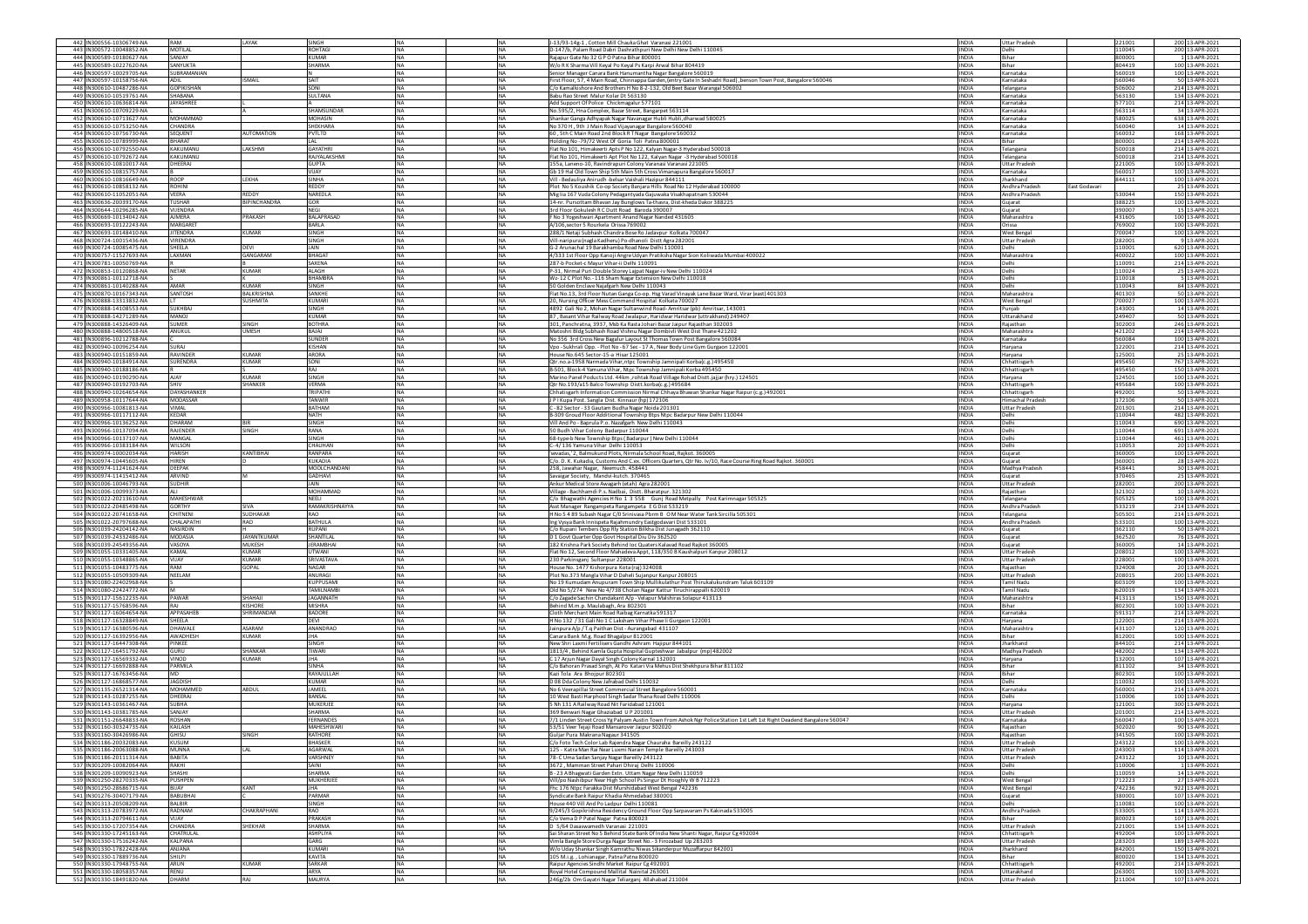| 442 IN300556-10306749-NA                             | RAM                       | <b>AYAK</b>                        | SINGH                      | NA                                                | J-13/93-14g-1, Cotton Mill Chauka Ghat Varanasi 221001                                                                                                                           | <b>INDIA</b>                 | <b>Uttar Pradesi</b>                     | 221001           | 200 13-APR-2021                    |
|------------------------------------------------------|---------------------------|------------------------------------|----------------------------|---------------------------------------------------|----------------------------------------------------------------------------------------------------------------------------------------------------------------------------------|------------------------------|------------------------------------------|------------------|------------------------------------|
| 443 IN300572-10048852-NA                             | MOTILAL                   |                                    | ROHTAGI                    | NA<br>NA                                          | 0-147/b, Palam Road Dabri Dashrathpuri New Delhi New Delhi 110045                                                                                                                | INDIA                        | Delhi                                    | 10045            | 200 13-APR-2021                    |
| 444 IN300589-10180627-NA                             | SANJAY                    |                                    | <b>KUMAR</b>               | <b>NA</b><br><b>INA</b>                           | Rajapur Gate No 32 G P O Patna Bihar 800001                                                                                                                                      | <b>INDIA</b>                 | Bihar                                    | 800001           | 1 13-APR-2021                      |
| 445 IN300589-10227620-NA                             | SANYUKTA                  |                                    | <b>SHARMA</b>              | <b>NA</b><br><b>NA</b>                            | W/o R K Sharma Vill Keyal Po Keyal Ps Karpi Arwal Bihar 804419                                                                                                                   | <b>INDIA</b>                 | <b>Rihar</b>                             | 804419           | 100 13-APR-2021                    |
| 446 IN300597-10029705-NA                             | SUBRAMANIA                | <b>ISMAIL</b>                      |                            | <b>NA</b><br>NA                                   | enior Manager Canara Bank Hanumantha Nagar Bangalore 560019<br>First Floor, 57, 4 Main Road, Chinnappa Garden, (entry Gate In Seshadri Road), benson Town Post, Bangalore 560046 | <b>INDIA</b>                 | Karnataka                                | 60019            | 100 13-APR-2021                    |
| 447 IN300597-10158756-NA<br>448 IN300610-10487286-NA | ADIL<br><b>GOPIKISHAN</b> |                                    | SAIT<br>SONI               | <b>NA</b><br><b>NA</b><br><b>NA</b><br><b>NA</b>  | C/o Kamalkishore And Brothers H No 8-2-132, Old Beet Bazar Warangal 506002                                                                                                       | <b>INDIA</b><br><b>INDIA</b> | Karnataka<br>Telangana                   | 560046<br>506002 | 50 13-APR-2021<br>214 13-APR-2021  |
| 449 IN300610-10519761-NA                             | SHARANA                   |                                    | SULTANA                    | <b>NA</b><br><b>NA</b>                            | Babu Rao Street Malur Kolar Dt 563130                                                                                                                                            | <b>INDIA</b>                 | Karnataka                                | 563130           | 134 13-APR-2021                    |
| 450 IN300610-10636814-NA                             | JAYASHREE                 |                                    |                            | <b>NA</b><br>NA                                   | Add Support Of Police Chickmagalur 577101                                                                                                                                        | <b>INDIA</b>                 | Karnataka                                | 577101           | 214 13-APR-2021                    |
| 451 IN300610-10709229-NA                             |                           |                                    | SHAMSUNDAR                 | <b>NA</b><br>NA                                   | No.595/2, Hna Complex, Bazar Street, Bangarpet 563114                                                                                                                            | <b>INDIA</b>                 | Karnataka                                | 563114           | 34 13-APR-2021                     |
| 452 IN300610-10713627-NA                             | MOHAMMAD                  |                                    | <b>MOHASIN</b>             | <b>NA</b><br><b>NA</b>                            | Shankar Ganga Adhyapak Nagar Navanagar Hubli Hubli, dharwad 580025                                                                                                               | <b>INDIA</b>                 | Karnataka                                | 580025           | 638 13-APR-2021                    |
| 453 IN300610-10753250-NA                             | CHANDRA                   |                                    | SHEKHARA                   | <b>NA</b><br><b>NA</b>                            | No 370 H, 9th J Main Road Vijayanagar Bangalore 560040                                                                                                                           | <b>INDIA</b>                 | Karnataka                                | 560040           | 14 13-APR-2021                     |
| 454 IN300610-10756730-NA<br>455 IN300610-10789999-NA | SEQUENT<br><b>BHARAT</b>  | NUTOMATION                         | PVTLTD<br>LAL              | <b>NA</b><br>NA<br>NA<br><b>NA</b>                | 60, 5th C Main Road 2nd Block R T Nagar Bangalore 560032<br>Holding No -79/72 West Of Goria Toli Patna 800001                                                                    | <b>INDIA</b><br><b>INDIA</b> | Karnataka<br>Bihar                       | 60032<br>800001  | 168 13-APR-2021<br>214 13-APR-2021 |
| 456 IN300610-10792550-NA                             | KAKLIMANLI                | AKSHMI                             | GAYATHRI                   | <b>NA</b><br><b>NA</b>                            | Flat No 101, Himakeerti Apts P No 122, Kalyan Nagar-3 Hyderabad 500018                                                                                                           | <b>INDIA</b>                 | Telangana                                | 500018           | 214 13-APR-2021                    |
| 457 IN300610-10792672-NA                             | KAKUMANI                  |                                    | RAJYALAKSHM                | NA<br>NA                                          | Flat No 101, Himakeerti Apt Plot No 122, Kalyan Nagar -3 Hyderabad 500018                                                                                                        | <b>INDIA</b>                 | Telangana                                | 500018           | 214 13-APR-2021                    |
| 458 IN300610-10810017-NA                             | DHEERAJ                   |                                    | <b>GUPTA</b>               | NA<br>NA                                          | 155a, Laneno-10, Ravindrapuri Colony Varanasi Varanasi 221005                                                                                                                    | <b>INDIA</b>                 | <b>Uttar Pradesh</b>                     | 221005           | 100 13-APR-2021                    |
| 459 IN300610-10815757-NA                             |                           |                                    | VIJAY                      | <b>NA</b><br><b>NA</b>                            | Gb 19 Hal Old Town Ship 5th Main 5th Cross Vimanapura Bangalore 560017                                                                                                           | <b>INDIA</b>                 | Karnataka                                | 560017           | 100 13-APR-2021                    |
| 460 IN300610-10816649-NA                             | ROOP                      | I FKHA                             | SINHA                      | <b>NA</b><br><b>NA</b>                            | Vill - Bedauliya Anirudh - belsar Vaishali Hazipur 844111                                                                                                                        | <b>INDIA</b>                 | Jharkhand                                | 844111           | 100 13-APR-2021                    |
| 461 IN300610-10858132-NA                             | ROHINI                    | REDDY                              | REDDY                      | <b>NA</b><br>NA                                   | Plot No 5 Koushik Co-op Society Banjara Hills Road No 12 Hyderabad 100000                                                                                                        | <b>INDIA</b>                 | Andhra Pradesł<br>East Godavari          |                  | 25 13-APR-2021                     |
| 462 IN300610-11052051-NA<br>463 IN300636-20039170-NA | VEERA<br><b>TUSHAR</b>    | <b>BIPINCHANDRA</b>                | NAREDLA<br>GOR             | <b>NA</b><br><b>NA</b><br><b>NA</b><br><b>NA</b>  | Mig Iia 167 Vuda Colony Pedagantyada Gajuwaka Visakhapatnam 530044<br>14-nr. Pursottam Bhavan Jay Bunglows Ta-thasra, Dist-kheda Dakor 388225                                    | <b>INDIA</b><br><b>INDIA</b> | Andhra Pradesh<br>Guiarat                | 30044<br>388225  | 150 13-APR-2021<br>100 13-APR-2021 |
| 464 IN300644-10296285-NA                             | VIIENDRA                  |                                    | <b>NEGI</b>                | <b>INA</b><br><b>NA</b>                           | 3rd Floor Gokulesh R C Dutt Road Baroda 390007                                                                                                                                   | <b>INDIA</b>                 | Gujarat                                  | 390007           | 15 13-APR-2021                     |
| 465 IN300669-10134042-NA                             | <b>NJMERA</b>             | PRAKASH                            | <b>BALAPRASAD</b>          | <b>NA</b><br>NA                                   | F No 3 Yogeshwari Apartment Anand Nagar Nanded 431605                                                                                                                            | INDIA                        | Maharashtra                              | 131605           | 100 13-APR-2021                    |
| 466 IN300693-10122243-NA                             | MARGARET                  |                                    | BARLA                      | <b>NA</b><br><b>INA</b>                           | A/106, sector 5 Rourkela Orissa 769002                                                                                                                                           | <b>INDIA</b>                 | Orissa                                   | 769002           | 100 13-APR-2021                    |
| 467 IN300693-10148410-NA                             | <b>ITENDRA</b>            | <b>KUMAR</b>                       | SINGH                      | <b>NA</b><br><b>NA</b>                            | 288/1 Netaii Subhash Chandra Bose Ro Jadavour Kolkata 700047                                                                                                                     | <b>INDIA</b>                 | <b>West Bengal</b>                       | 700047           | 100 13-APR-2021                    |
| 468 IN300724-10015436-NA<br>469 IN300724-10085475-NA | VIRENDRA<br>SHEELA        | DEVI                               | SINGH<br>JAIN              | <b>NA</b><br><b>NA</b><br>NA<br><b>NA</b>         | Vill-naripura (nagla Kadheru) Po-dhanoli Distt Agra 282001<br>G-2 Arunachal 19 Barakhamba Road New Delhi 110001                                                                  | <b>INDIA</b><br><b>INDIA</b> | <b>Uttar Pradesh</b><br>Delhi            | 282001<br>110001 | 9 13-APR-2021<br>620 13-APR-2021   |
| 470 IN300757-11527693-NA                             | LAXMAN                    | SANGARAM                           | <b>BHAGAT</b>              | <b>NA</b><br><b>NA</b>                            | 4/333 1st Floor Opp Kanoji Angre Udyan Pratiksha Nagar Sion Koliwada Mumbai 400022                                                                                               | <b>INDIA</b>                 | Maharashtra                              | 400022           | 100 13-APR-2021                    |
| 471 IN300781-10050769-NA                             |                           |                                    | <b>SAXENA</b>              | <b>NA</b><br><b>NA</b>                            | 287-b Pocket-c Mayur Vihar-ii Delhi 110091                                                                                                                                       | <b>INDIA</b>                 | Delhi                                    | 110091           | 214 13-APR-2021                    |
| 472 IN300853-10120868-NA                             | <b>NETAR</b>              | <b>KUMAR</b>                       | <b>ALAGH</b>               | NA                                                | P-31, Nirmal Puri Double Storey Lajpat Nagar-iv New Delhi 110024                                                                                                                 | <b>INDIA</b>                 | Jelhi                                    | 10024            | 25 13-APR-2021                     |
| 473 IN300861-10112718-NA                             |                           |                                    | BHAMBRA                    | NA<br>NA                                          | Wz-12 C Plot No. - 116 Sham Nagar Extension New Delhi 110018                                                                                                                     | <b>INDIA</b>                 | Delhi                                    | 10018            | 5 13-APR-2021                      |
| 474 IN300861-10140288-NA                             | AMAR                      | <b>KUMAR</b><br><b>BAI KRISHNA</b> | SINGH<br><b>SANKHE</b>     | <b>NA</b><br><b>NA</b>                            | 50 Golden Enclave Najafgarh New Delhi 110043                                                                                                                                     | <b>INDIA</b>                 | Delhi                                    | 110043           | 84 13-APR-2021                     |
| 475 IN300870-10167343-NA<br>476 IN300888-13313832-NA | SANTOSH                   | <b>SUSHMITA</b>                    | KUMARI                     | <b>NA</b><br><b>NA</b><br><b>NA</b><br>NA         | Flat No.13, 3rd Floor Nutan Ganga Co-op. Hsg Varad Vinayak Lane Bazar Ward, Virar (east) 401303<br>20, Nursing Officer Mess Command Hospital Kolkata 700027                      | <b>INDIA</b><br><b>INDIA</b> | Maharashtra<br>West Bengal               | 401303<br>700027 | 50 13-APR-2021<br>100 13-APR-2021  |
| 477 IN300888-14108553-NA                             | <b>SUKHBAJ</b>            |                                    | SINGH                      | <b>NA</b><br><b>NA</b>                            | 4892 Gali No 2, Mohan Nagar Sultanwind Road-Amritsar (pb) Amritsar, 143001                                                                                                       | <b>INDIA</b>                 | Punjab                                   | 143001           | 14 13-APR-2021                     |
| 478 IN300888-14271289-NA                             | LOWAM                     |                                    | <b>KUMAR</b>               | <b>NA</b><br><b>INA</b>                           | 87, Basant Vihar Railway Road Jwalapur, Haridwar Haridwar (uttrakhand) 249407                                                                                                    | <b>INDIA</b>                 | Uttarakhand                              | 249407           | 50 13-APR-2021                     |
| 479 IN300888-14326409-NA                             | <b>SUMER</b>              | SINGH                              | <b>BOTHRA</b>              | <b>INA</b><br><b>NA</b>                           | 301, Panchratna, 3937, Msb Ka Rasta Johari Bazar Jaipur Rajasthan 302003                                                                                                         | <b>INDIA</b>                 | Raiasthan                                | 302003           | 246 13-APR-2021                    |
| 480 IN300888-14800518-NA                             | ANUKUL                    | <b>UMESH</b>                       | BAJAJ                      | <b>NA</b><br>NA                                   | Matoshri Bldg Subhash Road Vishnu Nagar Dombivli West Dist Thane 421202                                                                                                          | <b>INDIA</b>                 | Maharashtra                              | 421202           | 214 13-APR-2021                    |
| 481 IN300896-10212788-NA<br>482 IN300940-10096254-NA |                           |                                    | SUNDER                     | <b>NA</b><br><b>NA</b><br><b>NA</b><br><b>NA</b>  | No 356 3rd Cross New Bagalur Layout St Thomas Town Post Bangalore 560084                                                                                                         | <b>INDIA</b><br><b>INDIA</b> | Karnataka                                | 560084<br>122001 | 100 13-APR-2021                    |
| 483 IN300940-10151859-NA                             | SURAJ<br><b>RAVINDER</b>  | KUMAR                              | <b>KISHAN</b><br>ARORA     | <b>NA</b><br><b>NA</b>                            | Vpo - Sukhrali Opp. - Plot No - 67 Sec - 17 A, Near Body Line Gym Gurgaon 122001<br>House No.645 Sector-15-a Hisar 125001                                                        | <b>INDIA</b>                 | Harvana<br>Haryana                       | 125001           | 214 13-APR-2021<br>25 13-APR-2021  |
| 484 IN300940-10184914-NA                             | SURENDRA                  | <b>KUMAR</b>                       | SONI                       | <b>NA</b><br>NA                                   | Qtr.no.a-1958 Narmada Vihar, ntpc Township Jamnipali Korba(c.g.) 495450                                                                                                          | INDIA                        | Chhattisgarh                             | 495450           | 767 13-APR-2021                    |
| 485 IN300940-10188186-NA                             |                           |                                    | RAJ                        | <b>NA</b><br><b>NA</b>                            | B-501, Block-4 Yamuna Vihar, Ntpc Township Jamnipali Korba 495450                                                                                                                | <b>INDIA</b>                 | Chhattisgarh                             | 495450           | 150 13-APR-2021                    |
| 486 IN300940-10190290-NA                             | <b>AJAY</b>               | <b>CUMAR</b>                       | SINGH                      | <b>NA</b><br><b>NA</b>                            | Marino Panel Poducts Ltd. 44km, rohtak Road Village Rohad Distt.jajjar (hry.) 124501                                                                                             | <b>INDIA</b>                 | Haryana                                  | 124501           | 100 13-APR-2021                    |
| 487 IN300940-10192703-NA                             | <b>HIV</b>                | <b>SHANKER</b>                     | VERMA                      | <b>NA</b><br>NA                                   | Qtr No.193/a15 Balco Township Distt.korba(c.g.) 495684                                                                                                                           | <b>INDIA</b>                 | Chhattisgarh                             | 495684           | 100 13-APR-2021                    |
| 488 IN300940-10264654-NA                             | DAYASHANKER               |                                    | TRIPATHI                   | NA.<br>NA                                         | Chhatisgarh Information Commission Nirmal Chhava Bhawan Shankar Nagar Raipur (c.g.) 492001                                                                                       | <b>INDIA</b>                 | Chhattisgarh                             | 492001           | 50 13-APR-2021                     |
| 489 IN300958-10117644-NA<br>490 IN300966-10081813-NA | MODASSAR<br>VIMAL         |                                    | <b>TANWIR</b><br>RATHAM    | <b>NA</b><br><b>NA</b><br><b>NA</b><br><b>NA</b>  | J P I Kupa Post, Sangla Dist, Kinnaur (hp) 172106                                                                                                                                | <b>INDIA</b><br><b>INDIA</b> | Himachal Pradesh<br><b>Uttar Pradesh</b> | 172106           | 50 13-APR-2021<br>214 13-APR-2021  |
| 491 IN300966-10117112-NA                             | KEDAR                     |                                    | NATH                       | <b>NA</b><br>NA                                   | C - 82 Sector - 33 Gautam Budha Nagar Noida 201301<br>B-309 Groud Floor Additional Township Btps Ntpc Badarpur New Delhi 110044                                                  | <b>INDIA</b>                 | Delhi                                    | 201301<br>10044  | 482 13-APR-2021                    |
| 492 IN300966-10136252-NA                             | DHARAM                    |                                    | SINGH                      | <b>NA</b><br>NA                                   | Vill And Po - Baprula P.o. Nazafgarh New Delhi 110043                                                                                                                            | <b>INDIA</b>                 | Delhi                                    | 10043            | 690 13-APR-2021                    |
| 493 IN300966-10137094-NA                             | <b>RAJENDER</b>           | SINGH                              | RANA                       | <b>NA</b><br><b>NA</b>                            | 50 Budh Vihar Colony Badarpur 110044                                                                                                                                             | <b>INDIA</b>                 | Delhi                                    | 110044           | 691 13-APR-2021                    |
| 494 IN300966-10137107-NA                             | MANGAL                    |                                    | SINGH                      | <b>NA</b><br><b>NA</b>                            | 68-type-b New Township Btps (Badarpur) New Delhi 110044                                                                                                                          | <b>INDIA</b>                 | Delhi                                    | 10044            | 461 13-APR-2021                    |
| 495 IN300966-10383184-NA                             | WILSON                    |                                    | CHAUHAN                    | <b>NA</b><br>NA                                   | C-4/136 Yamuna Vihar Delhi 110053                                                                                                                                                | <b>INDIA</b>                 | Delhi                                    | 10053            | 20 13-APR-2021                     |
| 496 IN300974-10002034-NA<br>497 IN300974-10445605-NA | <b>HARISH</b><br>HIREN    | KANTIBHAI                          | RANPARA                    | <b>NA</b><br><b>NA</b><br><b>NA</b>               | 'sevadas,' 2, Balmukund Plots, Nirmala School Road, Rajkot. 360005                                                                                                               | <b>INDIA</b>                 | Gujarat                                  | 360005           | 100 13-APR-2021<br>28 13-APR-2021  |
|                                                      |                           |                                    |                            |                                                   |                                                                                                                                                                                  |                              |                                          |                  |                                    |
|                                                      |                           |                                    | <b>KUKADIA</b>             | <b>NA</b>                                         | C/o. D. K. Kukadia, Customs And C.ex. Officers Quarters, Otr No. Iv/10, Race Course Ring Road Raikot, 360001                                                                     | <b>INDIA</b>                 | Guiarat                                  | 360001           |                                    |
| 498 IN300974-11241624-NA                             | DEEPAK                    |                                    | MOOLCHANDAN                | <b>NA</b><br><b>NA</b>                            | 258, Jawahar Nagar, Neemuch. 458441                                                                                                                                              | <b>INDIA</b>                 | Madhya Pradesh                           | 458441           | 30 13-APR-2021                     |
| 499 IN300974-11415412-NA<br>500 IN301006-10046793-NA | ARVIND<br><b>SUDHIR</b>   |                                    | GADHAVI<br>JAIN            | NA<br><b>INA</b><br><b>INA</b><br><b>NA</b>       | Savaigar Society, Mandvi-kutch. 370465<br>Ankur Medical Store Awagarh (etah) Agra 282001                                                                                         | <b>INDIA</b><br><b>INDIA</b> | Gujarat<br><b>Jttar Pradesh</b>          | 370465<br>282001 | 25 13-APR-2021                     |
| 501 IN301006-10099373-NA                             |                           |                                    | MOHAMMAD                   | <b>NA</b><br><b>NA</b>                            | Village - Bachhamdi P.s. Nadbai, Distt. Bharatpur. 321302                                                                                                                        | <b>INDIA</b>                 | Rajasthan                                | 321302           | 200 13-APR-2021<br>10 13-APR-2021  |
| 502 IN301022-20213610-NA                             | MAHESHWAR                 |                                    | NEELI                      | <b>NA</b><br><b>NA</b>                            | C/o Bhagwathi Agencies H No 1 3 558 Gunj Road Metpally Post Karimnagar 505325                                                                                                    | <b>INDIA</b>                 | Telangana                                | 505325           | 100 13-APR-2021                    |
| 503 IN301022-20485498-NA                             | GORTHY                    | SIVA                               | RAMAKRISHNAYYA             | NA<br><b>NA</b>                                   | Asst Manager Rangampeta Rangampeta EG Dist 533219                                                                                                                                | <b>INDIA</b>                 | Andhra Pradesh                           | 533219           | 214 13-APR-2021                    |
| 504 IN301022-20741658-NA                             | <b>HITNENI</b>            | <b>SUDHAKAR</b>                    | RAO                        | <b>NA</b><br><b>NA</b>                            | H No 5 4 89 Subash Nagar C/O Srinivasa Pbrm B O M Near Water Tank Sircilla 505301                                                                                                | <b>INDIA</b>                 | Telangana                                | 505301           | 214 13-APR-2021                    |
| 505 IN301022-20797688-NA                             | CHALAPATHI                | RAO                                | <b>BATHULA</b>             | <b>NA</b><br><b>NA</b>                            | Ing Vysya Bank Innispeta Rajahmundry Eastgodavari Dist 533101                                                                                                                    | <b>INDIA</b>                 | Andhra Pradesh                           | 533101           | 100 13-APR-2021                    |
| 506 IN301039-24204142-NA<br>507 IN301039-24332486-NA | NASIRDIN<br>MODASIA       | <b>JAYANTKUMAR</b>                 | <b>RUPANI</b><br>SHANTILAL | <b>NA</b><br>NA<br>NA<br><b>NA</b>                | /o Rupani Tembers Opp Rly Station Bilkha Dist Junagadh 362110<br>D 1 Govt Quarter Opp Govt Hospital Diu Div 362520                                                               | INDIA<br><b>INDIA</b>        | Gujarat<br>Gujarat                       | 362110<br>362520 | 50 13-APR-2021<br>76 13-APR-2021   |
| 508 IN301039-24549356-NA                             | VASOYA                    | <b>MUKESH</b>                      | <b>JERAMBHAI</b>           | <b>NA</b><br><b>NA</b>                            | 182 Krishna Park Society Behind loc Quaters Kalavad Road Rajkot 360005                                                                                                           | <b>INDIA</b>                 | Gujarat                                  | 360005           | 14 13-APR-2021                     |
| 509 IN301055-10331405-NA                             | KAMAL                     | <b>KUMAR</b>                       | <b>LITWANI</b>             | <b>NA</b><br><b>NA</b>                            | Flat No 12, Second Floor Mahadeva Appt, 118/350 B Kaushalpuri Kanpur 208012                                                                                                      | <b>INDIA</b>                 | <b>Uttar Pradesh</b>                     | 208012           | 100 13-APR-2021                    |
| 510 IN301055-10348865-NA                             | VIJAY                     | <b>KUMAR</b>                       | <b>SRIVASTAVA</b>          | <b>NA</b><br>NA                                   | 230 Parkinsganj Sultanpur 228001                                                                                                                                                 | <b>INDIA</b>                 | <b>Uttar Pradesi</b>                     | 228001           | 100 13-APR-2021                    |
| 511 IN301055-10483775-NA<br>512 IN301055-10509309-NA | RAM<br>NEELAM             | SOPAL                              | NAGAR<br><b>ANURAGI</b>    | <b>NA</b><br><b>NA</b><br><b>NA</b><br><b>NA</b>  | House No. 1477 Kishorpura Kota (raj) 324008                                                                                                                                      | <b>INDIA</b><br><b>INDIA</b> | Rajasthan<br><b>Uttar Pradesh</b>        | 324008<br>208015 | 20 13-APR-2021<br>200 13-APR-2021  |
| 513 IN301080-22402968-NA                             |                           |                                    | <b>KUPPUSAM</b>            | <b>INA</b><br><b>NA</b>                           | Plot No.373 Mangla Vihar D Daheli Sujanpur Kanpur 208015<br>No 19 Kumudam Anupuram Town Ship Mullikulathur Post Thirukalukundram Taluk 603109                                    | <b>INDIA</b>                 | Tamil Nadu                               | 603109           | 100 13-APR-2021                    |
| 514 IN301080-22424772-NA                             |                           |                                    | <b>AMILNAMBI</b>           | <b>NA</b><br>NA                                   | 01d No 5/274 New No 4/738 Cholan Nagar Kattur Tiruchirappalli 620019                                                                                                             | INDIA                        | <b>Tamil Nadu</b>                        | 520019           | 134 13-APR-2021                    |
| 515 IN301127-15612235-NA                             | <b>PAWAR</b>              | SHAHAJI                            | <b>JAGANNATH</b>           | <b>NA</b><br><b>NA</b>                            | C/o Zagade Sachin Chandakant A/p - Velapur Malshiras Solapur 413113                                                                                                              | <b>INDIA</b>                 | Maharashtra                              | 413113           | 150 13-APR-2021                    |
| 516 IN301127-15768596-NA                             | RAJ                       | KISHORE                            | <b>MISHRA</b>              | <b>NA</b><br><b>NA</b>                            | Behind M.m.p. Maulabagh, Ara 802301                                                                                                                                              | <b>INDIA</b>                 | Bihar                                    | 802301           | 100 13-APR-2021                    |
| 517 IN301127-16064654-NA                             | APPASAHEE                 | SHRIMANDAR                         | BADORE                     | <b>NA</b><br>NA                                   | Cloth Merchant Main Road Raibag Karnatka 591317                                                                                                                                  | <b>INDIA</b>                 | Karnataka                                | 591317           | 214 13-APR-2021                    |
| 518 IN301127-16328849-NA<br>519 IN301127-16380596-NA | SHEELA<br>DHAWALE         | <b>ASARAM</b>                      | <b>DEVI</b><br>ANANDRAO    | <b>NA</b><br><b>NA</b><br><b>NA</b><br><b>INA</b> | H No 132 / 31 Gali No 1 C Laksham Vihar Phase Ii Gurgaon 122001<br>Jainpura A/p / T.q Paithan Dist - Aurangabad 431107                                                           | <b>INDIA</b><br><b>INDIA</b> | Haryana<br>Maharashtra                   | 122001<br>431107 | 214 13-APR-2021<br>120 13-APR-2021 |
| 520 IN301127-16392956-NA                             | AWADHESH                  | KUMAR                              | <b>IHA</b>                 | <b>INA</b><br><b>NA</b>                           | Canara Bank M.g. Road Bhagalpur 812001                                                                                                                                           | <b>INDIA</b>                 | <b>Rihar</b>                             | 812001           | 100 13-APR-2021                    |
| 521 IN301127-16447308-NA                             | PINKEE                    |                                    | SINGH                      | <b>NA</b><br>NA                                   | New Shri Laxmi Fertilisers Gandhi Ashram Hajipur 844101                                                                                                                          | <b>INDIA</b>                 | Jharkhand                                | 844101           | 214 13-APR-2021                    |
| 522 IN301127-16451792-NA                             | GURU                      | SHANKAR                            | TIWARI                     | <b>NA</b><br><b>NA</b>                            | 1813/4, Behind Kamla Gupta Hospital Gupteshwar Jabalpur (mp) 482002                                                                                                              | <b>INDIA</b>                 | Madhya Pradesh                           | 482002           | 134 13-APR-2021                    |
| 523 IN301127-16569332-NA<br>524 IN301127-16692888-NA | VINOD<br>PARMII A         | <b>KUMAR</b>                       | <b>JHA</b>                 | <b>NA</b><br><b>NA</b><br><b>NA</b>               | C 17 Arjun Nagar Dayal Singh Colony Karnal 132001                                                                                                                                | <b>INDIA</b>                 | Harvana<br>Rihar                         | 132001           | 107 13-APR-2021                    |
| 525 IN301127-16763456-NA                             |                           |                                    | SINHA<br>RAYAJULLAH        | <b>NA</b><br>NA                                   | C/o Bahoran Prasad Singh, At Po Katari Via Mehus Dist Shekhpura Bihar 811102<br>Kazi Tola Ara Bhojpur 802301                                                                     | <b>INDIA</b><br>INDIA        | Bihar                                    | 811102<br>802301 | 34 13-APR-2021<br>100 13-APR-2021  |
| 526 IN301127-16868577-NA                             | <b>JAGDISH</b>            |                                    | <b>KUMAR</b>               | <b>NA</b><br>NA<br><b>NA</b>                      | D 08 Dda Colony New Jafrabad Delhi 110032                                                                                                                                        | <b>INDIA</b>                 | Delhi                                    | 110032           | 100 13-APR-2021                    |
| 527 IN301135-26521314-NA                             | MOHAMMED                  | ABDUL                              | JAMEEL                     | <b>NA</b><br><b>NA</b>                            | No 6 Veerapillai Street Commercial Street Bangalore 560001                                                                                                                       | <b>INDIA</b>                 | Karnataka                                | 560001           | 214 13-APR-2021                    |
| 528 IN301143-10287255-NA                             | HEERAJ                    |                                    | BANSAL                     | NA<br>NA                                          | 0 West Basti Harphool Singh Sadar Thana Road Delhi 110006                                                                                                                        | INDIA                        |                                          | 10006            | 100 13-APR-2021                    |
| 529 IN301143-10361467-NA                             | <b>SUBHA</b>              |                                    | MUKERJEE                   | NA<br><b>INA</b>                                  | 5 Nh 131 A Railway Road Nit Faridabad 121001                                                                                                                                     | <b>INDIA</b>                 | Haryana                                  | 121001           | 300 13-APR-2021                    |
| 530 IN301143-10381785-NA                             | SANJAY<br><b>ROSHAN</b>   |                                    | SHARMA<br><b>FFRNANDES</b> | <b>NA</b><br><b>NA</b><br><b>NA</b>               | 369 Benwari Nagar Ghaziabad UP 201001                                                                                                                                            | <b>INDIA</b><br><b>INDIA</b> | Uttar Pradesh                            | 201001<br>560047 | 214 13-APR-2021<br>100 13-APR-2021 |
| 531 IN301151-26648833-NA<br>532 IN301160-30324735-NA | KAILASH                   |                                    | MAHESHWARI                 | <b>NA</b><br>NA                                   | 7/1 Linden Street Cross Yg Palyam Austin Town From Ashok Ngr Police Station 1st Left 1st Right Deadend Bangalore 560047                                                          | <b>INDIA</b>                 | Karnataka<br>Rajasthan                   | 302020           | 90 13-APR-2021                     |
| 533 IN301160-30426986-NA                             |                           | SINGH                              | ATHORE                     | <b>NA</b>                                         | 53/51 Veer Tejaji Road Mansarover Jaipur 302020<br>iuljar Pura Makrana Nagaur 341505                                                                                             |                              | Rajasthan                                | 341505           | 100 13-APR-2021                    |
| 534 IN301186-20032083-NA                             | <b>KUSUM</b>              |                                    | <b>BHASKER</b>             | <b>NA</b><br><b>NA</b>                            | C/o Foto Tech Color Lab Rajendra Nagar Chauraha Bareilly 243122                                                                                                                  | <b>INDIA</b>                 | Uttar Pradesh                            | 243122           | 100 13-APR-2021                    |
| 535 IN301186-20063088-NA                             | <b>MUNNA</b>              | LAL                                | <b>AGARWAL</b>             | <b>NA</b><br><b>NA</b>                            | 125 - Katra Man Rai Near Luxmi Narain Temple Bareilly 243003                                                                                                                     | <b>INDIA</b>                 | <b>Uttar Pradesh</b>                     | 243003           | 114 13-APR-2021                    |
| 536 IN301186-20111314-NA                             | BABITA                    |                                    | VARSHNEY                   | <b>NA</b><br>NA                                   | 78-C Uma Sadan Sanjay Nagar Bareilly 243122                                                                                                                                      | <b>INDIA</b>                 | <b>Uttar Pradesh</b>                     | 243122           | 10 13-APR-2021                     |
| 537 IN301209-10082064-NA<br>538 IN301209-10090923-NA | RAKHI<br>SHASHI           |                                    | SAINI<br>SHARMA            | NA<br><b>NA</b><br><b>NA</b><br><b>NA</b>         | 3672, Mamman Street Pahari Dhiraj Delhi 110006<br>B - 23 A Bhaewati Garden Extn. Uttam Nagar New Delhi 110059                                                                    | <b>INDIA</b><br><b>INDIA</b> | Delhi<br>Delhi                           | 110006<br>10059  | 1 13-APR-2021<br>14 13-APR-2021    |
| 539 IN301250-28270335-NA                             | <b>PUSHPEN</b>            |                                    | <b>MUKHERIFF</b>           | <b>NA</b><br><b>NA</b>                            | Vill/po Nashibpur Near High School Ps Singur Dt Hooghly W B 712223                                                                                                               | <b>INDIA</b>                 | <b>West Bengal</b>                       | 712223           | 27 13-APR-2021                     |
| 540 IN301250-28686715-NA                             | BIJAY                     | KANT                               | <b>JHA</b>                 | <b>NA</b><br>NA                                   | Fhc 176 Ntpc Farakka Dist Murshidabad West Bengal 742236                                                                                                                         | <b>INDIA</b>                 | West Bengal                              | 742236           | 922 13-APR-2021                    |
| 541 IN301276-30407179-NA                             | BABUBHA                   |                                    | PARMAR                     | <b>NA</b><br>NA                                   | Syndicate Bank Raipur Khadia Ahmedabad 380001                                                                                                                                    | <b>INDIA</b>                 | Gujarat                                  | 380001           | 107 13-APR-2021                    |
| 542 IN301313-20508209-NA                             | <b>BALBIR</b>             |                                    | <b>SINGH</b>               | <b>NA</b><br><b>NA</b>                            | House 440 Vill And Po Ladour Delhi 110081                                                                                                                                        | <b>INDIA</b>                 | Delhi                                    | 110081           | 100 13-APR-2021                    |
| 543 IN301313-20783972-NA                             | RADNAM<br>VIJAY           | CHAKRAPHANI                        | RAO<br>PRAKASH             | <b>NA</b><br><b>NA</b><br><b>NA</b>               | 9/245/3 Gopikrishna Residency Ground Floor Opp Sarpavaram Ps Kakinada 533005                                                                                                     | <b>INDIA</b><br><b>INDIA</b> | Andhra Pradesh                           | 533005           | 114 13-APR-2021                    |
| 544 IN301313-20794611-NA<br>545 IN301330-17207354-NA | CHANDRA                   | SHEKHAR                            | <b>SHARMA</b>              | <b>NA</b><br><b>NA</b><br><b>NA</b>               | C/o Vema D P Patel Nagar Patna 800023<br>D 5/64 Dasaswamedh Varanasi 221001                                                                                                      | <b>INDIA</b>                 | Bihar<br><b>Uttar Pradesh</b>            | 800023<br>221001 | 107 13-APR-2021<br>134 13-APR-2021 |
| 546 IN301330-17245163-NA                             | CHATRUI AI                |                                    | ASHPLIYA                   | <b>NA</b><br><b>NA</b>                            | Sai Sharan Street No 5 Behind State Bank Of India New Shanti Nagar, Raipur Cg 492004                                                                                             | <b>INDIA</b>                 | Chhattisgarh                             | 492004           | 100 13-APR-2021                    |
| 547 IN301330-17516242-NA                             | KALPANA                   |                                    | GARG                       | NA<br><b>NA</b>                                   | Vimla Bangle Store Durga Nagar Street No. - 3 Firozabad Up 283203                                                                                                                | <b>INDIA</b>                 | <b>Uttar Pradesh</b>                     | 283203           | 189 13-APR-2021                    |
| 548 IN301330-17822428-NA                             | ANJANA                    |                                    | <b>KUMARI</b>              | <b>NA</b><br><b>INA</b>                           | W/o Uday Shankar Singh Kamrathu Niwas Sikanderpur Muzaffarpur 842001                                                                                                             | <b>INDIA</b>                 | Jharkhand                                | 842001           | 150 13-APR-2021                    |
| 549 IN301330-17889736-NA<br>550 IN301330-17948755-NA | SHILPI                    | KUMAR                              | <b>KAVITA</b><br>SARKAR    | <b>NA</b><br><b>NA</b><br><b>NA</b><br><b>NA</b>  | 105 M.i.g., Lohianagar, Patna Patna 800020                                                                                                                                       | <b>INDIA</b><br><b>INDIA</b> | Bihar                                    | 800020<br>492001 | 134 13-APR-2021<br>214 13-APR-2021 |
| 551 IN301330-18058357-NA<br>552 IN301330-18491820-NA | ARUN<br>RENU<br>DHARM     | RAJ                                | ARYA<br>MAURYA             | <b>NA</b><br><b>NA</b><br><b>NA</b>               | Raipur Agencies Sindhi Market Raipur Cg 492001<br>Royal Hotel Compound Mallital Nainital 263001<br>246g/2b Om Gayatri Nagar Teliarganj Allahabad 211004                          | <b>INDIA</b><br><b>INDIA</b> | Chhattisgarh<br>Uttarakhand              | 263001<br>211004 | 100 13-APR-2021<br>107 13-APR-2021 |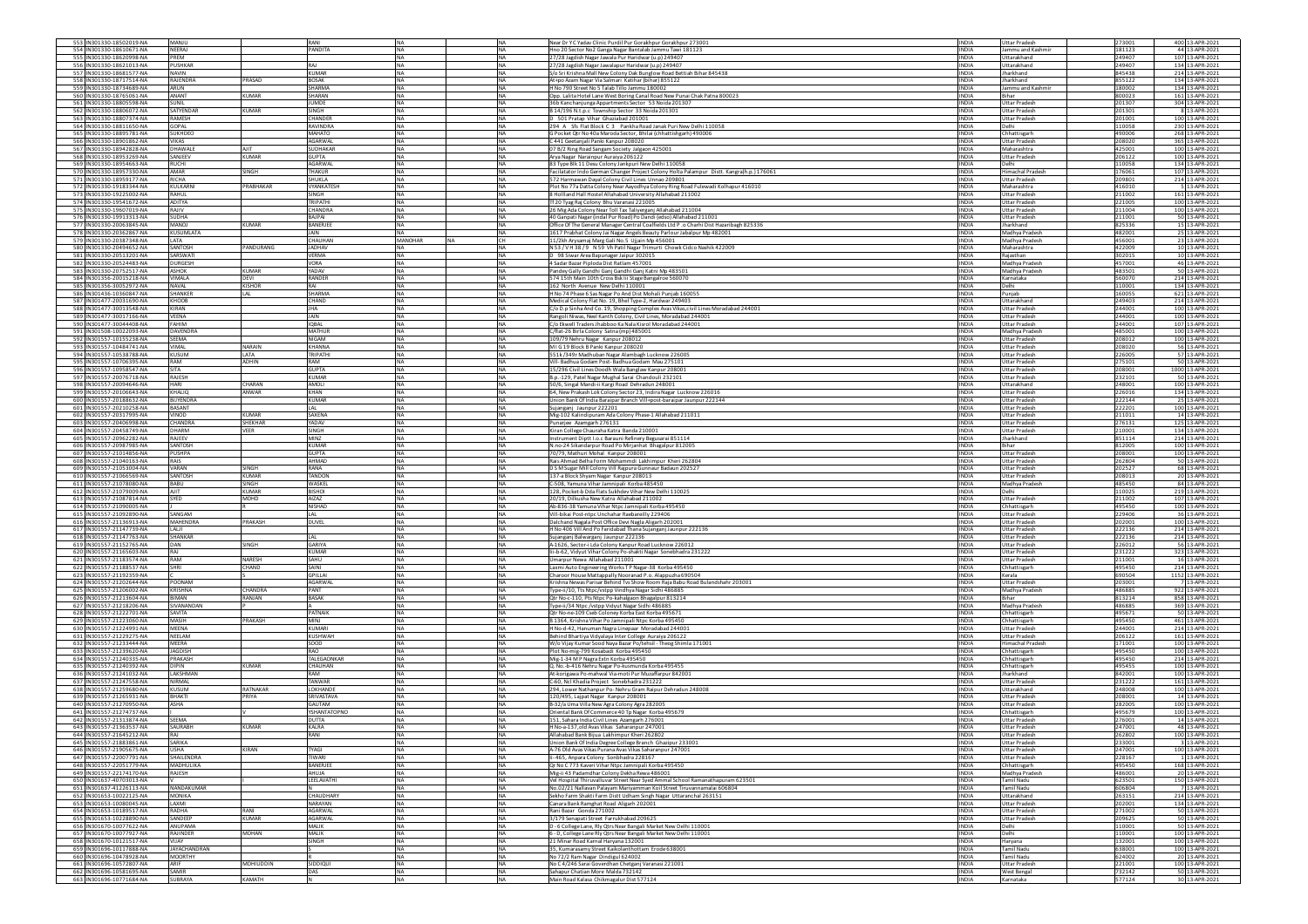| 553 IN301330-18502019-NA                             | MANJU                           |                                | RANI                              | <b>NA</b><br>INA                                  | Near Dr Y C Yadav Clinic Purdil Pur Gorakhpur Gorakhpur 273001                                                                                           | <b>INDIA</b>                 | <b>Uttar Pradesh</b>                         | 273001           | 400 13-APR-2021                    |
|------------------------------------------------------|---------------------------------|--------------------------------|-----------------------------------|---------------------------------------------------|----------------------------------------------------------------------------------------------------------------------------------------------------------|------------------------------|----------------------------------------------|------------------|------------------------------------|
| 554 IN301330-18610671-NA                             | NEERAJ                          |                                | <b>PANDITA</b>                    | <b>NA</b><br><b>NA</b>                            | Hno 20 Sector No2 Ganga Nagar Bantalab Jammu Tawi 181123                                                                                                 | <b>INDIA</b>                 | lammu and Kashmi                             | 181123           | 44 13-APR-2021                     |
| 555 IN301330-18620998-NA<br>556 IN301330-18621013-NA | PREM<br>PUSHKAR                 |                                | RAJ                               | <b>NA</b><br>NA<br>NA<br>NA                       | 27/28 Jagdish Nagar Jawala Pur Haridwar (u.p) 249407<br>27/28 Jagdish Nagar Jawalapur Haridwar (u.p) 249407                                              | <b>INDIA</b><br><b>INDIA</b> | Uttarakhand<br>Jttarakhand                   | 249407<br>249407 | 107 13-APR-2021<br>134 13-APR-2021 |
| 557 IN301330-18681577-NA                             | NAVIN                           |                                | <b>KUMAR</b>                      | <b>NA</b><br><b>NA</b>                            | S/o Sri Krishna Mall New Colony Dak Bunglow Road Bettiah Bihar 845438                                                                                    | <b>INDIA</b>                 | Jharkhand                                    | 845438           | 214 13-APR-2021                    |
| 558 IN301330-18717514-NA                             | <b>RAJENDRA</b>                 | PRASAD                         | <b>BOSAK</b>                      | <b>NA</b><br><b>NA</b>                            | At+po Azam Nagar Via Salmari Katihar (bihar) 855122                                                                                                      | <b>INDIA</b>                 | Jharkhand                                    | 855122           | 134 13-APR-2021                    |
| 559 IN301330-18734689-NA                             | ARUN                            |                                | <b>SHARMA</b>                     | <b>NA</b><br>NA                                   | H No 790 Street No 5 Talab Tillo Jammu 180002                                                                                                            | INDIA                        | ammu and Kashmi                              | 180002           | 134 13-APR-2021                    |
| 560 IN301330-18765061-NA                             | <b>ANANT</b><br>SUNIL           | <b>KUMAR</b>                   | SHARAN<br><b>JUMDE</b>            | <b>NA</b><br><b>NA</b><br><b>NA</b><br><b>INA</b> | Opp. Lalita Hotel Lane West Boring Canal Road New Punai Chak Patna 800023                                                                                | <b>INDIA</b><br><b>INDIA</b> | Bihar<br><b>Uttar Pradesh</b>                | 800023<br>201307 | 161 13-APR-2021<br>304 13-APR-2021 |
| 561 IN301330-18805598-NA<br>562 IN301330-18806072-NA | SATYENDAR                       | KUMAR                          | <b>SINGH</b>                      | <b>INA</b><br><b>NA</b>                           | 36b Kanchanjunga Appartments Sector 53 Noida 201307<br>B 14/196 N.t.p.c Township Sector 33 Noida 201301                                                  | <b>INDIA</b>                 | <b>Uttar Pradesh</b>                         | 201301           | 8 13-APR-2021                      |
| 563 IN301330-18807374-NA                             | RAMESH                          |                                | CHANDER                           | <b>NA</b><br>NA                                   | D 501 Pratap Vihar Ghaziabad 201001                                                                                                                      | <b>INDIA</b>                 | <b>Uttar Pradesh</b>                         | 201001           | 100 13-APR-2021                    |
| 564 IN301330-18811650-NA                             | GOPAL                           |                                | RAVINDRA                          | <b>NA</b><br><b>NA</b>                            | 294 A Sfs Flat Block C 3 Pankha Road Janak Puri New Delhi 110058                                                                                         | <b>INDIA</b>                 | Jelhi                                        | 10058            | 230 13-APR-2021                    |
| 565 IN301330-18895781-NA                             | SUKHDEO                         |                                | MAHATO                            | <b>NA</b><br><b>NA</b>                            | G Pocket Qtr No 40a Maroda Sector, Bhilai (chhattishgarh) 490006                                                                                         | <b>INDIA</b>                 | Chhattisgarh                                 | 490006           | 268 13-APR-2021                    |
| 566 IN301330-18901862-NA<br>567 IN301330-18942828-NA | VIKAS<br>DHAWALE                | AIT                            | AGARWAL<br>SUDHAKAR               | <b>NA</b><br><b>NA</b><br><b>NA</b><br><b>NA</b>  | C 441 Geetanjali Panki Kanpur 208020<br>07 B/2 Ring Road Sangam Society Jalgaon 425001                                                                   | <b>INDIA</b><br><b>INDIA</b> | <b>Uttar Pradesh</b>                         | 208020<br>425001 | 365 13-APR-2021<br>100 13-APR-2021 |
| 568 IN301330-18953269-NA                             | SANJEEV                         | <b>KUMAR</b>                   | <b>GUPTA</b>                      | <b>NA</b><br><b>NA</b>                            | Arya Nagar Narainpur Auraiya 206122                                                                                                                      | <b>INDIA</b>                 | Maharashtra<br>Uttar Pradesh                 | 206122           | 100 13-APR-2021                    |
| 569 IN301330-18954663-NA                             | <b>RUCHI</b>                    |                                | AGARWAL                           | <b>NA</b><br><b>NA</b>                            | 83 Type Blk 11 Desu Colony Jankpuri New Delhi 110058                                                                                                     | <b>INDIA</b>                 | <b>Delhi</b>                                 | 110058           | 134 13-APR-2021                    |
| 570 IN301330-18957330-NA                             | <b>AMAR</b>                     | <b>SINGH</b>                   | THAKUR                            | <b>NA</b><br>NA                                   | Facilatator Indo German Changer Project Colony Holta Palampur Distt. Kangra(h.p.) 176061                                                                 | <b>INDIA</b>                 | Himachal Pradesh                             | 176061           | 107 13-APR-2021                    |
| 571 IN301330-18959177-NA                             | RICHA                           |                                | SHUKLA                            | NA<br>NA                                          | 572 Harmawan Dayal Colony Civil Lines Unnao 209801                                                                                                       | <b>INDIA</b>                 | <b>Uttar Pradesh</b>                         | 209801           | 214 13-APR-2021                    |
| 572 IN301330-19183344-NA<br>573 IN301330-19225002-NA | KULKARN<br>RAHUL                | PRABHAKAR                      | <b>VYANKATESH</b><br><b>SINGH</b> | <b>NA</b><br><b>INA</b><br><b>NA</b><br><b>NA</b> | Plot No 77a Datta Colony Near Aayodhya Colony Ring Road Fulewadi Kolhapur 416010<br>8 Hollland Hall Hostel Allahabad University Allahabad 211002         | <b>INDIA</b><br><b>INDIA</b> | Maharashtra<br>Uttar Pradesh                 | 116010<br>211002 | 5 13-APR-2021<br>161 13-APR-2021   |
| 574 IN301330-19541672-NA                             | ADITYA                          |                                | <b>TRIPATHI</b>                   | <b>NA</b><br>NA                                   | Tf 20 Tyag Raj Colony Bhu Varanasi 221005                                                                                                                | <b>INDIA</b>                 | <b>Uttar Pradesh</b>                         | 221005           | 100 13-APR-2021                    |
| 575 IN301330-19607019-NA                             | RAJIV                           |                                | CHANDRA                           | <b>NA</b><br>NA                                   | 26 Mig Ada Colony Near Toll Tax Taliyerganj Allahabad 211004                                                                                             | <b>INDIA</b>                 | Uttar Pradesh                                | 211004           | 100 13-APR-2021                    |
| 576 IN301330-19913313-NA                             | <b>SUDHA</b>                    |                                | <b>BAJPAI</b>                     | <b>NA</b><br><b>NA</b>                            | 40 Ganpati Nagar (indal Pur Road) Po Dandi (edso) Allahabad 211001                                                                                       | <b>INDIA</b>                 | <b>Uttar Pradesh</b>                         | 211001           | 50 13-APR-2021                     |
| 577 IN301330-20063845-NA                             | LOVAN                           | CUMAR                          | BANERJEE                          | <b>NA</b><br><b>NA</b>                            | Office Of The General Manager Central Coalfields Ltd P .o Charhi Dist Hazaribagh 825336                                                                  | <b>INDIA</b>                 | Jharkhand                                    | 825336           | 15 13-APR-2021                     |
| 578 IN301330-20362867-NA<br>579 IN301330-20387348-NA | <b><i>CUSUMLATA</i></b><br>LATA |                                | CHAUHAN                           | <b>NA</b><br>MANOHAR<br>CH<br><b>NA</b>           | 1617 Prabhat Colony Jai Nagar Angels Beauty Parlour Jabalpur Mp 482001<br>11/2kh Arysamaj Marg Gali No.5 Ujjain Mp 456001                                | INDIA<br><b>INDIA</b>        | Madhya Pradesł<br>Madhya Pradesh             | 482001<br>456001 | 25 13-APR-2021<br>23 13-APR-2021   |
| 580 IN301330-20494652-NA                             | SANTOSH                         | PANDURANG                      | <b>JADHAV</b>                     | <b>NA</b><br><b>NA</b>                            | N 53 / V H 38 / 9 N 59 Vh Patil Nagar Trimurti Chowk Cidco Nashik 422009                                                                                 | <b>INDIA</b>                 | Maharashtra                                  | 422009           | 10 13-APR-2021                     |
| 581 IN301330-20513201-NA                             | SARSWATI                        |                                | <b>VERMA</b>                      | <b>NA</b><br><b>NA</b>                            | D 98 Siwar Area Bapunager Jaipur 302015                                                                                                                  | <b>INDIA</b>                 | Raiasthan                                    | 302015           | 10 13-APR-2021                     |
| 582 IN301330-20524483-NA                             | DURGESH                         |                                | <b>VORA</b>                       | <b>NA</b><br>NA                                   | 4 Sadar Bazar Piploda Dist Ratlam 457001                                                                                                                 | <b>INDIA</b>                 | Madhya Pradesh                               | 457001           | 46 13-APR-2021                     |
| 583 IN301330-20752517-NA                             | ASHOK                           | <b>KUMAR</b>                   | YADAV                             | <b>NA</b><br><b>INA</b>                           | Pandey Gally Gandhi Ganj Gandhi Ganj Katni Mp 483501                                                                                                     | <b>INDIA</b>                 | Madhya Pradesi                               | 483501           | 50 13-APR-2021                     |
| 584 IN301356-20015218-NA                             | VIMALA                          | DEVI                           | <b>RANDER</b>                     | <b>NA</b><br><b>NA</b>                            | 574 15th Main 10th Cross Bsk Iii Stage Bangalroe 560070                                                                                                  | <b>INDIA</b>                 | Karnataka                                    | 560070           | 214 13-APR-2021                    |
| 585 IN301356-30052972-NA<br>586 IN301436-10360847-NA | NAVAL<br>SHANKER                | KISHOR<br>LAL                  | RAI<br>SHARMA                     | NA<br>NA<br><b>NA</b><br><b>NA</b>                | 162 North Avenue New Delhi 110001<br>H No 74 Phase 6 Sas Nagar Po And Dist Mohali Punjab 160055                                                          | <b>INDIA</b><br><b>INDIA</b> | Delhi<br>Punjab                              | 10001<br>160055  | 134 13-APR-2021<br>621 13-APR-2021 |
| 587 IN301477-20031690-NA                             | KHOOB                           |                                | CHAND                             | <b>NA</b><br><b>NA</b>                            | Medical Colony Flat No. 19, Bhel Type-2, Hardwar 249403                                                                                                  | <b>INDIA</b>                 | Uttarakhand                                  | 249403           | 214 13-APR-2021                    |
| 588 IN301477-30013548-NA                             | KIRAN                           |                                | <b>JHA</b>                        | <b>NA</b><br><b>NA</b>                            | C/o D.p Sinha And Co. 19, Shopping Complex Avas Vikas, civil Lines Moradabad 244001                                                                      | <b>INDIA</b>                 | <b>Uttar Pradesh</b>                         | 244001           | 100 13-APR-2021                    |
| 589 IN301477-30017166-NA                             | VEENA                           |                                | JAIN                              | <b>NA</b><br>NA                                   | Rangoli Niwas, Neel Kanth Colony, Civil Lines, Moradabad 244001                                                                                          | INDIA                        | <b>Uttar Pradesh</b>                         | 244001           | 100 13-APR-2021                    |
| 590 IN301477-30044408-NA                             | FAHIM<br>DAVENDRA               |                                | <b>IQBAL</b><br><b>MATHUR</b>     | <b>NA</b><br><b>NA</b><br><b>NA</b><br><b>NA</b>  | C/o Ekwell Traders Jhabboo Ka Nala Kisrol Moradabad 244001                                                                                               | <b>INDIA</b><br><b>INDIA</b> | <b>Uttar Pradesh</b><br>Madhya Pradesh       | 244001<br>485001 | 107 13-APR-2021<br>100 13-APR-2021 |
| 591 IN301508-10022093-NA<br>592 IN301557-10155238-NA | SEEMA                           |                                | <b>NIGAM</b>                      | <b>NA</b><br><b>NA</b>                            | C/flat-26 Birla Colony Satna (mp) 485001<br>109/79 Nehru Nagar Kanpur 208012                                                                             | <b>INDIA</b>                 | <b>Uttar Pradesh</b>                         | 208012           | 100 13-APR-2021                    |
| 593 IN301557-10484741-NA                             | VIMAL                           | NARAIN                         | KHANNA                            | <b>NA</b><br>NA                                   | MIG19 Block B Panki Kanpur 208020                                                                                                                        | <b>INDIA</b>                 | <b>Uttar Pradesi</b>                         | 208020           | 56 13-APR-2021                     |
| 594 IN301557-10538788-NA                             | KUSUM                           | LATA                           | TRIPATHI                          | <b>NA</b><br><b>NA</b>                            | 551k/349r Madhuban Nagar Alambagh Lucknow 226005                                                                                                         | <b>INDIA</b>                 | Uttar Pradesh                                | 226005           | 57 13-APR-2021                     |
| 595 IN301557-10706395-NA                             | RAM                             | <b>ADHIN</b>                   | RAM                               | <b>NA</b><br><b>NA</b>                            | Vill- Badhua Godam Post- Badhua Godam Mau 275101                                                                                                         | <b>INDIA</b>                 | <b>Uttar Pradesh</b>                         | 275101           | 50 13-APR-2021                     |
| 596 IN301557-10958547-NA                             | SITA                            |                                | <b>GUPTA</b>                      | <b>NA</b><br>NA<br><b>INA</b>                     | 15/296 Civil Lines Doodh Wala Banglaw Kanpur 208001                                                                                                      | <b>INDIA</b>                 | <b>Uttar Pradesh</b>                         | 208001           | 1000 13-APR-2021                   |
| 597 IN301557-20076718-NA<br>598 IN301557-20094646-NA | RAJESH<br>HARI                  | CHARAN                         | KUMAR<br>AMOLI                    | NA<br><b>NA</b><br><b>INA</b>                     | B.p.-129, Patel Nagar Mughal Sarai Chandouli 23210:<br>50/6, Singal Mandi-ii Kargi Road Dehradun 248001                                                  | INDIA<br><b>INDIA</b>        | <b>Uttar Pradesh</b><br>Uttarakhand          | 232101<br>248001 | 50 13-APR-2021<br>100 13-APR-2021  |
| 599 IN301557-20106643-NA                             | KHALIO                          | ANWAR                          | KHAN                              | <b>NA</b><br><b>NA</b>                            | 64, New Prakash Lok Colony Sector 23, Indira Nagar Lucknow 226016                                                                                        | <b>INDIA</b>                 | <b>Uttar Pradesh</b>                         | 226016           | 134 13-APR-2021                    |
| 600 IN301557-20188632-NA                             | BIJYENDRA                       |                                | <b>KUMAR</b>                      | <b>NA</b><br>NA                                   | Union Bank Of India Baraipar Branch Vill+post-baraipar Jaunpur 222144                                                                                    | INDIA                        | <b>Uttar Pradesh</b>                         | 222144           | 25 13-APR-2021                     |
| 601 IN301557-20210258-NA                             | <b>BASANT</b>                   |                                | LAL                               | <b>NA</b><br><b>NA</b>                            | Sujanganj Jaunpur 222201                                                                                                                                 | <b>INDIA</b>                 | <b>Uttar Pradesh</b>                         | 222201           | 100 13-APR-2021                    |
| 602 IN301557-20317995-NA                             | <b>UONIV</b><br>CHANDRA         | <b>KUMAR</b><br><b>SHEKHAR</b> | SAXENA<br>YADAV                   | <b>NA</b><br><b>INA</b><br><b>NA</b><br><b>NA</b> | Mig-102 Kalindipuram Ada Colony Phase-1 Allahabad 211011                                                                                                 | <b>INDIA</b><br><b>INDIA</b> | <b>Uttar Pradesh</b><br><b>Uttar Pradesh</b> | 211011           | 14 13-APR-2021                     |
| 603 IN301557-20406998-NA<br>604 IN301557-20458749-NA | DHARM                           | VEER                           | SINGH                             | <b>NA</b><br>NA                                   | Punarjee Azamgarh 276131<br>Kiran College Chauraha Katra Banda 210001                                                                                    | <b>INDIA</b>                 | <b>Uttar Pradesh</b>                         | 276131<br>210001 | 125 13-APR-2021<br>134 13-APR-2021 |
| 605 IN301557-20962282-NA                             | RAJEEV                          |                                | <b>MINZ</b>                       | <b>NA</b><br><b>INA</b>                           | nstrument Diptt I.o.c Barauni Refinery Begusarai 851114                                                                                                  | <b>INDIA</b>                 | Iharkhand                                    | 851114           | 214 13-APR-2021                    |
| 606 IN301557-20987985-NA                             | SANTOSH                         |                                | <b>KUMAR</b>                      | <b>NA</b><br><b>NA</b>                            | N.no-24 Sikandarpur Road Po Mirjanhat Bhagalpur 812005                                                                                                   | <b>INDIA</b>                 | Bihar                                        | 812005           | 100 13-APR-2021                    |
| 607 IN301557-21014856-NA                             | PUSHPA                          |                                | <b>GUPTA</b>                      | <b>NA</b><br><b>NA</b>                            | 70/79, Mathuri Mohal Kanpur 208001                                                                                                                       | <b>INDIA</b>                 | <b>Uttar Pradesh</b>                         | 208001           | 100 13-APR-2021                    |
| 608 IN301557-21040163-NA                             | RAIS                            |                                | AHMAD                             |                                                   |                                                                                                                                                          |                              | <b>Uttar Pradesh</b>                         | 262804           |                                    |
|                                                      |                                 |                                |                                   | <b>NA</b><br>NA                                   | Rais Ahmad Belha Form Mohammdi Lakhimpur Kheri 262804                                                                                                    | <b>INDIA</b>                 |                                              |                  | 50 13-APR-2021                     |
| 609 IN301557-21053004-NA                             | VARAN                           | SINGH                          | RANA                              | <b>NA</b><br><b>NA</b>                            | D S M Sugar Mill Colony Vill Rajpura Gunnaur Badaun 202527                                                                                               | <b>INDIA</b>                 | <b>Uttar Pradesh</b>                         | 202527           | 68 13-APR-2021                     |
| 610 IN301557-21066569-NA                             | SANTOSH                         | KUMAR                          | TANDON                            | <b>NA</b><br><b>NA</b>                            | 137-a Block Shyam Nagar Kanpur 208013                                                                                                                    | <b>INDIA</b>                 | <b>Uttar Pradesh</b>                         | 208013           | 20 13-APR-2021                     |
| 611 IN301557-21078080-NA<br>612 IN301557-21079009-NA | BABU<br>AIIT                    | <b>SINGH</b><br>KUMAR          | WASKEL<br>BISHOI                  | NA<br>NA<br>NA<br>NA                              | C-508, Yamuna Vihar Jamnipali Korba 485450<br>128, Pocket-b Dda Flats Sukhdev Vihar New Delhi 110025                                                     | <b>INDIA</b><br><b>INDIA</b> | Madhya Pradesh<br>Delhi                      | 485450<br>110025 | 84 13-APR-2021<br>219 13-APR-2021  |
| 613 IN301557-21087814-NA                             | SYED                            | MOHD                           | AIZAZ                             | <b>INA</b><br><b>NA</b>                           | 20/19. Dilkusha New Katra Allahabad 211002                                                                                                               | <b>INDIA</b>                 | Uttar Pradesh                                | 211002           | 107 13-APR-2021                    |
| 614 IN301557-21090005-NA                             |                                 |                                | <b>NISHAD</b>                     | <b>NA</b><br><b>NA</b>                            | Ab-836-38 Yamuna Vihar Ntpc Jamnipali Korba 495450                                                                                                       | <b>INDIA</b>                 | Chhattisgarh                                 | 495450           | 100 13-APR-2021                    |
| 615 IN301557-21092890-NA                             | SANGAM                          |                                | LAL                               | <b>NA</b><br>NA                                   | Vill-bikai Post-ntpc Unchahar Raebareilly 229406                                                                                                         | <b>INDIA</b>                 | <b>Uttar Pradesi</b>                         | 229406           | 36 13-APR-2021                     |
| 616 IN301557-21136913-NA<br>617 IN301557-21147739-NA | MAHENDRA<br>LALJI               | PRAKASH                        | DUVEL                             | <b>NA</b><br><b>NA</b><br><b>NA</b><br><b>NA</b>  | Dalchand Nagala Post Office Devi Nagla Aligarh 202001                                                                                                    | <b>INDIA</b><br><b>INDIA</b> | <b>Uttar Pradesh</b><br><b>Uttar Pradesh</b> | 202001<br>222136 | 100 13-APR-2021<br>214 13-APR-2021 |
| 618 IN301557-21147763-NA                             | SHANKAR                         |                                | LAL                               | <b>INA</b><br><b>NA</b>                           | H No 406 Vill And Po Faridabad Thana Sujanganj Jaunpur 222136<br>iujanganj Balwarganj Jaunpur 222136                                                     | <b>INDIA</b>                 | <b>Uttar Pradesh</b>                         | 222136           | 214 13-APR-2021                    |
| 619 IN301557-21152765-NA                             | <b>JAN</b>                      | <b>SINGH</b>                   | GARIYA                            | <b>NA</b><br>NA                                   | A-1626, Sector-i Lda Colony Kanpur Road Lucknow 226012                                                                                                   | INDIA                        | <b>Uttar Pradesh</b>                         | 226012           | 56 13-APR-2021                     |
| 620 IN301557-21165603-NA                             | RAJ                             |                                | <b>KUMAR</b>                      | <b>NA</b><br><b>INA</b>                           | lii-b-62, Vidyut Vihar Colony Po-shakti Nagar Sonebhadra 231222                                                                                          | <b>INDIA</b>                 | <b>Uttar Pradesh</b>                         | 231222           | 323 13-APR-2021                    |
| 621 IN301557-21183574-NA<br>622 IN301557-21188537-NA | RAM<br><b>SHRI</b>              | NARESH<br>CHAND                | SAHU<br>SAINI                     | <b>NA</b><br><b>INA</b><br><b>NA</b><br><b>NA</b> | Umarpur Newa Allahabad 211001                                                                                                                            | <b>INDIA</b><br><b>INDIA</b> | Uttar Pradesh                                | 211001<br>495450 | 16 13-APR-2021<br>214 13-APR-2021  |
| 623 IN301557-21192359-NA                             |                                 |                                | <b>GPILLAI</b>                    | <b>NA</b><br>NA                                   | Laxmi Auto Engineering Works TP Nagar-38 Korba 495450<br>Charoor House Mattappally Nooranad P.o. Alappuzha 690504                                        | <b>INDIA</b>                 | Chhattisgarh<br>Kerala                       | 690504           | 1152 13-APR-2021                   |
| 624 IN301557-21202644-NA                             | POONAM                          |                                | <b>AGARWAL</b>                    | <b>NA</b><br><b>NA</b>                            | Krishna Newas Parisar Behind Tvs Show Room Raja Babu Road Bulandshahr 203001                                                                             | <b>INDIA</b>                 | <b>Uttar Pradesh</b>                         | 203001           | 7 13-APR-2021                      |
| 625 IN301557-21206002-NA                             | KRISHNA                         | <b>HANDRA</b>                  | PANT                              | <b>NA</b><br><b>NA</b>                            | Type-ii/10, Tts Ntpc/vstpp Vindhya Nagar Sidhi 486885                                                                                                    | <b>INDIA</b>                 | Madhya Pradesh                               | 486885           | 922 13-APR-2021                    |
| 626 IN301557-21213604-NA                             | BIMAN                           | MALIAR                         | <b>BASAK</b>                      | NA                                                | Qtr No-c-110, Pts Ntpc Po-kahalgaon Bhagalpur 813214                                                                                                     | INDIA                        |                                              | 813214           | 858 13-APR-2021                    |
| 627 IN301557-21218206-NA<br>628 IN301557-21222701-NA | <b>IVANANDAM</b><br>SAVITA      |                                | PATNAIK                           | NA<br>NA<br><b>NA</b><br><b>NA</b>                | Type-ii/34 Ntpc /vstpp Vidyut Nagar Sidhi 486885<br>Qtr No-ne-109 Cseb Coloney Korba East Korba 495671                                                   | INDIA<br><b>INDIA</b>        | Madhya Pradesh<br>Chhattisgarh               | 486885<br>495671 | 369 13-APR-2021<br>50 13-APR-2021  |
| 629 IN301557-21223060-NA                             | MASIH                           | PRAKASH                        | <b>MINT</b>                       | <b>NA</b><br><b>NA</b>                            | B 1364, Krishna Vihar Po Jamnipali Ntpc Korba 495450                                                                                                     | <b>INDIA</b>                 | Chhattisgarh                                 | 495450           | 461 13-APR-2021                    |
| 630 IN301557-21224991-NA                             | MEENA                           |                                | <b>KUMAR</b>                      | <b>NA</b><br>NA                                   | H No-d-42, Hanuman Nagra Linepaar Moradabad 244001                                                                                                       | INDIA                        | <b>Uttar Pradesh</b>                         | 244001           | 214 13-APR-2021                    |
| 631 IN301557-21229275-NA                             | NEELAM                          |                                | KUSHWAH                           | NA<br><b>NA</b>                                   | Behind Bhartiya Vidyalaya Inter College Auraiya 206122                                                                                                   | <b>INDIA</b>                 | <b>Uttar Pradesh</b>                         | 206122           | 161 13-APR-2021                    |
| 632 IN301557-21233444-NA<br>633 IN301557-21239620-NA | MEERA<br>JAGDISH                |                                | SOOD<br>RAO                       | <b>NA</b><br><b>NA</b><br><b>INA</b><br><b>NA</b> | W/o Vijay Kumar Sood Naya Bazar Po/tehsil - Theog Shimla 171001                                                                                          | <b>INDIA</b><br><b>INDIA</b> | Himachal Pradesh                             | 171001<br>495450 | 100 13-APR-2021<br>100 13-APR-2021 |
| 634 IN301557-21240335-NA                             | PRAKASH                         |                                | TALEGAONKAR                       | <b>NA</b><br>NA                                   | Plot No-mig-799 Kosabadi Korba 495450<br>Mig-1-34 MP Nagra Extn Korba 495450                                                                             | <b>INDIA</b>                 | Chhattisgarh<br>Chhattisgarh                 | 495450           | 214 13-APR-2021                    |
| 635 IN301557-21240392-NA                             | DIPIN                           | <b>KUMAR</b>                   | CHAUHAN                           | <b>NA</b><br><b>NA</b>                            | Q. No.-b-416 Nehru Nagar Po-kusmunda Korba 495455                                                                                                        | <b>INDIA</b>                 | Chhattisgarh                                 | 495455           | 100 13-APR-2021                    |
| 636 IN301557-21241032-NA                             | LAKSHMAN                        |                                | RAM                               | <b>NA</b><br><b>NA</b>                            | At-korigawa Po-mahwal Via-moti Pur Muzaffarpur 842001                                                                                                    | <b>INDIA</b>                 | Jharkhand                                    | 842001           | 100 13-APR-2021                    |
| 637 IN301557-21247558-NA                             | <b>NIRMAL</b>                   |                                | TANWAR                            | <b>NA</b><br><b>NA</b>                            | C-60, Ncl Khadia Project Sonebhadra 231222                                                                                                               | <b>INDIA</b>                 | <b>Uttar Pradesh</b>                         | 231222           | 161 13-APR-2021                    |
| 638 IN301557-21259680-NA                             | <b>USUM</b>                     | RATNAKAR                       | LOKHANDE                          | <b>NA</b><br>NA                                   | 294, Lower Nathanpur Po-Nehru Gram Raipur Dehradun 248008                                                                                                | INDIA                        | Uttarakhand                                  | 248008           | 100 13-APR-2021                    |
| 639 IN301557-21265931-NA<br>640 IN301557-21270950-NA | BHAKTI<br>ASHA                  | PRIYA                          | SRIVASTAVA<br>GAUTAM              | <b>NA</b><br><b>INA</b><br>NA<br><b>NA</b>        | 120/495, Lajpat Nagar Kanpur 208001<br>B-32/a Uma Villa New Agra Colony Agra 282005                                                                      | <b>INDIA</b><br><b>INDIA</b> | <b>Uttar Pradesh</b><br><b>Jttar Pradesh</b> | 208001<br>282005 | 14 13-APR-2021<br>100 13-APR-2021  |
| 641 IN301557-21274737-NA                             |                                 |                                | YSHANTATOPNC                      | NA<br>NA                                          | Oriental Bank Of Commerce 40 Tp Nagar Korba 495679                                                                                                       | <b>INDIA</b>                 | hhattisgarh                                  | 495679           | 100 13-APR-2021                    |
| 642 IN301557-21313874-NA                             | SEEMA                           |                                | DUTTA                             | <b>NA</b><br>NA                                   | 151, Sahara India Civil Lines Azamgarh 276001                                                                                                            | <b>INDIA</b>                 | <b>Uttar Pradesh</b>                         | 276001           | 14 13-APR-2021                     |
| 643 IN301557-21363537-NA                             | SAURABH                         | <b>KUMAR</b>                   | KALRA                             | <b>NA</b><br><b>NA</b>                            | H No-a-137.old Avas Vikas Saharanpur 247001                                                                                                              | <b>INDIA</b>                 | Uttar Pradesh                                | 247001           | 48 13-APR-2021                     |
|                                                      |                                 |                                |                                   |                                                   |                                                                                                                                                          |                              |                                              |                  |                                    |
| 645 IN301557-21883861-NA<br>646 IN301557-21905675-NA | SARIKA<br><b>USHA</b>           | KIRAN                          | <b>TYAGI</b>                      | <b>NA</b><br>NA<br><b>NA</b><br>NA                | Union Bank Of India Degree College Branch Ghazipur 233001<br>A-76 Old Avas Vikas Purana Avas Vikas Saharanpur 247001                                     | <b>INDIA</b><br><b>INDIA</b> | <b>Uttar Pradesh</b><br><b>Uttar Pradesh</b> | 233001<br>247001 | 3 13-APR-2021<br>100 13-APR-2021   |
| 647 IN301557-22007791-NA                             | SHAILENDRA                      |                                | <b>TIWARI</b>                     | <b>NA</b><br><b>NA</b>                            | Ii-465 Annara Colony Sonbhadra 228167                                                                                                                    | <b>INDIA</b>                 | Uttar Pradesh                                | 228167           | 1 13-APR-2021                      |
| 648 IN301557-22051779-NA                             | <b>MADHULIKA</b>                |                                | BANERJEE                          | <b>NA</b><br><b>NA</b>                            | Qr No C 773 Kaveri Vihar Ntpc Jamnipali Korba 495450                                                                                                     | <b>INDIA</b>                 | Chhattisgarh                                 | 495450           | 168 13-APR-2021                    |
| 649 IN301557-22174170-NA                             | RAJESH                          |                                | AHUJA                             | <b>NA</b><br>NA                                   | Mig-ii 43 Padamdhar Colony Dekha Rewa 486001                                                                                                             | <b>INDIA</b>                 | Madhya Pradesł                               | 486001           | 20 13-APR-2021                     |
| 650 IN301637-40703013-NA<br>651 IN301637-41226113-NA | NANDAKUMAR                      |                                | LEELAVATHI                        | <b>NA</b><br><b>NA</b><br><b>NA</b><br><b>NA</b>  | Vel Hospital Thiruvalluvar Street Near Syed Ammal School Ramanathapuram 623501<br>No.02/21 Nallayan Palayam Mariyamman Koil Street Tiruyannamalai 606804 | <b>INDIA</b><br><b>INDIA</b> | Tamil Nadu<br>Tamil Nadu                     | 623501<br>606804 | 150 13-APR-2021<br>7 13-APR-2021   |
| 652 IN301653-10022125-NA                             | <b>MONIKA</b>                   |                                | CHAUDHARY                         | <b>NA</b><br><b>NA</b>                            | Sekho Farm Shakti Farm Distt Udham Singh Nagar Uttaranchal 263151                                                                                        | <b>INDIA</b>                 | Uttarakhand                                  | 263151           | 214 13-APR-2021                    |
| 653 IN301653-10080045-NA                             | LAXMI                           |                                | NARAYAN                           | <b>NA</b><br>NA                                   | Canara Bank Ramghat Road Aligarh 202001                                                                                                                  | <b>INDIA</b>                 | <b>Uttar Pradesh</b>                         | 202001           | 134 13-APR-2021                    |
| 654 IN301653-10189517-NA                             | RADHA                           | RANI                           | AGARWAL                           | <b>NA</b><br><b>INA</b>                           | Rani Bazar Gonda 271002                                                                                                                                  | <b>INDIA</b>                 | Uttar Pradesh                                | 271002           | 50 13-APR-2021                     |
| 655 IN301653-10228890-NA                             | SANDEEP                         | KUMAR                          | <b>AGARWAL</b>                    | <b>NA</b><br><b>NA</b>                            | 3/179 Senapati Street Farrukhabad 209625                                                                                                                 | <b>INDIA</b>                 | Uttar Pradesh                                | 209625           | 50 13-APR-2021                     |
| 656 IN301670-10077622-NA                             | ANUPAMA<br>RAJINDER             | <b>MOHAN</b>                   | MALIK<br><b>MALIK</b>             | <b>NA</b><br><b>NA</b><br><b>NA</b>               | D - 6 College Lane, Rly Qtrs Near Bangali Market New Delhi 110001                                                                                        | <b>INDIA</b><br><b>INDIA</b> | Delhi                                        | 110001           | 50 13-APR-2021                     |
| 657 IN301670-10077927-NA<br>658 IN301670-10121517-NA | VIJAY                           |                                | SINGH                             | <b>NA</b><br><b>NA</b><br><b>NA</b>               | 6 - D, College Lane Rly Qtrs Near Bangali Market New Delhi 110001<br>21 Minar Road Karnal Harvana 132001                                                 | <b>INDIA</b>                 | Delhi<br>Harvana                             | 10001<br>132001  | 100 13-APR-2021<br>100 13-APR-2021 |
| 659 IN301696-10117888-NA                             | <b>IAYACHANDRAN</b>             |                                |                                   | <b>NA</b><br><b>NA</b>                            | 35, Kumarasamy Street Kaikolanthottam Erode 638001                                                                                                       | <b>INDIA</b>                 | <b>Tamil Nadu</b>                            | 638001           | 100 13-APR-2021                    |
| 660 IN301696-10478928-NA                             | MOORTHY                         |                                |                                   | NA<br><b>NA</b>                                   | No 72/2 Ram Nagar Dindigul 624002                                                                                                                        | INDIA                        | Tamil Nadu                                   | 324002           | 20 13-APR-2021                     |
| 661 IN301696-10572807-NA                             | ARIF                            | MOHIUDDIN                      | SIDDIQUI                          | <b>NA</b><br><b>NA</b>                            | No C 4/246 Sarai Goverdhan Chetganj Varanasi 221001                                                                                                      | <b>INDIA</b>                 | <b>Uttar Pradesh</b>                         | 221001           | 100 13-APR-2021                    |
| 662 IN301696-10581695-NA<br>663 IN301696-10771684-NA | SAMIR<br><b>SUBRAYA</b>         | KAMATH                         | DAS<br>N                          | <b>NA</b><br><b>NA</b><br><b>NA</b><br><b>NA</b>  | Sahapur Chatian More Malda 732142<br>Main Road Kalasa Chikmagalur Dist 577124                                                                            | <b>INDIA</b><br><b>INDIA</b> | West Bengal<br>Karnataka                     | 732142<br>577124 | 50 13-APR-2021<br>30 13-APR-2021   |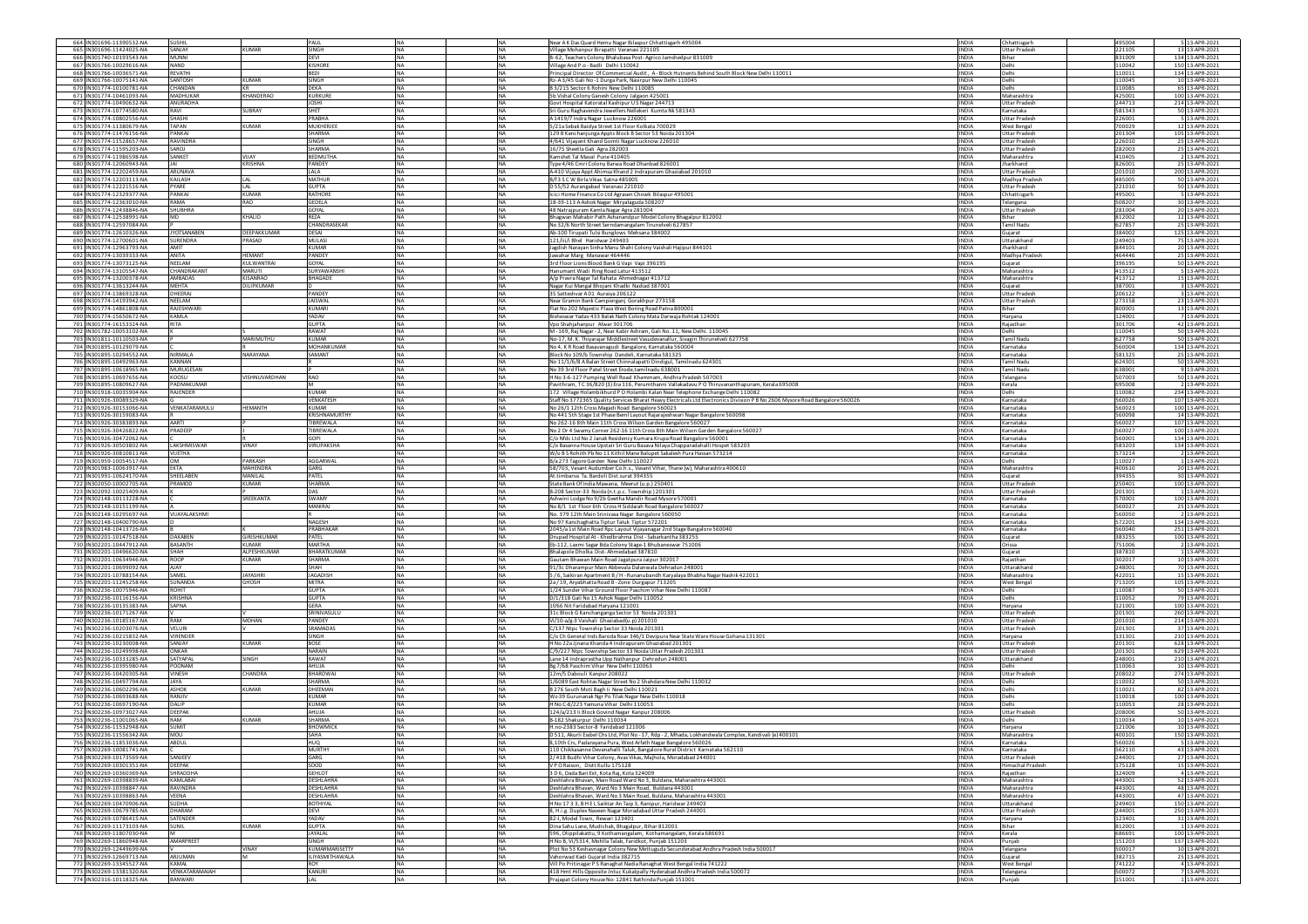| 664 IN301696-11390532-NA                             | SUSHIL                             |                             | PAUL                                     | <b>INA</b><br><b>NA</b>                           |                        | Near AK Das Quard Hemu Nagar Bilaspur Chhattisgarh 495004                                                                                                                       | <b>INDIA</b>                 | Chhattisgarh                                    | 495004           | 5 13-APR-2021                      |
|------------------------------------------------------|------------------------------------|-----------------------------|------------------------------------------|---------------------------------------------------|------------------------|---------------------------------------------------------------------------------------------------------------------------------------------------------------------------------|------------------------------|-------------------------------------------------|------------------|------------------------------------|
| 665 IN301696-11424025-NA<br>666 IN301740-10193543-NA | SANJAY<br>MUNNI                    | KUMAR                       | SINGH<br>DEVI                            | NA<br><b>NA</b><br>NA                             | NA                     | Village Mohanpur Birapatti Varanasi 221105<br>B-62, Teachers Colony Bhalubasa Post-Agrico Jamshedpur 831009                                                                     | <b>INDIA</b><br><b>INDIA</b> | <b>Uttar Pradesh</b><br>Bihar                   | 221105<br>831009 | 13 13-APR-2021<br>134 13-APR-2021  |
| 667 IN301766-10029616-NA                             | NAND                               |                             | <b>KISHORE</b>                           | <b>NA</b><br><b>NA</b>                            |                        | /illage And P.o - Badli Delhi 110042                                                                                                                                            | <b>INDIA</b>                 | Delhi                                           | 110042           | 150 13-APR-2021                    |
| 668 IN301766-10036571-NA<br>669 IN301766-10075141-NA | REVATHI<br>SANTOSH                 | KUMAR                       | <b>BEDI</b><br>SINGH                     | <b>NA</b><br><b>NA</b><br>NA<br><b>NA</b>         |                        | Principal Director Of Commercial Audit, A-Block Hutnents Behind South Block New Delhi 110011<br>Rz-A3/45 Gali No -1 Durga Park, Nasirpur New Delhi 110045                       | <b>INDIA</b><br><b>INDIA</b> | Delhi<br>Delhi                                  | 110011<br>10045  | 134 13-APR-2021<br>10 13-APR-2021  |
| 670 IN301774-10100781-NA                             | CHANDAN                            | KR                          | DEKA                                     | <b>NA</b><br><b>NA</b>                            |                        | B 3/215 Sector 6 Rohini New Delhi 110085                                                                                                                                        | <b>INDIA</b>                 | Delhi                                           | 110085           | 65 13-APR-2021                     |
| 671 IN301774-10461093-NA<br>672 IN301774-10490632-NA | MADHUKAR<br>ANURADHA               | KHANDERAO                   | <b>KURKURE</b><br><b>JOSHI</b>           | <b>NA</b><br><b>NA</b><br><b>NA</b><br><b>NA</b>  |                        | 5b Vishal Colony Ganesh Colony Jalgaon 425001                                                                                                                                   | <b>INDIA</b><br><b>INDIA</b> | Maharashtra<br><b>Uttar Pradesh</b>             | 425001<br>244713 | 100 13-APR-2021                    |
| 673 IN301774-10774580-NA                             | RAVI                               | SUBRAY                      | SHET                                     | <b>NA</b><br>NA                                   |                        | Govt Hospital Katoratal Kashipur U S Nagar 244713<br>Sri Guru Raghavendra Jewellers Nellekeri Kumta Nk 581343                                                                   | INDIA                        | Karnataka                                       | 581343           | 214 13-APR-2021<br>50 13-APR-2021  |
| 674 IN301774-10802556-NA                             | SHASHI                             |                             | PRABHA                                   | NA                                                | <b>NA</b>              | A 1419/7 Indra Nagar Lucknow 226001                                                                                                                                             | <b>INDIA</b>                 | <b>Uttar Pradesh</b>                            | 226001           | 5 13-APR-2021                      |
| 675 IN301774-11380679-NA<br>676 IN301774-11476156-NA | TAPAN<br>PANKAJ                    | <b>KUMAR</b>                | MUKHERJEE<br><b>SHARMA</b>               | <b>NA</b><br><b>NA</b><br><b>NA</b>               | <b>NA</b>              | 5/21a Sebak Baidya Street 1st Floor Kolkata 700029<br>129 B Kanchanjunga Appts Block B Sector 53 Noida 201304                                                                   | <b>INDIA</b><br><b>INDIA</b> | West Bengal<br><b>Uttar Pradesh</b>             | 700029<br>201304 | 12 13-APR-2021<br>105 13-APR-2021  |
| 677 IN301774-11528657-NA                             | <b>RAVINDRA</b>                    |                             | SINGH                                    | NA                                                | <b>NA</b>              | 4/641 Vijayant Khand Gomti Nagar Lucknow 226010                                                                                                                                 | <b>INDIA</b>                 | <b>Uttar Pradesh</b>                            | 226010           | 25 13-APR-2021                     |
| 678 IN301774-11595203-NA                             | SAROJ                              |                             | <b>SHARMA</b>                            | <b>NA</b><br><b>NA</b>                            |                        | 16/75 Sheetla Gali Agra 282003                                                                                                                                                  | <b>INDIA</b>                 | <b>Uttar Pradesh</b>                            | 282003           | 25 13-APR-2021                     |
| 679 IN301774-11986598-NA<br>680 IN301774-12060943-NA | SANKET                             | <b>VIJAY</b><br>KRISHNA     | <b>REDMUTHA</b><br>PANDEY                | <b>NA</b><br><b>NA</b><br><b>NA</b>               |                        | Kamshet Tal Maval Pune 410405<br>Type 4/46 Cmri Colony Barwa Road Dhanbad 826001                                                                                                | <b>INDIA</b><br><b>INDIA</b> | Maharashtra<br>Jharkhand                        | 410405<br>826001 | 2 13-APR-2021<br>25 13-APR-2021    |
| 681 IN301774-12202459-NA                             | ARUNAVA                            |                             | LALA                                     | <b>NA</b>                                         | NA                     | A-410 Vijaya Appt Ahimsa Khand 2 Indrapuram Ghaziabad 201010                                                                                                                    | INDIA                        | <b>Uttar Pradesh</b>                            | 201010           | 200 13-APR-2021                    |
| 682 IN301774-12203113-NA                             | KAILASH                            | LAL                         | <b>MATHUR</b>                            | <b>NA</b><br><b>NA</b>                            |                        | B/f 3 S C W Birla Vikas Satna 485005                                                                                                                                            | <b>INDIA</b>                 | Madhya Pradesh                                  | 485005           | 50 13-APR-2021                     |
| 683 IN301774-12221516-NA<br>684 IN301774-12329377-NA | PYARE<br><b>ANKAJ</b>              | LAL.<br><b>KUMAR</b>        | <b>GUPTA</b><br>RATHORE                  | <b>NA</b><br><b>NA</b><br>NA                      | <b>NA</b>              | D 55/52 Aurangabad Varanasi 221010<br>Icici Home Finance Co Ltd Agrasen Chowk Bilaspur 495001                                                                                   | <b>INDIA</b><br>INDIA        | Uttar Pradesh<br>Chhattisgarh                   | 221010<br>495001 | 50 13-APR-2021<br>5 13-APR-2021    |
| 685 IN301774-12363010-NA                             | RAMA                               | RAO                         | GEDELA                                   | <b>NA</b>                                         | <b>NA</b>              | 18-39-113 A Ashok Nagar Miryalaguda 508207                                                                                                                                      | <b>INDIA</b>                 | Telangana                                       | 508207           | 30 13-APR-2021                     |
| 686 IN301774-12438846-NA                             | SHUBHRA<br><b>MD</b>               |                             | GOYAL                                    | <b>NA</b><br><b>INA</b>                           |                        | 48 Natrajpuram Kamla Nagar Agra 281004                                                                                                                                          | <b>INDIA</b><br><b>INDIA</b> | <b>Uttar Pradesh</b><br>Rihar                   | 281004           | 20 13-APR-2021                     |
| 687 IN301774-12538991-NA<br>688 IN301774-12597084-NA |                                    | KHALID                      | REZA<br>CHANDRASEKAR                     | <b>INA</b><br><b>NA</b><br><b>NA</b><br>NA        |                        | Bhagwan Mahabir Path Ashanandpur Model Colony Bhagalpur 812002<br>No 32/6 North Street Serndamangalam Tirunelveli 627857                                                        | <b>INDIA</b>                 | Tamil Nadu                                      | 812002<br>627857 | 12 13-APR-2021<br>25 13-APR-2021   |
| 689 IN301774-12610326-NA                             | <b>JYOTSANABEN</b>                 | DEEPAKKUMAR                 | DESAI                                    | <b>NA</b>                                         | <b>NA</b>              | Ab-100 Tirupati Tulsi Bunglows Mehsana 384002                                                                                                                                   | <b>INDIA</b>                 | Gujarat                                         | 384002           | 125 13-APR-2021                    |
| 690 IN301774-12700601-NA<br>691 IN301774-12963793-NA | SURENDRA<br>AMIT                   | PRASAD                      | <b>MULASI</b><br><b>KUMAR</b>            | <b>NA</b><br><b>NA</b><br><b>NA</b><br><b>NA</b>  |                        | 121/iii/i Bhel Haridwar 249403                                                                                                                                                  | <b>INDIA</b><br><b>INDIA</b> | Uttarakhand<br><b>Iharkhand</b>                 | 249403<br>844101 | 75 13-APR-2021                     |
| 692 IN301774-13039333-NA                             | ANITA                              | HEMANT                      | PANDEY                                   | <b>NA</b><br>NA                                   |                        | Jagdish Narayan Sinha Manu Shahi Colony Vaishali Hajipur 844101<br>Jawahar Marg Manawar 464446                                                                                  | INDIA                        | Madhya Pradesł                                  | 464446           | 20 13-APR-2021<br>25 13-APR-2021   |
| 693 IN301774-13073125-NA                             | NEELAM                             | KULWANTRAI                  | GOYAL                                    | <b>NA</b>                                         | <b>NA</b>              | 3rd Floor Lions Blood Bank G Vapi Vapi 396195                                                                                                                                   | <b>INDIA</b>                 | Gujarat                                         | 396195           | 50 13-APR-2021                     |
| 694 IN301774-13105547-NA<br>695 IN301774-13200378-NA | <b>HANDRAKANT</b><br><b>MBADAS</b> | MARUTI<br><b>KISANRAO</b>   | <b>SURYAWANSHI</b><br><b>BHAGADE</b>     | <b>NA</b><br><b>NA</b><br>NA                      | NA                     | Hanumant Wadi Ring Road Latur 413512                                                                                                                                            | <b>INDIA</b><br><b>INDIA</b> | Maharashtra<br>Maharashtra                      | 413512<br>413712 | 5 13-APR-2021<br>15 13-APR-2021    |
| 696 IN301774-13613244-NA                             | <b>MEHTA</b>                       | DILIPKUMAR                  |                                          | NA.                                               | NA                     | A/p Pravra Nagar Tal Rahata Ahmednagar 413712<br>Nagar Kui Mangal Bhojani Khadki Nadiad 387001                                                                                  | <b>INDIA</b>                 | Gujarat                                         | 387001           | 3 13-APR-2021                      |
| 697 IN301774-13869328-NA                             | DHEERAJ                            |                             | PANDEY                                   | <b>NA</b><br><b>NA</b>                            |                        | 35 Satteshvar A01 Auraiva 206122                                                                                                                                                | <b>INDIA</b>                 | Uttar Pradesh                                   | 206122           | 3 13-APR-2021                      |
| 698 IN301774-14193942-NA<br>699 IN301774-14861808-NA | NEELAM<br>RAJESHWAR                |                             | <b>IAISWAL</b><br>KUMARI                 | <b>NA</b><br><b>NA</b><br><b>NA</b><br>NA         |                        | Near Gramin Bank Campierganj Gorakhpur 273158<br>Flat No 202 Majestic Plaza West Boring Road Patna 800001                                                                       | <b>INDIA</b><br><b>INDIA</b> | <b>Uttar Pradesh</b><br>Bihar                   | 273158<br>800001 | 23 13-APR-2021<br>13 13-APR-2021   |
| 700 IN301774-15650672-NA                             | KAMLA                              |                             | YADAV                                    | NA                                                | <b>NA</b>              | Bisheswar Yadav 433 Balak Nath Colony Mata Darwaja Rohtak 124001                                                                                                                | <b>INDIA</b>                 | Haryana                                         | 124001           | 7 13-APR-2021                      |
| 701 IN301774-16153324-NA                             | <b>RITA</b>                        |                             | <b>GUPTA</b>                             | <b>NA</b><br><b>NA</b>                            |                        | Vpo Shahjahanpur Alwar 301706                                                                                                                                                   | <b>INDIA</b>                 | Raiasthan                                       | 301706           | 42 13-APR-2021                     |
| 702 IN301782-10053102-NA<br>703 IN301811-10110503-NA |                                    | MARIMUTHU                   | RAWAT<br><b>KUMAR</b>                    | <b>NA</b><br><b>NA</b><br><b>NA</b><br>NA         |                        | M - 169, Raj Nagar - 2, Near Kabir Ashram, Gali No. 11, New Delhi. 110045<br>No-17, M. K. Thiyarajar Middlestreet Vasudevanallur, Sivagiri Thirunelveli 627758                  | <b>INDIA</b><br><b>INDIA</b> | Delhi<br>Tamil Nadu                             | 110045<br>527758 | 50 13-APR-2021<br>50 13-APR-2021   |
| 704 IN301895-10129079-NA                             |                                    |                             | MOHANKUMAR                               | <b>NA</b><br><b>NA</b>                            |                        | No 4, K R Road Basavanagudi Bangalore, Karnataka 560004                                                                                                                         | <b>INDIA</b>                 | Karnataka                                       | 560004           | 134 13-APR-2021                    |
| 705 IN301895-10294552-NA<br>706 IN301895-10492963-NA | NIRMALA<br>KANNAN                  | NARAYANA                    | SAMANT                                   | <b>NA</b><br><b>INA</b><br><b>NA</b><br><b>NA</b> |                        | Block No 109/b Township Dandeli, Karnataka 581325                                                                                                                               | <b>INDIA</b><br><b>INDIA</b> | Karnataka<br><b>Tamil Nadu</b>                  | 581325<br>624301 | 25 13-APR-2021<br>50 13-APR-2021   |
| 707 IN301895-10618965-NA                             | MURUGESAN                          |                             |                                          | NA<br><b>NA</b>                                   |                        | No 11/1/6/8 A Balan Street Chinnalapatti Dindigul, Tamilnadu 624301<br>No 39 3rd Floor Patel Street Erode, tamilnadu 638001                                                     | <b>INDIA</b>                 | <b>Tamil Nadu</b>                               | 638001           | 9 13-APR-2021                      |
| 708 IN301895-10697656-NA                             | KOOSU                              | <b>VISHNUVARDHAN</b>        | RAO                                      | <b>NA</b><br><b>INA</b>                           |                        | H No 3-6-127 Pumping Well Road Khammam, Andhra Pradesh 507003                                                                                                                   | <b>INDIA</b>                 | Telangana                                       | 507003           | 50 13-APR-2021                     |
| 709 IN301895-10809627-NA<br>710 IN301918-10035904-NA | PADMAKUMAR<br>RAJENDER             |                             | KUMAR                                    | <b>NA</b><br><b>NA</b><br><b>NA</b><br>NA         |                        | Pavithram, TC36/820 (3) Era 116, Perumthanni Vallakadavu POThiruvananthapuram, Kerala 695008<br>172 Village Holambikhurd P O Holambi Kalan Near Telephone Exchange Delhi 110082 | <b>INDIA</b><br><b>INDIA</b> | Kerala<br>Delhi                                 | 695008<br>110082 | 2 13-APR-2021<br>234 13-APR-2021   |
| 711 IN301926-30089329-NA                             |                                    |                             | VENKATESH                                | <b>NA</b><br><b>NA</b>                            |                        | Staff No 3772365 Quality Services Bharat Heavy Electricals Ltd Electronics Division P B No 2606 Mysore Road Bangalore 560026                                                    | <b>INDIA</b>                 | Karnataka                                       | 560026           | 107 13-APR-2021                    |
| 712 IN301926-30153066-NA                             | VENKATARAMULU                      | <b>HEMANTH</b>              | <b>KUMAR</b>                             | <b>NA</b><br><b>NA</b>                            |                        | No 26/1 12th Cross Magadi Road Bangalore 560023                                                                                                                                 | <b>INDIA</b>                 | Karnataka                                       | 560023           | 100 13-APR-2021                    |
| 713 IN301926-30159083-NA<br>714 IN301926-30383893-NA | AARTI                              |                             | <b>KRISHNAMURTHY</b><br><b>TIBREWALA</b> | <b>NA</b><br><b>NA</b><br><b>NA</b><br>NA         |                        | No 441 5th Stage 1st Phase Beml Layout Rajarajeshwari Nagar Bangalore 560098<br>No 262-16 8th Main 11th Cross Wilson Garden Bangalore 560027                                    | <b>INDIA</b><br>INDIA        | Karnataka<br>Karnataka                          | 560098<br>60027  | 14 13-APR-2021<br>107 13-APR-2021  |
| 715 IN301926-30426822-NA                             | PRADEEP                            |                             | TIBREWALA                                | <b>NA</b>                                         | <b>NA</b>              | No 2 Or 4 Swamy Corner 262-16 11th Cross 8th Main Wilson Garden Bangalore 560027                                                                                                | <b>INDIA</b>                 | Karnataka                                       | 560027           | 100 13-APR-2021                    |
| 716 IN301926-30472062-NA                             |                                    |                             | GOPI                                     | <b>NA</b><br><b>NA</b>                            |                        | ./o Nfdc Ltd No 2 Janak Residency Kumara Krupa Road Bangalore 560001                                                                                                            | <b>INDIA</b>                 | Karnataka                                       | 560001           | 134 13-APR-2021                    |
| 717 IN301926-30503802-NA<br>718 IN301926-30810811-NA | LAKSHMISWAR<br>VIJETHA             | VINAY                       | <b>VIRUPAKSHA</b>                        | <b>NA</b><br><b>NA</b><br><b>NA</b><br>NA         |                        | C/o Basanna House Upstair Sri Guru Basava Nilaya Chapparadahalli Hospet 583203<br>W/o B S Rohith Pb No 11 Kithil Mane Balupet Sakalesh Pura Hassan 573214                       | <b>INDIA</b><br><b>INDIA</b> | Karnataka<br>Karnataka                          | 583203<br>573214 | 134 13-APR-2021<br>2 13-APR-2021   |
| 719 IN301959-10054517-NA                             | <b>OM</b>                          | PARKASH                     | AGGARWAL                                 | <b>NA</b><br><b>NA</b>                            |                        | B/a 273 Tagore Garden New Delhi 110027                                                                                                                                          | <b>INDIA</b>                 | Delhi                                           | 110027           | 1 13-APR-2021                      |
| 720 IN301983-10063917-NA                             | EKTA                               | MAHENDRA                    | GARG                                     | <b>NA</b><br><b>NA</b>                            |                        | 58/703, Vasant Audumber Co.h.s., Vasant Vihar, Thane (w), Maharashtra 400610                                                                                                    | <b>INDIA</b>                 | Maharashtra                                     | 400610           | 20 13-APR-2021                     |
| 721 IN301991-10624170-NA<br>722 IN302050-10002705-NA | SHEELABEN<br>RAMOD                 | MANILAL<br><b>KUMAR</b>     | PATEL<br>SHARMA                          | <b>NA</b><br>NA<br>NA                             | NA                     | At.timbarva Ta. Bardoli Dist.surat 394355<br>State Bank Of India Mawana, Meerut (u.p.) 250401                                                                                   | <b>INDIA</b><br>INDIA        | Gujarat<br><b>Uttar Pradesh</b>                 | 394355<br>250401 | 30 13-APR-2021<br>100 13-APR-2021  |
| 723 IN302092-10025409-NA                             |                                    |                             | DAS                                      | <b>NA</b><br><b>NA</b>                            |                        | B-208 Sector-33 Noida (n.t.p.c. Township) 201301                                                                                                                                | <b>INDIA</b>                 | <b>Uttar Pradesh</b>                            | 201301           | 1 13-APR-2021                      |
| 724 IN302148-10113228-NA                             |                                    | SREEKANTA                   | SWAMY                                    | <b>NA</b>                                         | <b>NA</b>              | Ashwini Lodge No 9/2b Geetha Mandir Road Mysore 570001                                                                                                                          | <b>INDIA</b>                 | Karnataka                                       | 570001           | 100 13-APR-2021                    |
| 725 IN302148-10151199-NA<br>726 IN302148-10295697-NA | VIJAYALAKSHMI                      |                             | MANIRAJ                                  | <b>NA</b><br><b>NA</b><br><b>NA</b>               | <b>NA</b>              | No 8/1 1st Floor 6th Cross H Siddaiah Road Bangalore 560027<br>No. 379 12th Main Srinivasa Nagar Bangalore 560050                                                               | <b>INDIA</b><br><b>INDIA</b> | Karnataka<br>Karnataka                          | 560027<br>560050 | 25 13-APR-2021<br>2 13-APR-2021    |
| 727 IN302148-10400790-NA                             |                                    |                             | NAGESH                                   | <b>NA</b><br><b>INA</b>                           |                        | No 97 Kanchaghatta Tiptur Taluk Tiptur 572201                                                                                                                                   | <b>INDIA</b>                 | Karnataka                                       | 572201           | 134 13-APR-2021                    |
| 728 IN302148-10413726-NA                             |                                    |                             | PRARHAKAR                                | <b>INA</b><br><b>NA</b>                           |                        | 2045/a 1st Main Road Rpc Layout Vijayanagar 2nd Stage Bangalore 560040                                                                                                          | <b>INDIA</b>                 | Karnataka                                       | 560040           | 251 13-APR-2021                    |
| 729 IN302201-10147518-NA<br>730 IN302201-10447912-NA | DAXABEN<br><b>BASANTH</b>          | GIRISHKUMAR<br><b>KUMAR</b> | PATEL<br><b>MARTHA</b>                   | <b>NA</b><br>NA<br>NA                             | <b>NA</b>              | Drupad Hospital At - Khedbrahma Dist - Sabarkantha 383255<br>Eb-112, Laxmi Sagar Bda Colony Stage-1 Bhubaneswar 751006                                                          | <b>INDIA</b><br><b>INDIA</b> | Gujarat<br>Drissa                               | 383255<br>751006 | 100 13-APR-2021<br>2 13-APR-2021   |
| 731 IN302201-10496620-NA                             | SHAH                               | ALPESHKUMAR                 | <b>BHARATKUMAI</b>                       | <b>NA</b><br><b>NA</b>                            |                        | Bhalapole Dholka Dist-Ahmedabad 387810                                                                                                                                          | <b>INDIA</b>                 | Guiarat                                         | 387810           | 1 13-APR-2021                      |
| 732 IN302201-10634946-NA                             | ROOP                               | KUMAR                       | SHARMA<br>SHAH                           | <b>NA</b><br><b>NA</b>                            |                        | Gautam Bhawan Main Road Jagatpura Jaipur 302017                                                                                                                                 | <b>INDIA</b>                 | Raiasthan                                       | 302017           | 10 13-APR-2021                     |
| 733 IN302201-10699092-NA<br>734 IN302201-10788154-NA | AJAY<br>SAMEL                      | <b>JAYASHR</b>              | <b>JAGADISH</b>                          | NA<br><b>NA</b>                                   | <b>NA</b><br><b>NA</b> | 91/3c Dharampur Main Abbevala Dalanwala Dehradun 248001<br>5 / 6, Saikiran Apartment B / H - Runanubandh Karyalaya Bhabha Nagar Nashik 422011                                   | INDIA<br><b>INDIA</b>        | Uttarakhand<br>Maharashtra                      | 248001<br>422011 | 70 13-APR-2021<br>15 13-APR-2021   |
| 735 IN302201-11245258-NA                             | SUNANDA                            | GHOSH                       | <b>MITRA</b>                             | <b>NA</b><br><b>INA</b>                           |                        | 2a / 19, Aryabhatta Road B - Zone Durgapur 713205                                                                                                                               | <b>INDIA</b>                 | West Bengal                                     | 713205           | 105 13-APR-2021                    |
| 736 IN302236-10075946-NA<br>737 IN302236-10116156-NA | ROHIT<br>KRISHNA                   |                             | <b>GUPTA</b><br><b>GUPTA</b>             | NA<br><b>INA</b>                                  | NA<br>NA               | 1/24 Sunder Vihar Ground Floor Paschim Vihar New Delhi 110087                                                                                                                   | <b>INDIA</b><br><b>INDIA</b> | Delhi<br>Delhi                                  | 10087<br>110052  | 50 13-APR-2021<br>79 13-APR-2021   |
| 738 IN302236-10135383-NA                             | SAPNA                              |                             | GERA                                     | <b>NA</b>                                         | <b>NA</b>              | D/1/318 Gali No 15 Ashok Nagar Delhi 110052<br>1f/66 Nit Faridabad Haryana 121001                                                                                               | <b>INDIA</b>                 | Harvana                                         | 121001           | 100 13-APR-2021                    |
| 739 IN302236-10171267-NA                             |                                    |                             | SRINIVASULU                              | <b>NA</b><br><b>NA</b>                            |                        | 31c Block G Kanchanganga Sector 53 Noida 201301                                                                                                                                 | <b>INDIA</b>                 | Uttar Pradesh                                   | 201301           | 260 13-APR-2021                    |
| 740 IN302236-10185167-NA<br>741 IN302236-10203076-NA | RAM<br>VELURI                      | <b>MOHAN</b>                | PANDEY<br>SRAMADAS                       | <b>NA</b><br>NA<br>NA                             | <b>NA</b>              | Vi/10-a/g-3 Vaishali Ghaziabad(u.p) 201010<br>C/137 Ntpc Township Sector 33 Noida 201301                                                                                        | <b>INDIA</b><br><b>INDIA</b> | <b>Uttar Pradesh</b><br><b>Uttar Pradesh</b>    | 201010<br>201301 | 214 13-APR-2021<br>37 13-APR-2021  |
| 742 IN302236-10215832-NA                             | VIRENDER                           |                             | SINGH                                    | <b>NA</b><br><b>NA</b>                            |                        | C/o Ch General Inds Baroda Roar 346/1 Devipura Near State Ware House Gohana 131301                                                                                              | <b>INDIA</b>                 | Harvana                                         | 131301           | 210 13-APR-2021                    |
| 743 IN302236-10230008-NA                             | SANJAY                             | CUMAR                       | <b>BOSE</b>                              | <b>INA</b><br><b>NA</b>                           |                        | H No 22a Jjnana Khanda 4 Indirapuram Ghaziabad 201301                                                                                                                           | <b>INDIA</b>                 | <b>Uttar Pradesh</b>                            | 201301           | 628 13-APR-2021                    |
| 744 IN302236-10249998-NA<br>745 IN302236-10333285-NA | ONKAR<br><b>SATYAPAL</b>           | SINGH                       | NARAIN<br>RAWAT                          | <b>NA</b><br>NA<br><b>NA</b><br><b>NA</b>         |                        | C/9/227 Ntpc Township Sector 33 Noida Uttar Pradesh 201301<br>Lane 14 Indraprastha Upp Nathanpur Dehradun 248001                                                                | <b>INDIA</b><br><b>INDIA</b> | <b>Uttar Pradesh</b><br>Uttarakhand             | 201301<br>248001 | 629 13-APR-2021<br>210 13-APR-2021 |
| 746 IN302236-10395980-NA                             | POONAM                             |                             | AHUJA                                    | <b>NA</b><br><b>NA</b>                            |                        | Bg 7/68 Paschim Vihar New Delhi 110063                                                                                                                                          | <b>INDIA</b>                 | Jelhi                                           | 110063           | 10 13-APR-2021                     |
| 747 IN302236-10420305-NA<br>748 IN302236-10497794-NA | VINESH<br><b>JAYA</b>              | CHANDRA                     | BHARDWAJ<br>SHARMA                       | <b>NA</b><br><b>NA</b><br><b>NA</b><br>NA         |                        | 12m/5 Dabouli Kanpur 208022<br>1/6089 East Rohtas Nagar Street No 2 Shahdara New Delhi 110032                                                                                   | <b>INDIA</b><br><b>INDIA</b> | <b>Uttar Pradesh</b><br>Delhi                   | 208022<br>110032 | 274 13-APR-2021<br>50 13-APR-2021  |
| 749 IN302236-10602296-NA                             | ASHOK                              | <b>KUMAR</b>                | DHEEMAN                                  | NA                                                | <b>NA</b>              | B 276 South Moti Bagh Ii New Delhi 110021                                                                                                                                       | <b>INDIA</b>                 | Delhi                                           | 10021            | 82 13-APR-2021                     |
| 750 IN302236-10693688-NA                             | RANJIV                             |                             | KUMAR                                    | <b>NA</b><br><b>NA</b>                            |                        | Wz-39 Gurunanak Ngr Po Tilak Nagar New Delhi 110018                                                                                                                             | <b>INDIA</b>                 | Delhi                                           | 110018           | 100 13-APR-2021                    |
| 751 IN302236-10697190-NA<br>752 IN302236-10973027-NA | DALIP<br>DEEPAK                    |                             | KUMAR<br>AHUJA                           | <b>NA</b>                                         | NA<br>NA               | H No C-8/223 Yamuna Vihar Delhi 110053<br>124/a/213 li Block Govind Nagar Kanpur 208006                                                                                         | <b>INDIA</b><br><b>INDIA</b> | elhi<br><b>Jttar Pradesh</b>                    | 10053<br>208006  | 28 13-APR-2021<br>50 13-APR-2021   |
| 753 IN302236-11001065-NA                             | RAM                                | <b>KUMAR</b>                | SHARMA                                   | <b>NA</b><br><b>NA</b>                            |                        | B-182 Shakurpur Delhi 110034                                                                                                                                                    | <b>INDIA</b>                 | Delhi                                           | 110034           | 10 13-APR-2021                     |
| 754 IN302236-11532948-NA                             | <b>SUMIT</b>                       |                             | <b>RHOWMICK</b>                          | <b>NA</b><br><b>NA</b>                            |                        | H.no-2383 Sector-8 Faridabad 121006                                                                                                                                             | <b>INDIA</b>                 | Haryana                                         | 121006           | 10 13-APR-2021                     |
| 756 IN302236-11853036-NA                             | ABDUL                              |                             | <b>HUQ</b>                               | <b>NA</b>                                         | <b>NA</b>              | 8,10th Crs, Padarayana Pura, West Arfath Nagar Bangalore 560026                                                                                                                 | <b>INDIA</b>                 | Karnataka                                       | 560026           | 5 13-APR-2021                      |
| 757 IN302269-10081741-NA                             |                                    |                             | <b>MURTHY</b>                            | NA.                                               | <b>NA</b>              | 110 Chikkasanne Devanahalli Taluk, Bangalore Rural District Karnataka 562110                                                                                                    | <b>INDIA</b>                 | Karnataka                                       | 562110           | 43 13-APR-2021                     |
| 758 IN302269-10173569-NA<br>759 IN302269-10301351-NA | SANJEEV<br>DEEPAK                  |                             | GARG<br>SOOD                             | <b>NA</b><br><b>NA</b><br><b>NA</b><br>NA         |                        | 2/418 Budhi Vihar Colony, Ayas Vikas, Maihola, Moradabad 244001<br>VPORaison. Distt Kullu 175128                                                                                | <b>INDIA</b><br><b>INDIA</b> | <b>Uttar Pradesh</b><br><b>Himachal Pradesh</b> | 244001<br>175128 | 27 13-APR-2021<br>15 13-APR-2021   |
| 760 IN302269-10360369-NA                             | SHRADDHA                           |                             | <b>GEHLOT</b>                            | <b>NA</b><br><b>NA</b>                            |                        | 3 D 6, Dada Bari Ext, Kota Raj, Kota 324009                                                                                                                                     | <b>INDIA</b>                 | Rajasthan                                       | 324009           | 4 13-APR-2021                      |
| 761 IN302269-10398839-NA                             | KAMLABAI                           |                             | DESHLAHRA                                | <b>NA</b><br><b>NA</b>                            |                        | Deshlahra Bhayan, Main Road Ward No 3, Buldana, Maharashtra 443001                                                                                                              | <b>INDIA</b>                 | Maharashtra                                     | 443001           | 52 13-APR-2021                     |
| 762 IN302269-10398847-NA<br>763 IN302269-10398863-NA | RAVINDRA<br>VEENA                  |                             | <b>DESHLAHRA</b><br>DESHLAHRA            | <b>NA</b><br><b>NA</b><br>NA<br><b>NA</b>         |                        | Deshlahra Bhavan, Ward No 3 Main Road, Buldana 443001<br>Deshlahra Bhavan, Ward No 3 Main Road, Buldana, Maharashtra 443001                                                     | <b>INDIA</b><br>INDIA        | Maharashtra<br>Maharashtra                      | 443001<br>443001 | 48 13-APR-2021<br>47 13-APR-2021   |
| 764 IN302269-10470906-NA                             | SUDHA                              |                             | <b>BOTHIYAL</b>                          | <b>NA</b><br><b>INA</b>                           |                        | H No 17 3 3, B H E L Saiktar An Taip 3, Ranipur, Haridwar 249403                                                                                                                | <b>INDIA</b>                 | Uttarakhand                                     | 249403           | 150 13-APR-2021                    |
| 765 IN302269-10679785-NA                             | DHARAM                             |                             | DEVI                                     | <b>NA</b><br><b>NA</b>                            |                        | 8, H.i.g. Duplex Naveen Nagar Moradabad Uttar Pradesh 244001                                                                                                                    | <b>INDIA</b>                 | <b>Uttar Pradesh</b>                            | 244001           | 250 13-APR-2021                    |
| 766 IN302269-10786415-NA<br>767 IN302269-11173103-NA | SATENDER<br>SUNIL                  | KUMAR                       | YADAV<br><b>GUPTA</b>                    | <b>NA</b><br><b>NA</b><br><b>NA</b><br><b>NA</b>  |                        | 82-I, Model Town, Rewari 123401<br>Dina Sahu Lane, Mudichak, Bhagalpur, Bihar 812001                                                                                            | <b>INDIA</b><br><b>INDIA</b> | Haryana<br>Bihar                                | 123401<br>812001 | 31 13-APR-2021<br>1 13-APR-2021    |
| 768 IN302269-11807030-NA                             |                                    |                             | <b>JAYALAL</b>                           | <b>NA</b><br><b>NA</b>                            |                        | 596. Oliopilakattu, 9 Kothamangalam, Kothamangalam, Kerala 686691                                                                                                               | <b>INDIA</b>                 | Kerala                                          | 686691           | 100 13-APR-2021                    |
| 769 IN302269-11860948-NA                             | AMARPREET                          |                             | SINGH                                    | <b>NA</b><br><b>NA</b>                            |                        | H No B, Vi/5314, Mohlla Talab, Faridkot, Punjab 151203                                                                                                                          | <b>INDIA</b>                 | Punjab                                          | 151203           | 137 13-APR-2021                    |
| 770 IN302269-12449699-NA<br>771 IN302269-12669713-NA | ARJUMAN                            | VINAY                       | KUMARMARISETTY<br>LIYASMITHAWALA         | <b>NA</b><br>NA<br>NA<br><b>NA</b>                |                        | Plot No 53 Keshavnagar Colony New Mettuguda Secunderabad Andhra Pradesh India 500017<br>Vahorwad Kadi Gujarat India 382715                                                      | <b>INDIA</b><br><b>INDIA</b> | Telangana<br>Gujarat                            | 500017<br>382715 | 10 13-APR-2021<br>25 13-APR-2021   |
| 772 IN302269-13345527-NA                             | KAMAL                              |                             | ROY                                      | <b>NA</b><br><b>NA</b>                            |                        | Vill Po Pritinagar P S Ranaghat Nadia Ranaghat West Bengal India 741222                                                                                                         | <b>INDIA</b>                 | <b>West Bengal</b>                              | 741222           | 4 13-APR-2021                      |
| 773 IN302269-13381320-NA                             | VENKATARAMAIAH                     |                             | KANURI                                   | <b>NA</b><br><b>NA</b>                            |                        | 418 Hmt Hills Opposite Jntuc Kukatpally Hyderabad Andhra Pradesh India 500072                                                                                                   | <b>INDIA</b>                 | Telangana                                       | 500072           | 7 13-APR-2021                      |
| 774 IN302316-10118325-NA                             | BANWARI                            |                             |                                          | <b>NA</b>                                         |                        | Prajapat Colony House No-12841 Bathinda Punjab 151001                                                                                                                           | <b>INDIA</b>                 | Punjab                                          | 151001           | 1 13-APR-2021                      |